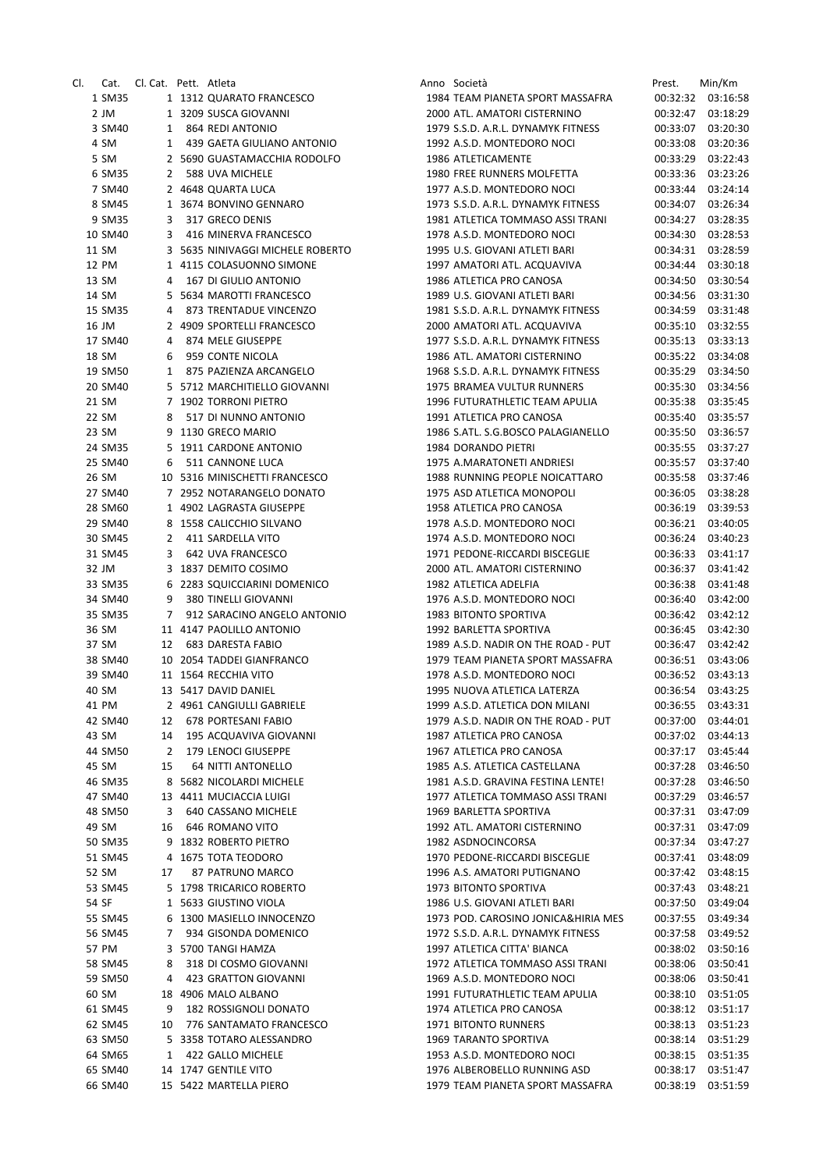| Cl.                | Cat. Cl. Cat. Pett. Atleta |                                                           | Anno Società                                                       | Prest.               | Min/Km                        |
|--------------------|----------------------------|-----------------------------------------------------------|--------------------------------------------------------------------|----------------------|-------------------------------|
| 1 SM35             |                            | 1 1312 QUARATO FRANCESCO                                  | 1984 TEAM PIANETA SPORT MASSAFRA                                   |                      | 00:32:32 03:16:58             |
| 2 JM<br>3 SM40     |                            | 1 3209 SUSCA GIOVANNI                                     | 2000 ATL. AMATORI CISTERNINO<br>1979 S.S.D. A.R.L. DYNAMYK FITNESS | 00:32:47<br>00:33:07 | 03:18:29<br>03:20:30          |
| 4 SM               |                            | 1 864 REDI ANTONIO<br>1 439 GAETA GIULIANO ANTONIO        | 1992 A.S.D. MONTEDORO NOCI                                         | 00:33:08             | 03:20:36                      |
| 5 SM               |                            | 2 5690 GUASTAMACCHIA RODOLFO                              | 1986 ATLETICAMENTE                                                 | 00:33:29             | 03:22:43                      |
| 6 SM35             |                            | 2 588 UVA MICHELE                                         | 1980 FREE RUNNERS MOLFETTA                                         | 00:33:36             | 03:23:26                      |
| 7 SM40             |                            | 2 4648 QUARTA LUCA                                        | 1977 A.S.D. MONTEDORO NOCI                                         | 00:33:44             | 03:24:14                      |
| 8 SM45             |                            | 1 3674 BONVINO GENNARO                                    | 1973 S.S.D. A.R.L. DYNAMYK FITNESS                                 | 00:34:07             | 03:26:34                      |
| 9 SM35             |                            | 3 317 GRECO DENIS                                         | 1981 ATLETICA TOMMASO ASSI TRANI                                   | 00:34:27             | 03:28:35                      |
| 10 SM40            | 3                          | 416 MINERVA FRANCESCO                                     | 1978 A.S.D. MONTEDORO NOCI                                         | 00:34:30             | 03:28:53                      |
| 11 SM              |                            | 3 5635 NINIVAGGI MICHELE ROBERTO                          | 1995 U.S. GIOVANI ATLETI BARI                                      | 00:34:31             | 03:28:59                      |
| 12 PM              |                            | 1 4115 COLASUONNO SIMONE                                  | 1997 AMATORI ATL. ACQUAVIVA                                        | 00:34:44             | 03:30:18                      |
| 13 SM              |                            | 4 167 DI GIULIO ANTONIO                                   | 1986 ATLETICA PRO CANOSA                                           | 00:34:50             | 03:30:54                      |
| 14 SM              |                            | 5 5634 MAROTTI FRANCESCO                                  | 1989 U.S. GIOVANI ATLETI BARI                                      | 00:34:56             | 03:31:30                      |
| 15 SM35            |                            | 4 873 TRENTADUE VINCENZO                                  | 1981 S.S.D. A.R.L. DYNAMYK FITNESS                                 | 00:34:59             | 03:31:48                      |
| 16 JM              |                            | 2 4909 SPORTELLI FRANCESCO                                | 2000 AMATORI ATL. ACQUAVIVA                                        | 00:35:10             | 03:32:55                      |
| 17 SM40            |                            | 4 874 MELE GIUSEPPE                                       | 1977 S.S.D. A.R.L. DYNAMYK FITNESS                                 | 00:35:13             | 03:33:13                      |
| 18 SM              |                            | 6 959 CONTE NICOLA                                        | 1986 ATL. AMATORI CISTERNINO                                       |                      | 00:35:22 03:34:08             |
| 19 SM50<br>20 SM40 |                            | 1 875 PAZIENZA ARCANGELO<br>5 5712 MARCHITIELLO GIOVANNI  | 1968 S.S.D. A.R.L. DYNAMYK FITNESS                                 | 00:35:29             | 03:34:50                      |
| 21 SM              |                            | 7 1902 TORRONI PIETRO                                     | 1975 BRAMEA VULTUR RUNNERS<br>1996 FUTURATHLETIC TEAM APULIA       | 00:35:30             | 03:34:56<br>00:35:38 03:35:45 |
| 22 SM              |                            | 8 517 DI NUNNO ANTONIO                                    | 1991 ATLETICA PRO CANOSA                                           | 00:35:40             | 03:35:57                      |
| 23 SM              |                            | 9 1130 GRECO MARIO                                        | 1986 S.ATL. S.G.BOSCO PALAGIANELLO                                 | 00:35:50             | 03:36:57                      |
| 24 SM35            |                            | 5 1911 CARDONE ANTONIO                                    | 1984 DORANDO PIETRI                                                | 00:35:55             | 03:37:27                      |
| 25 SM40            |                            | 6 511 CANNONE LUCA                                        | 1975 A.MARATONETI ANDRIESI                                         | 00:35:57             | 03:37:40                      |
| 26 SM              |                            | 10 5316 MINISCHETTI FRANCESCO                             | 1988 RUNNING PEOPLE NOICATTARO                                     | 00:35:58             | 03:37:46                      |
| 27 SM40            |                            | 7 2952 NOTARANGELO DONATO                                 | 1975 ASD ATLETICA MONOPOLI                                         | 00:36:05             | 03:38:28                      |
| 28 SM60            |                            | 1 4902 LAGRASTA GIUSEPPE                                  | 1958 ATLETICA PRO CANOSA                                           | 00:36:19             | 03:39:53                      |
| 29 SM40            |                            | 8 1558 CALICCHIO SILVANO                                  | 1978 A.S.D. MONTEDORO NOCI                                         | 00:36:21             | 03:40:05                      |
| 30 SM45            |                            | 2 411 SARDELLA VITO                                       | 1974 A.S.D. MONTEDORO NOCI                                         | 00:36:24             | 03:40:23                      |
| 31 SM45            |                            | 3 642 UVA FRANCESCO                                       | 1971 PEDONE-RICCARDI BISCEGLIE                                     | 00:36:33             | 03:41:17                      |
| 32 JM              |                            | 3 1837 DEMITO COSIMO                                      | 2000 ATL. AMATORI CISTERNINO                                       | 00:36:37             | 03:41:42                      |
| 33 SM35            |                            | 6 2283 SQUICCIARINI DOMENICO                              | 1982 ATLETICA ADELFIA                                              | 00:36:38             | 03:41:48                      |
| 34 SM40            | 9                          | 380 TINELLI GIOVANNI                                      | 1976 A.S.D. MONTEDORO NOCI                                         | 00:36:40             | 03:42:00                      |
| 35 SM35<br>36 SM   |                            | 7 912 SARACINO ANGELO ANTONIO<br>11 4147 PAOLILLO ANTONIO | 1983 BITONTO SPORTIVA                                              | 00:36:45             | 00:36:42 03:42:12<br>03:42:30 |
| 37 SM              |                            | 12 683 DARESTA FABIO                                      | 1992 BARLETTA SPORTIVA<br>1989 A.S.D. NADIR ON THE ROAD - PUT      |                      | 00:36:47 03:42:42             |
| 38 SM40            |                            | 10 2054 TADDEI GIANFRANCO                                 | 1979 TEAM PIANETA SPORT MASSAFRA                                   |                      | 00:36:51 03:43:06             |
| 39 SM40            |                            | 11 1564 RECCHIA VITO                                      | 1978 A.S.D. MONTEDORO NOCI                                         |                      | 00:36:52 03:43:13             |
| 40 SM              |                            | 13 5417 DAVID DANIEL                                      | 1995 NUOVA ATLETICA LATERZA                                        |                      | 00:36:54 03:43:25             |
| 41 PM              |                            | 2 4961 CANGIULLI GABRIELE                                 | 1999 A.S.D. ATLETICA DON MILANI                                    | 00:36:55             | 03:43:31                      |
| 42 SM40            |                            | 12 678 PORTESANI FABIO                                    | 1979 A.S.D. NADIR ON THE ROAD - PUT                                | 00:37:00             | 03:44:01                      |
| 43 SM              | 14                         | 195 ACQUAVIVA GIOVANNI                                    | 1987 ATLETICA PRO CANOSA                                           | 00:37:02             | 03:44:13                      |
| 44 SM50            | 2                          | 179 LENOCI GIUSEPPE                                       | 1967 ATLETICA PRO CANOSA                                           | 00:37:17             | 03:45:44                      |
| 45 SM              | 15                         | 64 NITTI ANTONELLO                                        | 1985 A.S. ATLETICA CASTELLANA                                      | 00:37:28             | 03:46:50                      |
| 46 SM35            |                            | 8 5682 NICOLARDI MICHELE                                  | 1981 A.S.D. GRAVINA FESTINA LENTE!                                 | 00:37:28             | 03:46:50                      |
| 47 SM40            |                            | 13 4411 MUCIACCIA LUIGI                                   | 1977 ATLETICA TOMMASO ASSI TRANI                                   | 00:37:29             | 03:46:57                      |
| 48 SM50            | 3                          | 640 CASSANO MICHELE                                       | 1969 BARLETTA SPORTIVA                                             | 00:37:31             | 03:47:09                      |
| 49 SM              | 16                         | 646 ROMANO VITO                                           | 1992 ATL. AMATORI CISTERNINO                                       | 00:37:31             | 03:47:09                      |
| 50 SM35            |                            | 9 1832 ROBERTO PIETRO<br>4 1675 TOTA TEODORO              | 1982 ASDNOCINCORSA<br>1970 PEDONE-RICCARDI BISCEGLIE               | 00:37:34             | 03:47:27                      |
| 51 SM45            |                            | 87 PATRUNO MARCO                                          | 1996 A.S. AMATORI PUTIGNANO                                        | 00:37:41             | 03:48:09                      |
| 52 SM<br>53 SM45   | 17                         | 5 1798 TRICARICO ROBERTO                                  | 1973 BITONTO SPORTIVA                                              | 00:37:43             | 00:37:42 03:48:15<br>03:48:21 |
| 54 SF              |                            | 1 5633 GIUSTINO VIOLA                                     | 1986 U.S. GIOVANI ATLETI BARI                                      | 00:37:50             | 03:49:04                      |
| 55 SM45            |                            | 6 1300 MASIELLO INNOCENZO                                 | 1973 POD. CAROSINO JONICA&HIRIA MES                                | 00:37:55             | 03:49:34                      |
| 56 SM45            | 7                          | 934 GISONDA DOMENICO                                      | 1972 S.S.D. A.R.L. DYNAMYK FITNESS                                 | 00:37:58             | 03:49:52                      |
| 57 PM              |                            | 3 5700 TANGI HAMZA                                        | 1997 ATLETICA CITTA' BIANCA                                        | 00:38:02             | 03:50:16                      |
| 58 SM45            | 8                          | 318 DI COSMO GIOVANNI                                     | 1972 ATLETICA TOMMASO ASSI TRANI                                   | 00:38:06             | 03:50:41                      |
| 59 SM50            | 4                          | 423 GRATTON GIOVANNI                                      | 1969 A.S.D. MONTEDORO NOCI                                         | 00:38:06             | 03:50:41                      |
| 60 SM              |                            | 18 4906 MALO ALBANO                                       | 1991 FUTURATHLETIC TEAM APULIA                                     | 00:38:10             | 03:51:05                      |
| 61 SM45            | 9                          | 182 ROSSIGNOLI DONATO                                     | 1974 ATLETICA PRO CANOSA                                           | 00:38:12             | 03:51:17                      |
| 62 SM45            |                            | 10 776 SANTAMATO FRANCESCO                                | 1971 BITONTO RUNNERS                                               | 00:38:13             | 03:51:23                      |
| 63 SM50            |                            | 5 3358 TOTARO ALESSANDRO                                  | 1969 TARANTO SPORTIVA                                              | 00:38:14             | 03:51:29                      |
| 64 SM65            | 1                          | 422 GALLO MICHELE                                         | 1953 A.S.D. MONTEDORO NOCI                                         | 00:38:15             | 03:51:35                      |
| 65 SM40            |                            | 14 1747 GENTILE VITO                                      | 1976 ALBEROBELLO RUNNING ASD                                       | 00:38:17             | 03:51:47                      |
| 66 SM40            |                            | 15 5422 MARTELLA PIERO                                    | 1979 TEAM PIANETA SPORT MASSAFRA                                   | 00:38:19             | 03:51:59                      |

| Società                                                 |                      | Prest. Min/Km        |
|---------------------------------------------------------|----------------------|----------------------|
| 1 TEAM PIANETA SPORT MASSAFRA                           | 00:32:32             | 03:16:58             |
| ) ATL. AMATORI CISTERNINO                               | 00:32:47             | 03:18:29             |
| 3 S.S.D. A.R.L. DYNAMYK FITNESS                         | 00:33:07             | 03:20:30             |
| 2 A.S.D. MONTEDORO NOCI                                 | 00:33:08             | 03:20:36             |
| <b>6 ATLETICAMENTE</b>                                  |                      | 00:33:29 03:22:43    |
| ) FREE RUNNERS MOLFETTA                                 |                      | 00:33:36 03:23:26    |
| 7 A.S.D. MONTEDORO NOCI                                 | 00:33:44             | 03:24:14             |
| 3 S.S.D. A.R.L. DYNAMYK FITNESS                         | 00:34:07             | 03:26:34             |
| 1 ATLETICA TOMMASO ASSI TRANI                           | 00:34:27             | 03:28:35             |
| 3 A.S.D. MONTEDORO NOCI                                 | 00:34:30             | 03:28:53             |
| 5 U.S. GIOVANI ATLETI BARI<br>7 AMATORI ATL. ACQUAVIVA  | 00:34:31<br>00:34:44 | 03:28:59             |
| 5 ATLETICA PRO CANOSA                                   | 00:34:50             | 03:30:18<br>03:30:54 |
| 9 U.S. GIOVANI ATLETI BARI                              | 00:34:56             | 03:31:30             |
| 1 S.S.D. A.R.L. DYNAMYK FITNESS                         | 00:34:59             | 03:31:48             |
| ) AMATORI ATL. ACQUAVIVA                                |                      | 00:35:10 03:32:55    |
| 7 S.S.D. A.R.L. DYNAMYK FITNESS                         |                      | 00:35:13 03:33:13    |
| 5 ATL. AMATORI CISTERNINO                               | 00:35:22             | 03:34:08             |
| 3 S.S.D. A.R.L. DYNAMYK FITNESS                         | 00:35:29             | 03:34:50             |
| 5 BRAMEA VULTUR RUNNERS                                 | 00:35:30             | 03:34:56             |
| 5 FUTURATHLETIC TEAM APULIA                             | 00:35:38             | 03:35:45             |
| 1 ATLETICA PRO CANOSA                                   | 00:35:40             | 03:35:57             |
| 5 S.ATL. S.G.BOSCO PALAGIANELLO                         | 00:35:50             | 03:36:57             |
| <b>4 DORANDO PIETRI</b>                                 | 00:35:55             | 03:37:27             |
| 5 A.MARATONETI ANDRIESI                                 | 00:35:57             | 03:37:40             |
| 8 RUNNING PEOPLE NOICATTARO                             | 00:35:58             | 03:37:46             |
| 5 ASD ATLETICA MONOPOLI                                 |                      | 00:36:05 03:38:28    |
| 3 ATLETICA PRO CANOSA                                   |                      | 00:36:19 03:39:53    |
| 3 A.S.D. MONTEDORO NOCI                                 | 00:36:21             | 03:40:05             |
| 4 A.S.D. MONTEDORO NOCI                                 | 00:36:24             | 03:40:23             |
| 1 PEDONE-RICCARDI BISCEGLIE                             | 00:36:33             | 03:41:17             |
| ) ATL. AMATORI CISTERNINO                               | 00:36:37             | 03:41:42             |
| 2 ATLETICA ADELFIA                                      | 00:36:38             | 03:41:48             |
| 5 A.S.D. MONTEDORO NOCI                                 | 00:36:40             | 03:42:00             |
| 3 BITONTO SPORTIVA                                      | 00:36:42             | 03:42:12             |
| 2 BARLETTA SPORTIVA<br>3 A.S.D. NADIR ON THE ROAD - PUT | 00:36:45<br>00:36:47 | 03:42:30<br>03:42:42 |
| 9 TEAM PIANETA SPORT MASSAFRA                           |                      | 00:36:51 03:43:06    |
| 3 A.S.D. MONTEDORO NOCI                                 |                      | 00:36:52 03:43:13    |
| 5 NUOVA ATLETICA LATERZA                                | 00:36:54             | 03:43:25             |
| 9 A.S.D. ATLETICA DON MILANI                            | 00:36:55             | 03:43:31             |
| 4 A.S.D. NADIR ON THE ROAD - PUT                        | 00:37:00             | 03:44:01             |
| 7 ATLETICA PRO CANOSA                                   | 00:37:02             | 03:44:13             |
| 7 ATLETICA PRO CANOSA                                   | 00:37:17             | 03:45:44             |
| 5 A.S. ATLETICA CASTELLANA                              | 00:37:28             | 03:46:50             |
| 1 A.S.D. GRAVINA FESTINA LENTE!                         | 00:37:28             | 03:46:50             |
| 7 ATLETICA TOMMASO ASSI TRANI                           | 00:37:29             | 03:46:57             |
| 9 BARLETTA SPORTIVA                                     | 00:37:31             | 03:47:09             |
| 2 ATL. AMATORI CISTERNINO                               | 00:37:31             | 03:47:09             |
| 2 ASDNOCINCORSA                                         | 00:37:34             | 03:47:27             |
| ) PEDONE-RICCARDI BISCEGLIE                             | 00:37:41             | 03:48:09             |
| <b>6 A.S. AMATORI PUTIGNANO</b>                         | 00:37:42             | 03:48:15             |
| 3 BITONTO SPORTIVA                                      | 00:37:43             | 03:48:21             |
| 5 U.S. GIOVANI ATLETI BARI                              | 00:37:50             | 03:49:04             |
| 3 POD. CAROSINO JONICA&HIRIA MES                        |                      | 00:37:55 03:49:34    |
| 2 S.S.D. A.R.L. DYNAMYK FITNESS                         | 00:37:58             | 03:49:52             |
| 7 ATLETICA CITTA' BIANCA                                | 00:38:02             | 03:50:16             |
| 2 ATLETICA TOMMASO ASSI TRANI                           | 00:38:06             | 03:50:41             |
| 9 A.S.D. MONTEDORO NOCI<br>1 FUTURATHLETIC TEAM APULIA  | 00:38:06<br>00:38:10 | 03:50:41             |
| 4 ATLETICA PRO CANOSA                                   | 00:38:12             | 03:51:05<br>03:51:17 |
| 1 BITONTO RUNNERS                                       | 00:38:13             | 03:51:23             |
| 9 TARANTO SPORTIVA                                      | 00:38:14             | 03:51:29             |
| 3 A.S.D. MONTEDORO NOCI                                 | 00:38:15             | 03:51:35             |
| 5 ALBEROBELLO RUNNING ASD                               | 00:38:17             | 03:51:47             |
| 9 TEAM PIANETA SPORT MASSAFRA                           |                      | 00:38:19 03:51:59    |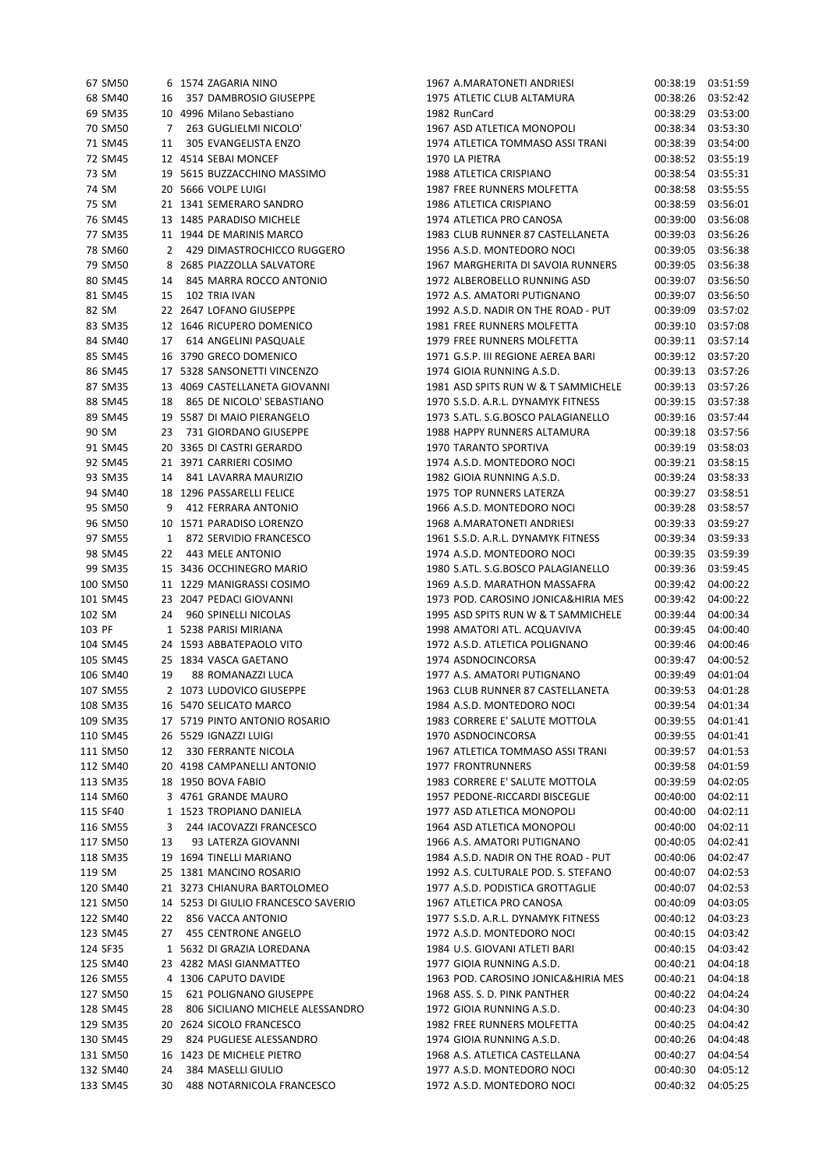|        | 67 SM50  |    | 6 1574 ZAGARIA NINO                 | 1967 A.MARATONETI ANDRIESI          | 00:38:19 | 03:51:59 |
|--------|----------|----|-------------------------------------|-------------------------------------|----------|----------|
|        | 68 SM40  | 16 | 357 DAMBROSIO GIUSEPPE              | 1975 ATLETIC CLUB ALTAMURA          | 00:38:26 | 03:52:42 |
|        | 69 SM35  |    | 10 4996 Milano Sebastiano           | 1982 RunCard                        | 00:38:29 | 03:53:00 |
|        | 70 SM50  | 7  | 263 GUGLIELMI NICOLO'               | 1967 ASD ATLETICA MONOPOLI          | 00:38:34 | 03:53:30 |
|        | 71 SM45  | 11 | 305 EVANGELISTA ENZO                | 1974 ATLETICA TOMMASO ASSI TRANI    | 00:38:39 | 03:54:00 |
|        | 72 SM45  |    | 12 4514 SEBAI MONCEF                | 1970 LA PIETRA                      | 00:38:52 | 03:55:19 |
| 73 SM  |          |    | 19 5615 BUZZACCHINO MASSIMO         | 1988 ATLETICA CRISPIANO             | 00:38:54 | 03:55:31 |
| 74 SM  |          |    | 20 5666 VOLPE LUIGI                 | 1987 FREE RUNNERS MOLFETTA          | 00:38:58 | 03:55:55 |
|        |          |    |                                     |                                     |          |          |
|        | 75 SM    |    | 21 1341 SEMERARO SANDRO             | 1986 ATLETICA CRISPIANO             | 00:38:59 | 03:56:01 |
|        | 76 SM45  |    | 13 1485 PARADISO MICHELE            | 1974 ATLETICA PRO CANOSA            | 00:39:00 | 03:56:08 |
|        | 77 SM35  |    | 11 1944 DE MARINIS MARCO            | 1983 CLUB RUNNER 87 CASTELLANETA    | 00:39:03 | 03:56:26 |
|        | 78 SM60  |    | 2 429 DIMASTROCHICCO RUGGERO        | 1956 A.S.D. MONTEDORO NOCI          | 00:39:05 | 03:56:38 |
|        | 79 SM50  |    | 8 2685 PIAZZOLLA SALVATORE          | 1967 MARGHERITA DI SAVOIA RUNNERS   | 00:39:05 | 03:56:38 |
|        | 80 SM45  | 14 | 845 MARRA ROCCO ANTONIO             | 1972 ALBEROBELLO RUNNING ASD        | 00:39:07 | 03:56:50 |
|        | 81 SM45  | 15 | 102 TRIA IVAN                       | 1972 A.S. AMATORI PUTIGNANO         | 00:39:07 | 03:56:50 |
| 82 SM  |          |    | 22 2647 LOFANO GIUSEPPE             | 1992 A.S.D. NADIR ON THE ROAD - PUT | 00:39:09 | 03:57:02 |
|        | 83 SM35  |    | 12 1646 RICUPERO DOMENICO           | 1981 FREE RUNNERS MOLFETTA          | 00:39:10 | 03:57:08 |
|        | 84 SM40  | 17 | 614 ANGELINI PASQUALE               | 1979 FREE RUNNERS MOLFETTA          | 00:39:11 | 03:57:14 |
|        | 85 SM45  |    | 16 3790 GRECO DOMENICO              | 1971 G.S.P. III REGIONE AEREA BARI  | 00:39:12 | 03:57:20 |
|        | 86 SM45  |    | 17 5328 SANSONETTI VINCENZO         | 1974 GIOIA RUNNING A.S.D.           | 00:39:13 | 03:57:26 |
|        | 87 SM35  |    | 13 4069 CASTELLANETA GIOVANNI       | 1981 ASD SPITS RUN W & T SAMMICHELE | 00:39:13 | 03:57:26 |
|        | 88 SM45  | 18 | 865 DE NICOLO' SEBASTIANO           | 1970 S.S.D. A.R.L. DYNAMYK FITNESS  | 00:39:15 | 03:57:38 |
|        | 89 SM45  |    | 19 5587 DI MAIO PIERANGELO          | 1973 S.ATL, S.G.BOSCO PALAGIANELLO  | 00:39:16 | 03:57:44 |
| 90 SM  |          | 23 | 731 GIORDANO GIUSEPPE               | 1988 HAPPY RUNNERS ALTAMURA         | 00:39:18 | 03:57:56 |
|        | 91 SM45  |    | 20 3365 DI CASTRI GERARDO           | 1970 TARANTO SPORTIVA               | 00:39:19 | 03:58:03 |
|        |          |    |                                     | 1974 A.S.D. MONTEDORO NOCI          |          |          |
|        | 92 SM45  |    | 21 3971 CARRIERI COSIMO             |                                     | 00:39:21 | 03:58:15 |
|        | 93 SM35  | 14 | 841 LAVARRA MAURIZIO                | 1982 GIOIA RUNNING A.S.D.           | 00:39:24 | 03:58:33 |
|        | 94 SM40  |    | 18 1296 PASSARELLI FELICE           | 1975 TOP RUNNERS LATERZA            | 00:39:27 | 03:58:51 |
|        | 95 SM50  | 9  | 412 FERRARA ANTONIO                 | 1966 A.S.D. MONTEDORO NOCI          | 00:39:28 | 03:58:57 |
|        | 96 SM50  |    | 10 1571 PARADISO LORENZO            | 1968 A.MARATONETI ANDRIESI          | 00:39:33 | 03:59:27 |
|        | 97 SM55  | 1  | 872 SERVIDIO FRANCESCO              | 1961 S.S.D. A.R.L. DYNAMYK FITNESS  | 00:39:34 | 03:59:33 |
|        | 98 SM45  | 22 | 443 MELE ANTONIO                    | 1974 A.S.D. MONTEDORO NOCI          | 00:39:35 | 03:59:39 |
|        | 99 SM35  |    | 15 3436 OCCHINEGRO MARIO            | 1980 S.ATL. S.G.BOSCO PALAGIANELLO  | 00:39:36 | 03:59:45 |
|        | 100 SM50 |    | 11 1229 MANIGRASSI COSIMO           | 1969 A.S.D. MARATHON MASSAFRA       | 00:39:42 | 04:00:22 |
|        | 101 SM45 |    | 23 2047 PEDACI GIOVANNI             | 1973 POD. CAROSINO JONICA&HIRIA MES | 00:39:42 | 04:00:22 |
| 102 SM |          | 24 | 960 SPINELLI NICOLAS                | 1995 ASD SPITS RUN W & T SAMMICHELE | 00:39:44 | 04:00:34 |
| 103 PF |          |    | 1 5238 PARISI MIRIANA               | 1998 AMATORI ATL. ACQUAVIVA         | 00:39:45 | 04:00:40 |
|        | 104 SM45 |    | 24 1593 ABBATEPAOLO VITO            | 1972 A.S.D. ATLETICA POLIGNANO      | 00:39:46 | 04:00:46 |
|        | 105 SM45 |    | 25 1834 VASCA GAETANO               | 1974 ASDNOCINCORSA                  | 00:39:47 | 04:00:52 |
|        | 106 SM40 | 19 | 88 ROMANAZZI LUCA                   | 1977 A.S. AMATORI PUTIGNANO         | 00:39:49 | 04:01:04 |
|        | 107 SM55 |    | 2 1073 LUDOVICO GIUSEPPE            | 1963 CLUB RUNNER 87 CASTELLANETA    | 00:39:53 | 04:01:28 |
|        | 108 SM35 |    | 16 5470 SELICATO MARCO              | 1984 A.S.D. MONTEDORO NOCI          | 00:39:54 | 04:01:34 |
|        | 109 SM35 |    | 17 5719 PINTO ANTONIO ROSARIO       | 1983 CORRERE E' SALUTE MOTTOLA      | 00:39:55 | 04:01:41 |
|        | 110 SM45 |    | 26 5529 IGNAZZI LUIGI               | 1970 ASDNOCINCORSA                  | 00:39:55 | 04:01:41 |
|        |          |    | 330 FERRANTE NICOLA                 |                                     | 00:39:57 | 04:01:53 |
|        | 111 SM50 | 12 |                                     | 1967 ATLETICA TOMMASO ASSI TRANI    |          |          |
|        | 112 SM40 |    | 20 4198 CAMPANELLI ANTONIO          | 1977 FRONTRUNNERS                   | 00:39:58 | 04:01:59 |
|        | 113 SM35 |    | 18 1950 BOVA FABIO                  | 1983 CORRERE E' SALUTE MOTTOLA      | 00:39:59 | 04:02:05 |
|        | 114 SM60 |    | 3 4761 GRANDE MAURO                 | 1957 PEDONE-RICCARDI BISCEGLIE      | 00:40:00 | 04:02:11 |
|        | 115 SF40 |    | 1 1523 TROPIANO DANIELA             | 1977 ASD ATLETICA MONOPOLI          | 00:40:00 | 04:02:11 |
|        | 116 SM55 | 3  | 244 IACOVAZZI FRANCESCO             | 1964 ASD ATLETICA MONOPOLI          | 00:40:00 | 04:02:11 |
|        | 117 SM50 | 13 | 93 LATERZA GIOVANNI                 | 1966 A.S. AMATORI PUTIGNANO         | 00:40:05 | 04:02:41 |
|        | 118 SM35 |    | 19 1694 TINELLI MARIANO             | 1984 A.S.D. NADIR ON THE ROAD - PUT | 00:40:06 | 04:02:47 |
| 119 SM |          |    | 25 1381 MANCINO ROSARIO             | 1992 A.S. CULTURALE POD. S. STEFANO | 00:40:07 | 04:02:53 |
|        | 120 SM40 |    | 21 3273 CHIANURA BARTOLOMEO         | 1977 A.S.D. PODISTICA GROTTAGLIE    | 00:40:07 | 04:02:53 |
|        | 121 SM50 |    | 14 5253 DI GIULIO FRANCESCO SAVERIO | 1967 ATLETICA PRO CANOSA            | 00:40:09 | 04:03:05 |
|        | 122 SM40 | 22 | 856 VACCA ANTONIO                   | 1977 S.S.D. A.R.L. DYNAMYK FITNESS  | 00:40:12 | 04:03:23 |
|        | 123 SM45 | 27 | 455 CENTRONE ANGELO                 | 1972 A.S.D. MONTEDORO NOCI          | 00:40:15 | 04:03:42 |
|        | 124 SF35 |    | 1 5632 DI GRAZIA LOREDANA           | 1984 U.S. GIOVANI ATLETI BARI       | 00:40:15 | 04:03:42 |
|        | 125 SM40 |    | 23 4282 MASI GIANMATTEO             | 1977 GIOIA RUNNING A.S.D.           | 00:40:21 | 04:04:18 |
|        | 126 SM55 |    | 4 1306 CAPUTO DAVIDE                | 1963 POD. CAROSINO JONICA&HIRIA MES | 00:40:21 | 04:04:18 |
|        | 127 SM50 | 15 | 621 POLIGNANO GIUSEPPE              | 1968 ASS. S. D. PINK PANTHER        | 00:40:22 | 04:04:24 |
|        | 128 SM45 | 28 | 806 SICILIANO MICHELE ALESSANDRO    | 1972 GIOIA RUNNING A.S.D.           | 00:40:23 | 04:04:30 |
|        | 129 SM35 |    | 20 2624 SICOLO FRANCESCO            | 1982 FREE RUNNERS MOLFETTA          | 00:40:25 | 04:04:42 |
|        | 130 SM45 | 29 | 824 PUGLIESE ALESSANDRO             | 1974 GIOIA RUNNING A.S.D.           | 00:40:26 | 04:04:48 |
|        |          |    |                                     |                                     |          |          |
|        | 131 SM50 |    | 16 1423 DE MICHELE PIETRO           | 1968 A.S. ATLETICA CASTELLANA       | 00:40:27 | 04:04:54 |
|        | 132 SM40 | 24 | 384 MASELLI GIULIO                  | 1977 A.S.D. MONTEDORO NOCI          | 00:40:30 | 04:05:12 |
|        | 133 SM45 | 30 | 488 NOTARNICOLA FRANCESCO           | 1972 A.S.D. MONTEDORO NOCI          | 00:40:32 | 04:05:25 |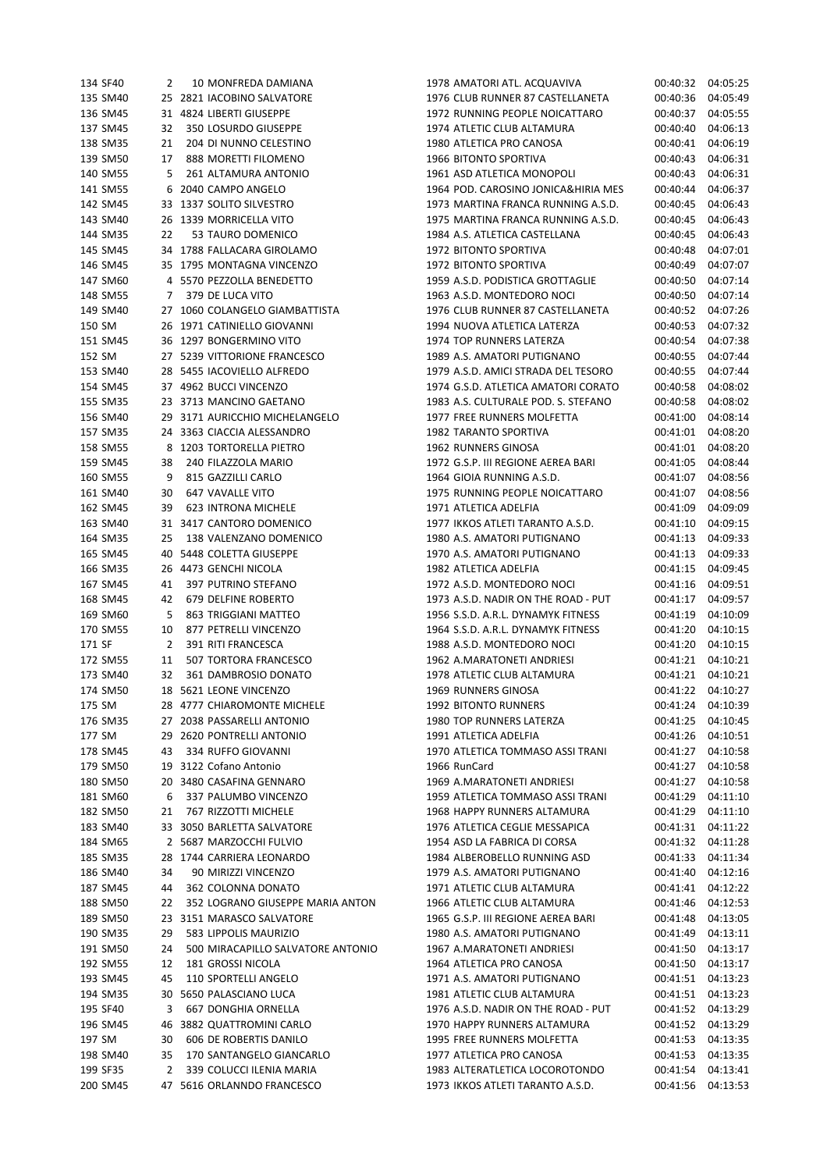| 134 SF40 | 2  | 10 MONFREDA DAMIANA               | 1978 AMATORI ATL. ACQUAVIVA         | 00:40:32 | 04:05:25          |
|----------|----|-----------------------------------|-------------------------------------|----------|-------------------|
| 135 SM40 |    | 25 2821 IACOBINO SALVATORE        | 1976 CLUB RUNNER 87 CASTELLANETA    | 00:40:36 | 04:05:49          |
| 136 SM45 |    | 31 4824 LIBERTI GIUSEPPE          | 1972 RUNNING PEOPLE NOICATTARO      | 00:40:37 | 04:05:55          |
| 137 SM45 | 32 | 350 LOSURDO GIUSEPPE              | 1974 ATLETIC CLUB ALTAMURA          | 00:40:40 | 04:06:13          |
| 138 SM35 | 21 | 204 DI NUNNO CELESTINO            | 1980 ATLETICA PRO CANOSA            | 00:40:41 | 04:06:19          |
| 139 SM50 | 17 | 888 MORETTI FILOMENO              | 1966 BITONTO SPORTIVA               | 00:40:43 | 04:06:31          |
| 140 SM55 | 5  | 261 ALTAMURA ANTONIO              | 1961 ASD ATLETICA MONOPOLI          | 00:40:43 | 04:06:31          |
| 141 SM55 |    | 6 2040 CAMPO ANGELO               | 1964 POD. CAROSINO JONICA&HIRIA MES | 00:40:44 | 04:06:37          |
|          |    |                                   |                                     |          |                   |
| 142 SM45 |    | 33 1337 SOLITO SILVESTRO          | 1973 MARTINA FRANCA RUNNING A.S.D.  | 00:40:45 | 04:06:43          |
| 143 SM40 |    | 26 1339 MORRICELLA VITO           | 1975 MARTINA FRANCA RUNNING A.S.D.  | 00:40:45 | 04:06:43          |
| 144 SM35 | 22 | 53 TAURO DOMENICO                 | 1984 A.S. ATLETICA CASTELLANA       | 00:40:45 | 04:06:43          |
| 145 SM45 |    | 34 1788 FALLACARA GIROLAMO        | 1972 BITONTO SPORTIVA               | 00:40:48 | 04:07:01          |
| 146 SM45 |    | 35 1795 MONTAGNA VINCENZO         | 1972 BITONTO SPORTIVA               | 00:40:49 | 04:07:07          |
| 147 SM60 |    | 4 5570 PEZZOLLA BENEDETTO         | 1959 A.S.D. PODISTICA GROTTAGLIE    | 00:40:50 | 04:07:14          |
| 148 SM55 | 7  | 379 DE LUCA VITO                  | 1963 A.S.D. MONTEDORO NOCI          | 00:40:50 | 04:07:14          |
| 149 SM40 |    | 27 1060 COLANGELO GIAMBATTISTA    | 1976 CLUB RUNNER 87 CASTELLANETA    | 00:40:52 | 04:07:26          |
| 150 SM   |    | 26 1971 CATINIELLO GIOVANNI       | 1994 NUOVA ATLETICA LATERZA         | 00:40:53 | 04:07:32          |
| 151 SM45 |    | 36 1297 BONGERMINO VITO           | 1974 TOP RUNNERS LATERZA            | 00:40:54 | 04:07:38          |
| 152 SM   |    | 27 5239 VITTORIONE FRANCESCO      | 1989 A.S. AMATORI PUTIGNANO         | 00:40:55 | 04:07:44          |
| 153 SM40 |    | 28 5455 IACOVIELLO ALFREDO        | 1979 A.S.D. AMICI STRADA DEL TESORO | 00:40:55 | 04:07:44          |
| 154 SM45 |    | 37 4962 BUCCI VINCENZO            | 1974 G.S.D. ATLETICA AMATORI CORATO | 00:40:58 | 04:08:02          |
| 155 SM35 |    | 23 3713 MANCINO GAETANO           | 1983 A.S. CULTURALE POD. S. STEFANO | 00:40:58 | 04:08:02          |
|          |    | 29 3171 AURICCHIO MICHELANGELO    | 1977 FREE RUNNERS MOLFETTA          |          |                   |
| 156 SM40 |    |                                   |                                     | 00:41:00 | 04:08:14          |
| 157 SM35 |    | 24 3363 CIACCIA ALESSANDRO        | 1982 TARANTO SPORTIVA               | 00:41:01 | 04:08:20          |
| 158 SM55 |    | 8 1203 TORTORELLA PIETRO          | 1962 RUNNERS GINOSA                 | 00:41:01 | 04:08:20          |
| 159 SM45 | 38 | 240 FILAZZOLA MARIO               | 1972 G.S.P. III REGIONE AEREA BARI  | 00:41:05 | 04:08:44          |
| 160 SM55 | 9  | 815 GAZZILLI CARLO                | 1964 GIOIA RUNNING A.S.D.           | 00:41:07 | 04:08:56          |
| 161 SM40 | 30 | 647 VAVALLE VITO                  | 1975 RUNNING PEOPLE NOICATTARO      | 00:41:07 | 04:08:56          |
| 162 SM45 | 39 | 623 INTRONA MICHELE               | 1971 ATLETICA ADELFIA               | 00:41:09 | 04:09:09          |
| 163 SM40 |    | 31 3417 CANTORO DOMENICO          | 1977 IKKOS ATLETI TARANTO A.S.D.    | 00:41:10 | 04:09:15          |
| 164 SM35 | 25 | 138 VALENZANO DOMENICO            | 1980 A.S. AMATORI PUTIGNANO         | 00:41:13 | 04:09:33          |
| 165 SM45 |    | 40 5448 COLETTA GIUSEPPE          | 1970 A.S. AMATORI PUTIGNANO         | 00:41:13 | 04:09:33          |
| 166 SM35 |    | 26 4473 GENCHI NICOLA             | 1982 ATLETICA ADELFIA               | 00:41:15 | 04:09:45          |
| 167 SM45 | 41 | 397 PUTRINO STEFANO               | 1972 A.S.D. MONTEDORO NOCI          | 00:41:16 | 04:09:51          |
| 168 SM45 | 42 | 679 DELFINE ROBERTO               | 1973 A.S.D. NADIR ON THE ROAD - PUT | 00:41:17 | 04:09:57          |
| 169 SM60 | 5  | 863 TRIGGIANI MATTEO              | 1956 S.S.D. A.R.L. DYNAMYK FITNESS  | 00:41:19 | 04:10:09          |
| 170 SM55 | 10 | 877 PETRELLI VINCENZO             | 1964 S.S.D. A.R.L. DYNAMYK FITNESS  | 00:41:20 | 04:10:15          |
| 171 SF   | 2  | 391 RITI FRANCESCA                | 1988 A.S.D. MONTEDORO NOCI          | 00:41:20 | 04:10:15          |
| 172 SM55 | 11 | 507 TORTORA FRANCESCO             | 1962 A.MARATONETI ANDRIESI          | 00:41:21 | 04:10:21          |
|          |    | 361 DAMBROSIO DONATO              |                                     |          |                   |
| 173 SM40 | 32 |                                   | 1978 ATLETIC CLUB ALTAMURA          | 00:41:21 | 04:10:21          |
| 174 SM50 |    | 18 5621 LEONE VINCENZO            | 1969 RUNNERS GINOSA                 | 00:41:22 | 04:10:27          |
| 175 SM   |    | 28 4777 CHIAROMONTE MICHELE       | <b>1992 BITONTO RUNNERS</b>         | 00:41:24 | 04:10:39          |
| 176 SM35 |    | 27 2038 PASSARELLI ANTONIO        | 1980 TOP RUNNERS LATERZA            | 00:41:25 | 04:10:45          |
| 177 SM   |    | 29 2620 PONTRELLI ANTONIO         | 1991 ATLETICA ADELFIA               | 00:41:26 | 04:10:51          |
| 178 SM45 | 43 | 334 RUFFO GIOVANNI                | 1970 ATLETICA TOMMASO ASSI TRANI    | 00:41:27 | 04:10:58          |
| 179 SM50 |    | 19 3122 Cofano Antonio            | 1966 RunCard                        | 00:41:27 | 04:10:58          |
| 180 SM50 |    | 20 3480 CASAFINA GENNARO          | 1969 A.MARATONETI ANDRIESI          | 00:41:27 | 04:10:58          |
| 181 SM60 | 6  | 337 PALUMBO VINCENZO              | 1959 ATLETICA TOMMASO ASSI TRANI    | 00:41:29 | 04:11:10          |
| 182 SM50 | 21 | 767 RIZZOTTI MICHELE              | 1968 HAPPY RUNNERS ALTAMURA         | 00:41:29 | 04:11:10          |
| 183 SM40 |    | 33 3050 BARLETTA SALVATORE        | 1976 ATLETICA CEGLIE MESSAPICA      | 00:41:31 | 04:11:22          |
| 184 SM65 |    | 2 5687 MARZOCCHI FULVIO           | 1954 ASD LA FABRICA DI CORSA        | 00:41:32 | 04:11:28          |
| 185 SM35 |    | 28 1744 CARRIERA LEONARDO         | 1984 ALBEROBELLO RUNNING ASD        | 00:41:33 | 04:11:34          |
| 186 SM40 | 34 | 90 MIRIZZI VINCENZO               | 1979 A.S. AMATORI PUTIGNANO         | 00:41:40 | 04:12:16          |
| 187 SM45 | 44 | 362 COLONNA DONATO                | 1971 ATLETIC CLUB ALTAMURA          | 00:41:41 | 04:12:22          |
| 188 SM50 | 22 | 352 LOGRANO GIUSEPPE MARIA ANTON  | 1966 ATLETIC CLUB ALTAMURA          | 00:41:46 | 04:12:53          |
|          |    |                                   |                                     |          |                   |
| 189 SM50 |    | 23 3151 MARASCO SALVATORE         | 1965 G.S.P. III REGIONE AEREA BARI  | 00:41:48 | 04:13:05          |
| 190 SM35 | 29 | 583 LIPPOLIS MAURIZIO             | 1980 A.S. AMATORI PUTIGNANO         | 00:41:49 | 04:13:11          |
| 191 SM50 | 24 | 500 MIRACAPILLO SALVATORE ANTONIO | 1967 A.MARATONETI ANDRIESI          | 00:41:50 | 04:13:17          |
| 192 SM55 | 12 | 181 GROSSI NICOLA                 | 1964 ATLETICA PRO CANOSA            | 00:41:50 | 04:13:17          |
| 193 SM45 | 45 | 110 SPORTELLI ANGELO              | 1971 A.S. AMATORI PUTIGNANO         | 00:41:51 | 04:13:23          |
| 194 SM35 |    | 30 5650 PALASCIANO LUCA           | 1981 ATLETIC CLUB ALTAMURA          | 00:41:51 | 04:13:23          |
| 195 SF40 | 3  | 667 DONGHIA ORNELLA               | 1976 A.S.D. NADIR ON THE ROAD - PUT | 00:41:52 | 04:13:29          |
| 196 SM45 | 46 | 3882 QUATTROMINI CARLO            | 1970 HAPPY RUNNERS ALTAMURA         | 00:41:52 | 04:13:29          |
| 197 SM   | 30 | 606 DE ROBERTIS DANILO            | 1995 FREE RUNNERS MOLFETTA          | 00:41:53 | 04:13:35          |
| 198 SM40 | 35 | 170 SANTANGELO GIANCARLO          | 1977 ATLETICA PRO CANOSA            | 00:41:53 | 04:13:35          |
| 199 SF35 | 2  | 339 COLUCCI ILENIA MARIA          | 1983 ALTERATLETICA LOCOROTONDO      | 00:41:54 | 04:13:41          |
| 200 SM45 |    | 47 5616 ORLANNDO FRANCESCO        | 1973 IKKOS ATLETI TARANTO A.S.D.    |          | 00:41:56 04:13:53 |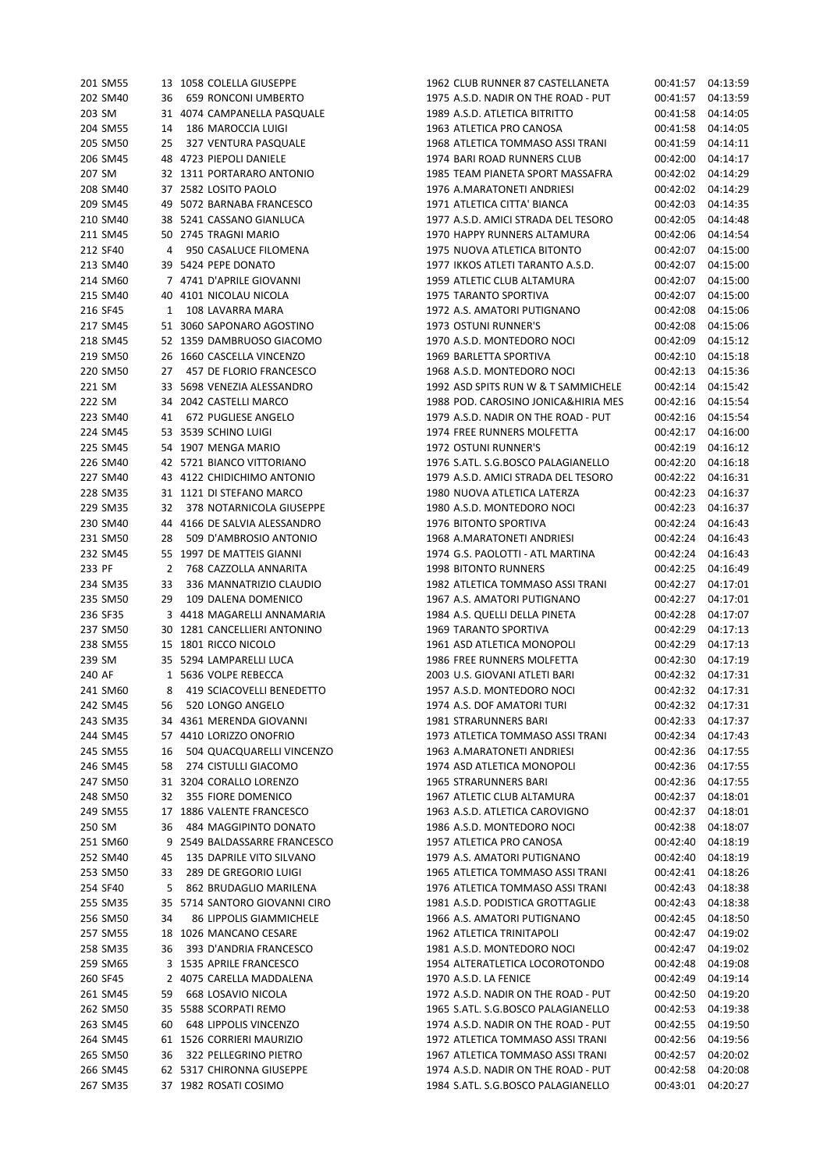| 201 SM55 | 13             | 1058 COLELLA GIUSEPPE          |
|----------|----------------|--------------------------------|
| 202 SM40 | 36             | <b>659 RONCONI UMBERTO</b>     |
| 203 SM   |                | 31 4074 CAMPANELLA PASQUALE    |
| 204 SM55 |                | 14 186 MAROCCIA LUIGI          |
| 205 SM50 |                | 25 327 VENTURA PASQUALE        |
| 206 SM45 |                | 48 4723 PIEPOLI DANIELE        |
| 207 SM   |                | 32 1311 PORTARARO ANTONIO      |
| 208 SM40 |                | 37 2582 LOSITO PAOLO           |
| 209 SM45 |                | 49 5072 BARNABA FRANCESCO      |
| 210 SM40 |                | 38 5241 CASSANO GIANLUCA       |
| 211 SM45 | 50             | 2745 TRAGNI MARIO              |
| 212 SF40 | 4              | 950 CASALUCE FILOMENA          |
| 213 SM40 |                | 39 5424 PEPE DONATO            |
|          |                |                                |
| 214 SM60 |                | 7 4741 D'APRILE GIOVANNI       |
| 215 SM40 |                | 40 4101 NICOLAU NICOLA         |
| 216 SF45 |                | 1 108 LAVARRA MARA             |
| 217 SM45 | 51             | 3060 SAPONARO AGOSTINO         |
| 218 SM45 |                | 52 1359 DAMBRUOSO GIACOMO      |
| 219 SM50 | - 26           | 1660 CASCELLA VINCENZO         |
| 220 SM50 |                | 27 457 DE FLORIO FRANCESCO     |
| 221 SM   |                | 33 5698 VENEZIA ALESSANDRO     |
| 222 SM   | 34             | 2042 CASTELLI MARCO            |
| 223 SM40 | 41             | 672 PUGLIESE ANGELO            |
| 224 SM45 | - 53           | 3539 SCHINO LUIGI              |
| 225 SM45 |                | 54 1907 MENGA MARIO            |
| 226 SM40 |                | 42 5721 BIANCO VITTORIANO      |
| 227 SM40 |                | 43 4122 CHIDICHIMO ANTONIO     |
| 228 SM35 |                | 31 1121 DI STEFANO MARCO       |
| 229 SM35 |                | 32 378 NOTARNICOLA GIUSEPPE    |
| 230 SM40 |                | 44 4166 DE SALVIA ALESSANDRO   |
| 231 SM50 | 28             | 509 D'AMBROSIO ANTONIO         |
| 232 SM45 |                | 55 1997 DE MATTEIS GIANNI      |
| 233 PF   | $\overline{2}$ | 768 CAZZOLLA ANNARITA          |
| 234 SM35 | 33             | 336 MANNATRIZIO CLAUDIO        |
| 235 SM50 | 29             | 109 DALENA DOMENICO            |
|          |                | 3 4418 MAGARELLI ANNAMARIA     |
| 236 SF35 |                | 30 1281 CANCELLIERI ANTONINO   |
| 237 SM50 |                |                                |
| 238 SM55 |                | 15 1801 RICCO NICOLO           |
| 239 SM   |                | 35 5294 LAMPARELLI LUCA        |
| 240 AF   |                | 1 5636 VOLPE REBECCA           |
| 241 SM60 |                | 8 419 SCIACOVELLI BENEDETTO    |
| 242 SM45 | 56             | 520 LONGO ANGELO               |
| 243 SM35 | 34             | 4361 MERENDA GIOVANNI          |
| 244 SM45 | 57             | 4410 LORIZZO ONOFRIO           |
| 245 SM55 | 16             | 504 QUACQUARELLI VINCENZO      |
| 246 SM45 | 58             | 274 CISTULLI GIACOMO           |
| 247 SM50 |                | 31 3204 CORALLO LORENZO        |
| 248 SM50 | 32             | 355 FIORE DOMENICO             |
| 249 SM55 | 17             | 1886 VALENTE FRANCESCO         |
| 250 SM   | 36             | 484 MAGGIPINTO DONATO          |
| 251 SM60 | 9              | 2549 BALDASSARRE FRANCESCO     |
| 252 SM40 | 45             | 135 DAPRILE VITO SILVANO       |
| 253 SM50 | 33             | 289 DE GREGORIO LUIGI          |
| 254 SF40 | 5              | 862 BRUDAGLIO MARILENA         |
| 255 SM35 | 35             | 5714 SANTORO GIOVANNI CIRO     |
| 256 SM50 | 34             | <b>86 LIPPOLIS GIAMMICHELE</b> |
| 257 SM55 | 18             | 1026 MANCANO CESARE            |
| 258 SM35 | 36             | 393 D'ANDRIA FRANCESCO         |
|          |                | 1535 APRILE FRANCESCO          |
| 259 SM65 | 3              |                                |
| 260 SF45 | $\mathbf{2}$   | 4075 CARELLA MADDALENA         |
| 261 SM45 | 59             | 668 LOSAVIO NICOLA             |
| 262 SM50 | 35             | 5588 SCORPATI REMO             |
| 263 SM45 | 60             | <b>648 LIPPOLIS VINCENZO</b>   |
| 264 SM45 | 61             | 1526 CORRIERI MAURIZIO         |
| 265 SM50 |                | 36 322 PELLEGRINO PIETRO       |
| 266 SM45 |                | 62 5317 CHIRONNA GIUSEPPE      |
| 267 SM35 | 37             | 1982 ROSATI COSIMO             |

| 201 SM55 |    | 13 1058 COLELLA GIUSEPPE      | 1962 CLUB RUNNER 87 CASTELLANETA    | 00:41:57 | 04:13:59 |
|----------|----|-------------------------------|-------------------------------------|----------|----------|
| 202 SM40 |    | 36 659 RONCONI UMBERTO        | 1975 A.S.D. NADIR ON THE ROAD - PUT | 00:41:57 | 04:13:59 |
| 203 SM   |    | 31 4074 CAMPANELLA PASQUALE   | 1989 A.S.D. ATLETICA BITRITTO       | 00:41:58 | 04:14:05 |
| 204 SM55 | 14 | 186 MAROCCIA LUIGI            | 1963 ATLETICA PRO CANOSA            | 00:41:58 | 04:14:05 |
| 205 SM50 | 25 | 327 VENTURA PASQUALE          | 1968 ATLETICA TOMMASO ASSI TRANI    | 00:41:59 | 04:14:11 |
| 206 SM45 |    | 48 4723 PIEPOLI DANIELE       | 1974 BARI ROAD RUNNERS CLUB         | 00:42:00 | 04:14:17 |
| 207 SM   |    | 32 1311 PORTARARO ANTONIO     | 1985 TEAM PIANETA SPORT MASSAFRA    | 00:42:02 | 04:14:29 |
| 208 SM40 |    | 37 2582 LOSITO PAOLO          | 1976 A.MARATONETI ANDRIESI          | 00:42:02 | 04:14:29 |
| 209 SM45 |    | 49 5072 BARNABA FRANCESCO     | 1971 ATLETICA CITTA' BIANCA         | 00:42:03 | 04:14:35 |
| 210 SM40 |    | 38 5241 CASSANO GIANLUCA      | 1977 A.S.D. AMICI STRADA DEL TESORO | 00:42:05 | 04:14:48 |
| 211 SM45 |    | 50 2745 TRAGNI MARIO          | 1970 HAPPY RUNNERS ALTAMURA         | 00:42:06 | 04:14:54 |
| 212 SF40 | 4  | 950 CASALUCE FILOMENA         | 1975 NUOVA ATLETICA BITONTO         | 00:42:07 | 04:15:00 |
| 213 SM40 |    | 39 5424 PEPE DONATO           | 1977 IKKOS ATLETI TARANTO A.S.D.    | 00:42:07 | 04:15:00 |
| 214 SM60 |    | 7 4741 D'APRILE GIOVANNI      | 1959 ATLETIC CLUB ALTAMURA          | 00:42:07 | 04:15:00 |
| 215 SM40 |    | 40 4101 NICOLAU NICOLA        | 1975 TARANTO SPORTIVA               | 00:42:07 | 04:15:00 |
| 216 SF45 | 1  | 108 LAVARRA MARA              | 1972 A.S. AMATORI PUTIGNANO         | 00:42:08 | 04:15:06 |
| 217 SM45 |    | 51 3060 SAPONARO AGOSTINO     | 1973 OSTUNI RUNNER'S                | 00:42:08 | 04:15:06 |
| 218 SM45 |    | 52 1359 DAMBRUOSO GIACOMO     | 1970 A.S.D. MONTEDORO NOCI          | 00:42:09 | 04:15:12 |
| 219 SM50 |    | 26 1660 CASCELLA VINCENZO     | 1969 BARLETTA SPORTIVA              | 00:42:10 | 04:15:18 |
| 220 SM50 |    |                               |                                     |          |          |
|          |    | 27 457 DE FLORIO FRANCESCO    | 1968 A.S.D. MONTEDORO NOCI          | 00:42:13 | 04:15:36 |
| 221 SM   |    | 33 5698 VENEZIA ALESSANDRO    | 1992 ASD SPITS RUN W & T SAMMICHELE | 00:42:14 | 04:15:42 |
| 222 SM   |    | 34 2042 CASTELLI MARCO        | 1988 POD. CAROSINO JONICA&HIRIA MES | 00:42:16 | 04:15:54 |
| 223 SM40 |    | 41 672 PUGLIESE ANGELO        | 1979 A.S.D. NADIR ON THE ROAD - PUT | 00:42:16 | 04:15:54 |
| 224 SM45 |    | 53 3539 SCHINO LUIGI          | 1974 FREE RUNNERS MOLFETTA          | 00:42:17 | 04:16:00 |
| 225 SM45 |    | 54 1907 MENGA MARIO           | 1972 OSTUNI RUNNER'S                | 00:42:19 | 04:16:12 |
| 226 SM40 |    | 42 5721 BIANCO VITTORIANO     | 1976 S.ATL. S.G.BOSCO PALAGIANELLO  | 00:42:20 | 04:16:18 |
| 227 SM40 |    | 43 4122 CHIDICHIMO ANTONIO    | 1979 A.S.D. AMICI STRADA DEL TESORO | 00:42:22 | 04:16:31 |
| 228 SM35 |    | 31 1121 DI STEFANO MARCO      | 1980 NUOVA ATLETICA LATERZA         | 00:42:23 | 04:16:37 |
| 229 SM35 |    | 32 378 NOTARNICOLA GIUSEPPE   | 1980 A.S.D. MONTEDORO NOCI          | 00:42:23 | 04:16:37 |
| 230 SM40 |    | 44 4166 DE SALVIA ALESSANDRO  | 1976 BITONTO SPORTIVA               | 00:42:24 | 04:16:43 |
| 231 SM50 | 28 | 509 D'AMBROSIO ANTONIO        | 1968 A.MARATONETI ANDRIESI          | 00:42:24 | 04:16:43 |
| 232 SM45 |    | 55 1997 DE MATTEIS GIANNI     | 1974 G.S. PAOLOTTI - ATL MARTINA    | 00:42:24 | 04:16:43 |
| 233 PF   | 2  | 768 CAZZOLLA ANNARITA         | <b>1998 BITONTO RUNNERS</b>         | 00:42:25 | 04:16:49 |
| 234 SM35 | 33 | 336 MANNATRIZIO CLAUDIO       | 1982 ATLETICA TOMMASO ASSI TRANI    | 00:42:27 | 04:17:01 |
| 235 SM50 | 29 | 109 DALENA DOMENICO           | 1967 A.S. AMATORI PUTIGNANO         | 00:42:27 | 04:17:01 |
| 236 SF35 |    | 3 4418 MAGARELLI ANNAMARIA    | 1984 A.S. QUELLI DELLA PINETA       | 00:42:28 | 04:17:07 |
| 237 SM50 |    | 30 1281 CANCELLIERI ANTONINO  | 1969 TARANTO SPORTIVA               | 00:42:29 | 04:17:13 |
| 238 SM55 |    | 15 1801 RICCO NICOLO          | 1961 ASD ATLETICA MONOPOLI          | 00:42:29 | 04:17:13 |
| 239 SM   |    | 35 5294 LAMPARELLI LUCA       | 1986 FREE RUNNERS MOLFETTA          | 00:42:30 | 04:17:19 |
| 240 AF   |    | 1 5636 VOLPE REBECCA          | 2003 U.S. GIOVANI ATLETI BARI       | 00:42:32 | 04:17:31 |
| 241 SM60 | 8  | 419 SCIACOVELLI BENEDETTO     | 1957 A.S.D. MONTEDORO NOCI          | 00:42:32 | 04:17:31 |
| 242 SM45 | 56 | 520 LONGO ANGELO              | 1974 A.S. DOF AMATORI TURI          | 00:42:32 | 04:17:31 |
| 243 SM35 |    | 34 4361 MERENDA GIOVANNI      | 1981 STRARUNNERS BARI               | 00:42:33 | 04:17:37 |
|          |    | 57 4410 LORIZZO ONOFRIO       | 1973 ATLETICA TOMMASO ASSI TRANI    |          |          |
| 244 SM45 |    |                               |                                     | 00:42:34 | 04:17:43 |
| 245 SM55 | 16 | 504 QUACQUARELLI VINCENZO     | 1963 A.MARATONETI ANDRIESI          | 00:42:36 | 04:17:55 |
| 246 SM45 | 58 | 274 CISTULLI GIACOMO          | 1974 ASD ATLETICA MONOPOLI          | 00:42:36 | 04:17:55 |
| 247 SM50 |    | 31 3204 CORALLO LORENZO       | 1965 STRARUNNERS BARI               | 00:42:36 | 04:17:55 |
| 248 SM50 | 32 | 355 FIORE DOMENICO            | 1967 ATLETIC CLUB ALTAMURA          | 00:42:37 | 04:18:01 |
| 249 SM55 |    | 17 1886 VALENTE FRANCESCO     | 1963 A.S.D. ATLETICA CAROVIGNO      | 00:42:37 | 04:18:01 |
| 250 SM   | 36 | <b>484 MAGGIPINTO DONATO</b>  | 1986 A.S.D. MONTEDORO NOCI          | 00:42:38 | 04:18:07 |
| 251 SM60 |    | 9 2549 BALDASSARRE FRANCESCO  | 1957 ATLETICA PRO CANOSA            | 00:42:40 | 04:18:19 |
| 252 SM40 | 45 | 135 DAPRILE VITO SILVANO      | 1979 A.S. AMATORI PUTIGNANO         | 00:42:40 | 04:18:19 |
| 253 SM50 | 33 | 289 DE GREGORIO LUIGI         | 1965 ATLETICA TOMMASO ASSI TRANI    | 00:42:41 | 04:18:26 |
| 254 SF40 | 5  | 862 BRUDAGLIO MARILENA        | 1976 ATLETICA TOMMASO ASSI TRANI    | 00:42:43 | 04:18:38 |
| 255 SM35 |    | 35 5714 SANTORO GIOVANNI CIRO | 1981 A.S.D. PODISTICA GROTTAGLIE    | 00:42:43 | 04:18:38 |
| 256 SM50 | 34 | 86 LIPPOLIS GIAMMICHELE       | 1966 A.S. AMATORI PUTIGNANO         | 00:42:45 | 04:18:50 |
| 257 SM55 |    | 18 1026 MANCANO CESARE        | 1962 ATLETICA TRINITAPOLI           | 00:42:47 | 04:19:02 |
| 258 SM35 | 36 | 393 D'ANDRIA FRANCESCO        | 1981 A.S.D. MONTEDORO NOCI          | 00:42:47 | 04:19:02 |
| 259 SM65 |    | 3 1535 APRILE FRANCESCO       | 1954 ALTERATLETICA LOCOROTONDO      | 00:42:48 | 04:19:08 |
| 260 SF45 |    | 2 4075 CARELLA MADDALENA      | 1970 A.S.D. LA FENICE               | 00:42:49 | 04:19:14 |
| 261 SM45 | 59 | 668 LOSAVIO NICOLA            | 1972 A.S.D. NADIR ON THE ROAD - PUT | 00:42:50 | 04:19:20 |
| 262 SM50 |    | 35 5588 SCORPATI REMO         | 1965 S.ATL. S.G.BOSCO PALAGIANELLO  | 00:42:53 | 04:19:38 |
| 263 SM45 | 60 | <b>648 LIPPOLIS VINCENZO</b>  | 1974 A.S.D. NADIR ON THE ROAD - PUT | 00:42:55 | 04:19:50 |
| 264 SM45 |    | 61 1526 CORRIERI MAURIZIO     | 1972 ATLETICA TOMMASO ASSI TRANI    | 00:42:56 | 04:19:56 |
| 265 SM50 | 36 | 322 PELLEGRINO PIETRO         | 1967 ATLETICA TOMMASO ASSI TRANI    | 00:42:57 | 04:20:02 |
| 266 SM45 |    | 62 5317 CHIRONNA GIUSEPPE     | 1974 A.S.D. NADIR ON THE ROAD - PUT | 00:42:58 | 04:20:08 |
| 267 SM35 |    | 37 1982 ROSATI COSIMO         | 1984 S.ATL. S.G.BOSCO PALAGIANELLO  | 00:43:01 | 04:20:27 |
|          |    |                               |                                     |          |          |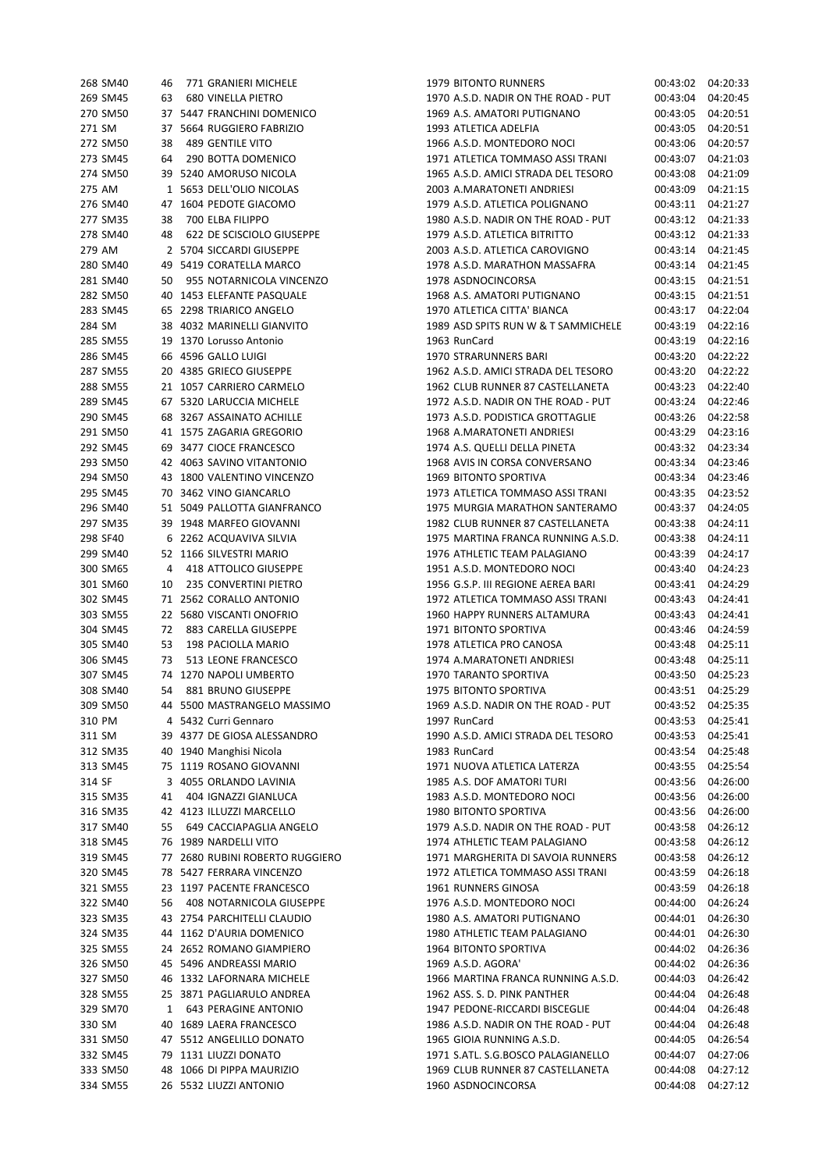| 268 SM40 | 46 | 771 GRANIERI MICHELE            | <b>1979 BITONTO RUNNERS</b>         | 00:43:02 | 04:20:33 |
|----------|----|---------------------------------|-------------------------------------|----------|----------|
| 269 SM45 | 63 | <b>680 VINELLA PIETRO</b>       | 1970 A.S.D. NADIR ON THE ROAD - PUT | 00:43:04 | 04:20:45 |
| 270 SM50 |    | 37 5447 FRANCHINI DOMENICO      | 1969 A.S. AMATORI PUTIGNANO         | 00:43:05 | 04:20:51 |
| 271 SM   |    | 37 5664 RUGGIERO FABRIZIO       | 1993 ATLETICA ADELFIA               | 00:43:05 | 04:20:51 |
| 272 SM50 | 38 | 489 GENTILE VITO                | 1966 A.S.D. MONTEDORO NOCI          | 00:43:06 | 04:20:57 |
| 273 SM45 | 64 | 290 BOTTA DOMENICO              | 1971 ATLETICA TOMMASO ASSI TRANI    | 00:43:07 | 04:21:03 |
| 274 SM50 |    | 39 5240 AMORUSO NICOLA          | 1965 A.S.D. AMICI STRADA DEL TESORO | 00:43:08 | 04:21:09 |
| 275 AM   |    | 1 5653 DELL'OLIO NICOLAS        | 2003 A.MARATONETI ANDRIESI          | 00:43:09 | 04:21:15 |
| 276 SM40 |    | 47 1604 PEDOTE GIACOMO          | 1979 A.S.D. ATLETICA POLIGNANO      | 00:43:11 | 04:21:27 |
| 277 SM35 | 38 | 700 ELBA FILIPPO                | 1980 A.S.D. NADIR ON THE ROAD - PUT | 00:43:12 | 04:21:33 |
| 278 SM40 | 48 | 622 DE SCISCIOLO GIUSEPPE       | 1979 A.S.D. ATLETICA BITRITTO       | 00:43:12 | 04:21:33 |
| 279 AM   |    | 2 5704 SICCARDI GIUSEPPE        | 2003 A.S.D. ATLETICA CAROVIGNO      | 00:43:14 | 04:21:45 |
| 280 SM40 |    | 49 5419 CORATELLA MARCO         | 1978 A.S.D. MARATHON MASSAFRA       | 00:43:14 | 04:21:45 |
| 281 SM40 |    | 50 955 NOTARNICOLA VINCENZO     | 1978 ASDNOCINCORSA                  | 00:43:15 | 04:21:51 |
| 282 SM50 |    | 40 1453 ELEFANTE PASQUALE       | 1968 A.S. AMATORI PUTIGNANO         | 00:43:15 | 04:21:51 |
| 283 SM45 |    | 65 2298 TRIARICO ANGELO         | 1970 ATLETICA CITTA' BIANCA         |          | 04:22:04 |
|          |    |                                 |                                     | 00:43:17 |          |
| 284 SM   |    | 38 4032 MARINELLI GIANVITO      | 1989 ASD SPITS RUN W & T SAMMICHELE | 00:43:19 | 04:22:16 |
| 285 SM55 |    | 19 1370 Lorusso Antonio         | 1963 RunCard                        | 00:43:19 | 04:22:16 |
| 286 SM45 |    | 66 4596 GALLO LUIGI             | 1970 STRARUNNERS BARI               | 00:43:20 | 04:22:22 |
| 287 SM55 |    | 20 4385 GRIECO GIUSEPPE         | 1962 A.S.D. AMICI STRADA DEL TESORO | 00:43:20 | 04:22:22 |
| 288 SM55 |    | 21 1057 CARRIERO CARMELO        | 1962 CLUB RUNNER 87 CASTELLANETA    | 00:43:23 | 04:22:40 |
| 289 SM45 |    | 67 5320 LARUCCIA MICHELE        | 1972 A.S.D. NADIR ON THE ROAD - PUT | 00:43:24 | 04:22:46 |
| 290 SM45 |    | 68 3267 ASSAINATO ACHILLE       | 1973 A.S.D. PODISTICA GROTTAGLIE    | 00:43:26 | 04:22:58 |
| 291 SM50 |    | 41 1575 ZAGARIA GREGORIO        | 1968 A.MARATONETI ANDRIESI          | 00:43:29 | 04:23:16 |
| 292 SM45 |    | 69 3477 CIOCE FRANCESCO         | 1974 A.S. QUELLI DELLA PINETA       | 00:43:32 | 04:23:34 |
| 293 SM50 |    | 42 4063 SAVINO VITANTONIO       | 1968 AVIS IN CORSA CONVERSANO       | 00:43:34 | 04:23:46 |
| 294 SM50 |    | 43 1800 VALENTINO VINCENZO      | 1969 BITONTO SPORTIVA               | 00:43:34 | 04:23:46 |
| 295 SM45 |    | 70 3462 VINO GIANCARLO          | 1973 ATLETICA TOMMASO ASSI TRANI    | 00:43:35 | 04:23:52 |
| 296 SM40 |    | 51 5049 PALLOTTA GIANFRANCO     | 1975 MURGIA MARATHON SANTERAMO      | 00:43:37 | 04:24:05 |
| 297 SM35 |    | 39 1948 MARFEO GIOVANNI         | 1982 CLUB RUNNER 87 CASTELLANETA    | 00:43:38 | 04:24:11 |
| 298 SF40 |    | 6 2262 ACQUAVIVA SILVIA         | 1975 MARTINA FRANCA RUNNING A.S.D.  | 00:43:38 | 04:24:11 |
| 299 SM40 |    | 52 1166 SILVESTRI MARIO         | 1976 ATHLETIC TEAM PALAGIANO        | 00:43:39 | 04:24:17 |
| 300 SM65 |    | 4 418 ATTOLICO GIUSEPPE         | 1951 A.S.D. MONTEDORO NOCI          | 00:43:40 | 04:24:23 |
| 301 SM60 | 10 | 235 CONVERTINI PIETRO           | 1956 G.S.P. III REGIONE AEREA BARI  | 00:43:41 | 04:24:29 |
| 302 SM45 |    | 71 2562 CORALLO ANTONIO         | 1972 ATLETICA TOMMASO ASSI TRANI    | 00:43:43 | 04:24:41 |
| 303 SM55 |    | 22 5680 VISCANTI ONOFRIO        | 1960 HAPPY RUNNERS ALTAMURA         | 00:43:43 | 04:24:41 |
| 304 SM45 | 72 | 883 CARELLA GIUSEPPE            | 1971 BITONTO SPORTIVA               | 00:43:46 | 04:24:59 |
|          |    |                                 |                                     |          |          |
| 305 SM40 | 53 | 198 PACIOLLA MARIO              | 1978 ATLETICA PRO CANOSA            | 00:43:48 | 04:25:11 |
| 306 SM45 | 73 | 513 LEONE FRANCESCO             | 1974 A.MARATONETI ANDRIESI          | 00:43:48 | 04:25:11 |
| 307 SM45 |    | 74 1270 NAPOLI UMBERTO          | 1970 TARANTO SPORTIVA               | 00:43:50 | 04:25:23 |
| 308 SM40 | 54 | 881 BRUNO GIUSEPPE              | 1975 BITONTO SPORTIVA               | 00:43:51 | 04:25:29 |
| 309 SM50 |    | 44 5500 MASTRANGELO MASSIMO     | 1969 A.S.D. NADIR ON THE ROAD - PUT | 00:43:52 | 04:25:35 |
| 310 PM   |    | 4 5432 Curri Gennaro            | 1997 RunCard                        | 00:43:53 | 04:25:41 |
| 311 SM   |    | 39 4377 DE GIOSA ALESSANDRO     | 1990 A.S.D. AMICI STRADA DEL TESORO | 00:43:53 | 04:25:41 |
| 312 SM35 |    | 40 1940 Manghisi Nicola         | 1983 RunCard                        | 00:43:54 | 04:25:48 |
| 313 SM45 |    | 75 1119 ROSANO GIOVANNI         | 1971 NUOVA ATLETICA LATERZA         | 00:43:55 | 04:25:54 |
| 314 SF   |    | 3 4055 ORLANDO LAVINIA          | 1985 A.S. DOF AMATORI TURI          | 00:43:56 | 04:26:00 |
| 315 SM35 | 41 | 404 IGNAZZI GIANLUCA            | 1983 A.S.D. MONTEDORO NOCI          | 00:43:56 | 04:26:00 |
| 316 SM35 |    | 42 4123 ILLUZZI MARCELLO        | 1980 BITONTO SPORTIVA               | 00:43:56 | 04:26:00 |
| 317 SM40 | 55 | 649 CACCIAPAGLIA ANGELO         | 1979 A.S.D. NADIR ON THE ROAD - PUT | 00:43:58 | 04:26:12 |
| 318 SM45 |    | 76 1989 NARDELLI VITO           | 1974 ATHLETIC TEAM PALAGIANO        | 00:43:58 | 04:26:12 |
| 319 SM45 |    | 77 2680 RUBINI ROBERTO RUGGIERO | 1971 MARGHERITA DI SAVOIA RUNNERS   | 00:43:58 | 04:26:12 |
| 320 SM45 |    | 78 5427 FERRARA VINCENZO        | 1972 ATLETICA TOMMASO ASSI TRANI    | 00:43:59 | 04:26:18 |
| 321 SM55 |    | 23 1197 PACENTE FRANCESCO       | 1961 RUNNERS GINOSA                 | 00:43:59 | 04:26:18 |
| 322 SM40 |    | 56 408 NOTARNICOLA GIUSEPPE     | 1976 A.S.D. MONTEDORO NOCI          | 00:44:00 | 04:26:24 |
| 323 SM35 |    | 43 2754 PARCHITELLI CLAUDIO     | 1980 A.S. AMATORI PUTIGNANO         | 00:44:01 | 04:26:30 |
| 324 SM35 |    | 44 1162 D'AURIA DOMENICO        | 1980 ATHLETIC TEAM PALAGIANO        | 00:44:01 | 04:26:30 |
| 325 SM55 |    | 24 2652 ROMANO GIAMPIERO        | 1964 BITONTO SPORTIVA               | 00:44:02 | 04:26:36 |
| 326 SM50 |    | 45 5496 ANDREASSI MARIO         | 1969 A.S.D. AGORA'                  | 00:44:02 | 04:26:36 |
| 327 SM50 |    | 46 1332 LAFORNARA MICHELE       | 1966 MARTINA FRANCA RUNNING A.S.D.  | 00:44:03 | 04:26:42 |
| 328 SM55 |    | 25 3871 PAGLIARULO ANDREA       | 1962 ASS. S. D. PINK PANTHER        | 00:44:04 | 04:26:48 |
| 329 SM70 | 1  | 643 PERAGINE ANTONIO            | 1947 PEDONE-RICCARDI BISCEGLIE      | 00:44:04 | 04:26:48 |
| 330 SM   |    | 40 1689 LAERA FRANCESCO         | 1986 A.S.D. NADIR ON THE ROAD - PUT | 00:44:04 | 04:26:48 |
|          |    |                                 |                                     |          |          |
| 331 SM50 |    | 47 5512 ANGELILLO DONATO        | 1965 GIOIA RUNNING A.S.D.           | 00:44:05 | 04:26:54 |
| 332 SM45 |    | 79 1131 LIUZZI DONATO           | 1971 S.ATL. S.G.BOSCO PALAGIANELLO  | 00:44:07 | 04:27:06 |
| 333 SM50 |    | 48 1066 DI PIPPA MAURIZIO       | 1969 CLUB RUNNER 87 CASTELLANETA    | 00:44:08 | 04:27:12 |
| 334 SM55 |    | 26 5532 LIUZZI ANTONIO          | 1960 ASDNOCINCORSA                  | 00:44:08 | 04:27:12 |

| 268 SM40 | 46      | 771 GRANIERI MICHELE            | 1979 BITONTO RUNNERS                | 00:43:02              | 04:20:33 |
|----------|---------|---------------------------------|-------------------------------------|-----------------------|----------|
| 269 SM45 | 63      | 680 VINELLA PIETRO              | 1970 A.S.D. NADIR ON THE ROAD - PUT | 00:43:04              | 04:20:45 |
| 270 SM50 |         | 37 5447 FRANCHINI DOMENICO      | 1969 A.S. AMATORI PUTIGNANO         | 00:43:05              | 04:20:51 |
| 271 SM   |         | 37 5664 RUGGIERO FABRIZIO       | 1993 ATLETICA ADELFIA               | 00:43:05              | 04:20:51 |
| 272 SM50 | 38      | 489 GENTILE VITO                | 1966 A.S.D. MONTEDORO NOCI          | 00:43:06              | 04:20:57 |
| 273 SM45 | 64      | 290 BOTTA DOMENICO              | 1971 ATLETICA TOMMASO ASSI TRANI    | 00:43:07              | 04:21:03 |
| 274 SM50 |         | 39 5240 AMORUSO NICOLA          | 1965 A.S.D. AMICI STRADA DEL TESORO | 00:43:08              | 04:21:09 |
| 275 AM   |         | 1 5653 DELL'OLIO NICOLAS        | 2003 A.MARATONETI ANDRIESI          | 00:43:09              | 04:21:15 |
| 276 SM40 |         | 47 1604 PEDOTE GIACOMO          | 1979 A.S.D. ATLETICA POLIGNANO      | 00:43:11              | 04:21:27 |
| 277 SM35 | 38      | 700 ELBA FILIPPO                | 1980 A.S.D. NADIR ON THE ROAD - PUT | 00:43:12              | 04:21:33 |
| 278 SM40 | 48      | 622 DE SCISCIOLO GIUSEPPE       | 1979 A.S.D. ATLETICA BITRITTO       | 00:43:12              | 04:21:33 |
| 279 AM   |         | 2 5704 SICCARDI GIUSEPPE        | 2003 A.S.D. ATLETICA CAROVIGNO      | 00:43:14              | 04:21:45 |
| 280 SM40 |         | 49 5419 CORATELLA MARCO         | 1978 A.S.D. MARATHON MASSAFRA       | 00:43:14              | 04:21:45 |
| 281 SM40 |         | 50 955 NOTARNICOLA VINCENZO     | 1978 ASDNOCINCORSA                  | 00:43:15              | 04:21:51 |
| 282 SM50 |         | 40 1453 ELEFANTE PASQUALE       | 1968 A.S. AMATORI PUTIGNANO         | 00:43:15              | 04:21:51 |
| 283 SM45 |         | 65 2298 TRIARICO ANGELO         | 1970 ATLETICA CITTA' BIANCA         | 00:43:17              | 04:22:04 |
| 284 SM   |         | 38 4032 MARINELLI GIANVITO      | 1989 ASD SPITS RUN W & T SAMMICHELE | 00:43:19              | 04:22:16 |
| 285 SM55 |         | 19 1370 Lorusso Antonio         | 1963 RunCard                        | 00:43:19              | 04:22:16 |
| 286 SM45 |         | 66 4596 GALLO LUIGI             | 1970 STRARUNNERS BARI               | 00:43:20              | 04:22:22 |
| 287 SM55 |         | 20 4385 GRIECO GIUSEPPE         | 1962 A.S.D. AMICI STRADA DEL TESORO | 00:43:20              | 04:22:22 |
| 288 SM55 |         | 21 1057 CARRIERO CARMELO        | 1962 CLUB RUNNER 87 CASTELLANETA    | 00:43:23              | 04:22:40 |
| 289 SM45 |         | 67 5320 LARUCCIA MICHELE        | 1972 A.S.D. NADIR ON THE ROAD - PUT | 00:43:24              | 04:22:46 |
| 290 SM45 |         | 68 3267 ASSAINATO ACHILLE       | 1973 A.S.D. PODISTICA GROTTAGLIE    | 00:43:26              | 04:22:58 |
| 291 SM50 |         | 41 1575 ZAGARIA GREGORIO        | 1968 A.MARATONETI ANDRIESI          | 00:43:29              | 04:23:16 |
| 292 SM45 |         | 69 3477 CIOCE FRANCESCO         | 1974 A.S. QUELLI DELLA PINETA       | 00:43:32              | 04:23:34 |
| 293 SM50 |         | 42 4063 SAVINO VITANTONIO       | 1968 AVIS IN CORSA CONVERSANO       | 00:43:34              | 04:23:46 |
| 294 SM50 |         | 43 1800 VALENTINO VINCENZO      | 1969 BITONTO SPORTIVA               | 00:43:34              | 04:23:46 |
| 295 SM45 |         | 70 3462 VINO GIANCARLO          | 1973 ATLETICA TOMMASO ASSI TRANI    | 00:43:35              | 04:23:52 |
| 296 SM40 |         | 51 5049 PALLOTTA GIANFRANCO     | 1975 MURGIA MARATHON SANTERAMO      | 00:43:37              | 04:24:05 |
| 297 SM35 |         | 39 1948 MARFEO GIOVANNI         | 1982 CLUB RUNNER 87 CASTELLANETA    | 00:43:38              | 04:24:11 |
| 298 SF40 |         | 6 2262 ACQUAVIVA SILVIA         | 1975 MARTINA FRANCA RUNNING A.S.D.  | 00:43:38              | 04:24:11 |
| 299 SM40 |         | 52 1166 SILVESTRI MARIO         | 1976 ATHLETIC TEAM PALAGIANO        | 00:43:39              | 04:24:17 |
| 300 SM65 |         | 418 ATTOLICO GIUSEPPE           | 1951 A.S.D. MONTEDORO NOCI          | 00:43:40              | 04:24:23 |
|          | 4<br>10 |                                 | 1956 G.S.P. III REGIONE AEREA BARI  |                       | 04:24:29 |
| 301 SM60 |         | 235 CONVERTINI PIETRO           |                                     | 00:43:41              |          |
| 302 SM45 |         | 71 2562 CORALLO ANTONIO         | 1972 ATLETICA TOMMASO ASSI TRANI    | 00:43:43              | 04:24:41 |
| 303 SM55 |         | 22 5680 VISCANTI ONOFRIO        | 1960 HAPPY RUNNERS ALTAMURA         | 00:43:43              | 04:24:41 |
| 304 SM45 |         | 72 883 CARELLA GIUSEPPE         | 1971 BITONTO SPORTIVA               | 00:43:46              | 04:24:59 |
| 305 SM40 | 53      | 198 PACIOLLA MARIO              | 1978 ATLETICA PRO CANOSA            | 00:43:48              | 04:25:11 |
| 306 SM45 | 73      | 513 LEONE FRANCESCO             | 1974 A.MARATONETI ANDRIESI          | 00:43:48              | 04:25:11 |
| 307 SM45 |         | 74 1270 NAPOLI UMBERTO          | 1970 TARANTO SPORTIVA               | 00:43:50              | 04:25:23 |
| 308 SM40 | 54      | 881 BRUNO GIUSEPPE              | 1975 BITONTO SPORTIVA               | 00:43:51              | 04:25:29 |
| 309 SM50 |         | 44 5500 MASTRANGELO MASSIMO     | 1969 A.S.D. NADIR ON THE ROAD - PUT | 00:43:52              | 04:25:35 |
| 310 PM   |         | 4 5432 Curri Gennaro            | 1997 RunCard                        | 00:43:53              | 04:25:41 |
| 311 SM   |         | 39 4377 DE GIOSA ALESSANDRO     | 1990 A.S.D. AMICI STRADA DEL TESORO | 00:43:53              | 04:25:41 |
| 312 SM35 |         | 40 1940 Manghisi Nicola         | 1983 RunCard                        | 00:43:54              | 04:25:48 |
| 313 SM45 |         | 75 1119 ROSANO GIOVANNI         | 1971 NUOVA ATLETICA LATERZA         | 00:43:55              | 04:25:54 |
| 314 SF   |         | 3 4055 ORLANDO LAVINIA          | 1985 A.S. DOF AMATORI TURI          | 00:43:56              | 04:26:00 |
| 315 SM35 | 41      | 404 IGNAZZI GIANLUCA            | 1983 A.S.D. MONTEDORO NOCI          | 00:43:56              | 04:26:00 |
| 316 SM35 |         | 42 4123 ILLUZZI MARCELLO        | 1980 BITONTO SPORTIVA               | 00:43:56              | 04:26:00 |
| 317 SM40 | 55      | 649 CACCIAPAGLIA ANGELO         | 1979 A.S.D. NADIR ON THE ROAD - PUT | 00:43:58              | 04:26:12 |
| 318 SM45 |         | 76 1989 NARDELLI VITO           | 1974 ATHLETIC TEAM PALAGIANO        | 00:43:58              | 04:26:12 |
| 319 SM45 |         | 77 2680 RUBINI ROBERTO RUGGIERO | 1971 MARGHERITA DI SAVOIA RUNNERS   | 00:43:58              | 04:26:12 |
| 320 SM45 |         | 78 5427 FERRARA VINCENZO        | 1972 ATLETICA TOMMASO ASSI TRANI    | 00:43:59              | 04:26:18 |
| 321 SM55 |         | 23 1197 PACENTE FRANCESCO       | 1961 RUNNERS GINOSA                 | 00:43:59              | 04:26:18 |
| 322 SM40 |         | 56 408 NOTARNICOLA GIUSEPPE     | 1976 A.S.D. MONTEDORO NOCI          | 00:44:00              | 04:26:24 |
| 323 SM35 |         | 43 2754 PARCHITELLI CLAUDIO     | 1980 A.S. AMATORI PUTIGNANO         | 00:44:01              | 04:26:30 |
| 324 SM35 |         | 44 1162 D'AURIA DOMENICO        | 1980 ATHLETIC TEAM PALAGIANO        | 00:44:01              | 04:26:30 |
| 325 SM55 |         | 24 2652 ROMANO GIAMPIERO        | 1964 BITONTO SPORTIVA               | 00:44:02              | 04:26:36 |
| 326 SM50 |         | 45 5496 ANDREASSI MARIO         | 1969 A.S.D. AGORA'                  | 00:44:02              | 04:26:36 |
| 327 SM50 |         | 46 1332 LAFORNARA MICHELE       | 1966 MARTINA FRANCA RUNNING A.S.D.  | 00:44:03              | 04:26:42 |
| 328 SM55 |         | 25 3871 PAGLIARULO ANDREA       | 1962 ASS. S. D. PINK PANTHER        | 00:44:04              | 04:26:48 |
| 329 SM70 |         | 1 643 PERAGINE ANTONIO          | 1947 PEDONE-RICCARDI BISCEGLIE      | 00:44:04              | 04:26:48 |
| 330 SM   |         | 40 1689 LAERA FRANCESCO         | 1986 A.S.D. NADIR ON THE ROAD - PUT | 00:44:04              | 04:26:48 |
| 331 SM50 |         | 47 5512 ANGELILLO DONATO        | 1965 GIOIA RUNNING A.S.D.           | 00:44:05              | 04:26:54 |
| 332 SM45 |         | 79 1131 LIUZZI DONATO           | 1971 S.ATL. S.G.BOSCO PALAGIANELLO  | 00:44:07              | 04:27:06 |
| 333 SM50 |         | 48 1066 DI PIPPA MAURIZIO       | 1969 CLUB RUNNER 87 CASTELLANETA    | 00:44:08              | 04:27:12 |
| 334 SM55 |         | 26 5532 HUZZLANTONIO            | 1960 ASDNOCINCORSA                  | $00:44:08$ $04:27:12$ |          |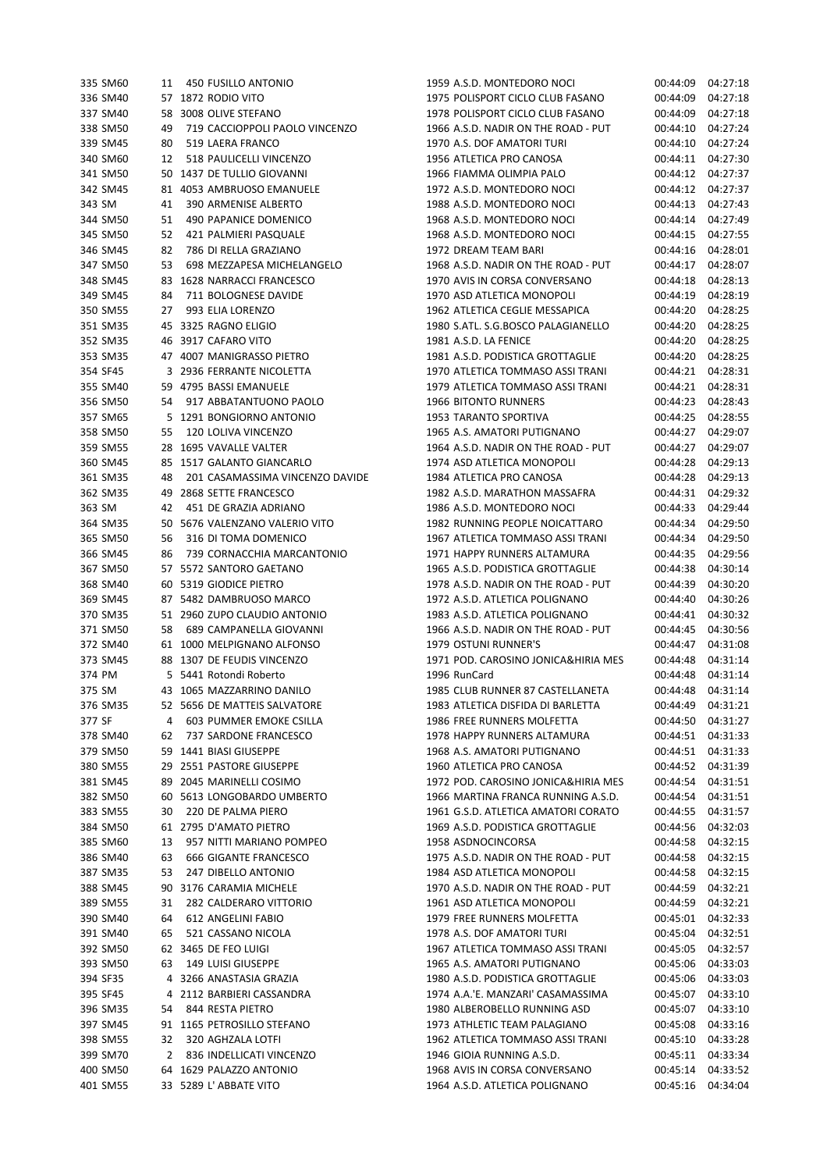| 335 SM60 | 450 FUSILLO ANTONIO<br>11             | 1959 A.S.D. MONTEDORO NOCI          | 00:44:09 | 04:27:18 |
|----------|---------------------------------------|-------------------------------------|----------|----------|
| 336 SM40 | 57 1872 RODIO VITO                    | 1975 POLISPORT CICLO CLUB FASANO    | 00:44:09 | 04:27:18 |
| 337 SM40 | 58 3008 OLIVE STEFANO                 | 1978 POLISPORT CICLO CLUB FASANO    | 00:44:09 | 04:27:18 |
| 338 SM50 | 49<br>719 CACCIOPPOLI PAOLO VINCENZO  | 1966 A.S.D. NADIR ON THE ROAD - PUT | 00:44:10 | 04:27:24 |
| 339 SM45 | 80<br>519 LAERA FRANCO                | 1970 A.S. DOF AMATORI TURI          | 00:44:10 | 04:27:24 |
| 340 SM60 | 518 PAULICELLI VINCENZO<br>12         | 1956 ATLETICA PRO CANOSA            | 00:44:11 | 04:27:30 |
| 341 SM50 | 50 1437 DE TULLIO GIOVANNI            | 1966 FIAMMA OLIMPIA PALO            | 00:44:12 | 04:27:37 |
|          |                                       |                                     |          |          |
| 342 SM45 | 81 4053 AMBRUOSO EMANUELE             | 1972 A.S.D. MONTEDORO NOCI          | 00:44:12 | 04:27:37 |
| 343 SM   | 41<br>390 ARMENISE ALBERTO            | 1988 A.S.D. MONTEDORO NOCI          | 00:44:13 | 04:27:43 |
| 344 SM50 | 51<br>490 PAPANICE DOMENICO           | 1968 A.S.D. MONTEDORO NOCI          | 00:44:14 | 04:27:49 |
| 345 SM50 | 52<br>421 PALMIERI PASQUALE           | 1968 A.S.D. MONTEDORO NOCI          | 00:44:15 | 04:27:55 |
| 346 SM45 | 82<br>786 DI RELLA GRAZIANO           | 1972 DREAM TEAM BARI                | 00:44:16 | 04:28:01 |
| 347 SM50 | 698 MEZZAPESA MICHELANGELO<br>53      | 1968 A.S.D. NADIR ON THE ROAD - PUT | 00:44:17 | 04:28:07 |
| 348 SM45 | 83 1628 NARRACCI FRANCESCO            | 1970 AVIS IN CORSA CONVERSANO       | 00:44:18 | 04:28:13 |
| 349 SM45 | 711 BOLOGNESE DAVIDE<br>84            | 1970 ASD ATLETICA MONOPOLI          | 00:44:19 | 04:28:19 |
| 350 SM55 | 27<br>993 ELIA LORENZO                | 1962 ATLETICA CEGLIE MESSAPICA      | 00:44:20 | 04:28:25 |
| 351 SM35 | 45 3325 RAGNO ELIGIO                  | 1980 S.ATL. S.G.BOSCO PALAGIANELLO  | 00:44:20 | 04:28:25 |
| 352 SM35 | 46 3917 CAFARO VITO                   | 1981 A.S.D. LA FENICE               | 00:44:20 | 04:28:25 |
|          |                                       |                                     |          |          |
| 353 SM35 | 47 4007 MANIGRASSO PIETRO             | 1981 A.S.D. PODISTICA GROTTAGLIE    | 00:44:20 | 04:28:25 |
| 354 SF45 | 3 2936 FERRANTE NICOLETTA             | 1970 ATLETICA TOMMASO ASSI TRANI    | 00:44:21 | 04:28:31 |
| 355 SM40 | 59 4795 BASSI EMANUELE                | 1979 ATLETICA TOMMASO ASSI TRANI    | 00:44:21 | 04:28:31 |
| 356 SM50 | 54<br>917 ABBATANTUONO PAOLO          | <b>1966 BITONTO RUNNERS</b>         | 00:44:23 | 04:28:43 |
| 357 SM65 | 5 1291 BONGIORNO ANTONIO              | 1953 TARANTO SPORTIVA               | 00:44:25 | 04:28:55 |
| 358 SM50 | 120 LOLIVA VINCENZO<br>55             | 1965 A.S. AMATORI PUTIGNANO         | 00:44:27 | 04:29:07 |
| 359 SM55 | 28 1695 VAVALLE VALTER                | 1964 A.S.D. NADIR ON THE ROAD - PUT | 00:44:27 | 04:29:07 |
| 360 SM45 | 85 1517 GALANTO GIANCARLO             | 1974 ASD ATLETICA MONOPOLI          | 00:44:28 | 04:29:13 |
| 361 SM35 | 201 CASAMASSIMA VINCENZO DAVIDE<br>48 | 1984 ATLETICA PRO CANOSA            | 00:44:28 | 04:29:13 |
| 362 SM35 | 49 2868 SETTE FRANCESCO               | 1982 A.S.D. MARATHON MASSAFRA       | 00:44:31 | 04:29:32 |
| 363 SM   | 451 DE GRAZIA ADRIANO<br>42           | 1986 A.S.D. MONTEDORO NOCI          | 00:44:33 | 04:29:44 |
| 364 SM35 | 50 5676 VALENZANO VALERIO VITO        | 1982 RUNNING PEOPLE NOICATTARO      | 00:44:34 | 04:29:50 |
| 365 SM50 | 316 DI TOMA DOMENICO<br>56            | 1967 ATLETICA TOMMASO ASSI TRANI    | 00:44:34 | 04:29:50 |
|          |                                       |                                     |          |          |
| 366 SM45 | 86<br>739 CORNACCHIA MARCANTONIO      | 1971 HAPPY RUNNERS ALTAMURA         | 00:44:35 | 04:29:56 |
| 367 SM50 | 57 5572 SANTORO GAETANO               | 1965 A.S.D. PODISTICA GROTTAGLIE    | 00:44:38 | 04:30:14 |
| 368 SM40 | 60 5319 GIODICE PIETRO                | 1978 A.S.D. NADIR ON THE ROAD - PUT | 00:44:39 | 04:30:20 |
| 369 SM45 | 87 5482 DAMBRUOSO MARCO               | 1972 A.S.D. ATLETICA POLIGNANO      | 00:44:40 | 04:30:26 |
| 370 SM35 | 51 2960 ZUPO CLAUDIO ANTONIO          | 1983 A.S.D. ATLETICA POLIGNANO      | 00:44:41 | 04:30:32 |
| 371 SM50 | 689 CAMPANELLA GIOVANNI<br>58         | 1966 A.S.D. NADIR ON THE ROAD - PUT | 00:44:45 | 04:30:56 |
| 372 SM40 | 61 1000 MELPIGNANO ALFONSO            | 1979 OSTUNI RUNNER'S                | 00:44:47 | 04:31:08 |
| 373 SM45 | 88 1307 DE FEUDIS VINCENZO            | 1971 POD. CAROSINO JONICA&HIRIA MES | 00:44:48 | 04:31:14 |
| 374 PM   | 5 5441 Rotondi Roberto                | 1996 RunCard                        | 00:44:48 | 04:31:14 |
| 375 SM   | 43 1065 MAZZARRINO DANILO             | 1985 CLUB RUNNER 87 CASTELLANETA    | 00:44:48 | 04:31:14 |
| 376 SM35 | 52 5656 DE MATTEIS SALVATORE          | 1983 ATLETICA DISFIDA DI BARLETTA   | 00:44:49 | 04:31:21 |
|          |                                       |                                     |          |          |
| 377 SF   | 603 PUMMER EMOKE CSILLA<br>4          | 1986 FREE RUNNERS MOLFETTA          | 00:44:50 | 04:31:27 |
| 378 SM40 | 62<br>737 SARDONE FRANCESCO           | 1978 HAPPY RUNNERS ALTAMURA         | 00:44:51 | 04:31:33 |
| 379 SM50 | 59 1441 BIASI GIUSEPPE                | 1968 A.S. AMATORI PUTIGNANO         | 00:44:51 | 04:31:33 |
| 380 SM55 | 29 2551 PASTORE GIUSEPPE              | 1960 ATLETICA PRO CANOSA            | 00:44:52 | 04:31:39 |
| 381 SM45 | 89 2045 MARINELLI COSIMO              | 1972 POD. CAROSINO JONICA&HIRIA MES | 00:44:54 | 04:31:51 |
| 382 SM50 | 60 5613 LONGOBARDO UMBERTO            | 1966 MARTINA FRANCA RUNNING A.S.D.  | 00:44:54 | 04:31:51 |
| 383 SM55 | 220 DE PALMA PIERO<br>30              | 1961 G.S.D. ATLETICA AMATORI CORATO | 00:44:55 | 04:31:57 |
| 384 SM50 | 61 2795 D'AMATO PIETRO                | 1969 A.S.D. PODISTICA GROTTAGLIE    | 00:44:56 | 04:32:03 |
| 385 SM60 | 13<br>957 NITTI MARIANO POMPEO        | 1958 ASDNOCINCORSA                  | 00:44:58 | 04:32:15 |
| 386 SM40 | 666 GIGANTE FRANCESCO<br>63           | 1975 A.S.D. NADIR ON THE ROAD - PUT | 00:44:58 | 04:32:15 |
| 387 SM35 | 247 DIBELLO ANTONIO<br>53             | 1984 ASD ATLETICA MONOPOLI          | 00:44:58 | 04:32:15 |
| 388 SM45 | 90 3176 CARAMIA MICHELE               | 1970 A.S.D. NADIR ON THE ROAD - PUT | 00:44:59 | 04:32:21 |
|          |                                       |                                     |          |          |
| 389 SM55 | 31<br>282 CALDERARO VITTORIO          | 1961 ASD ATLETICA MONOPOLI          | 00:44:59 | 04:32:21 |
| 390 SM40 | 64<br>612 ANGELINI FABIO              | 1979 FREE RUNNERS MOLFETTA          | 00:45:01 | 04:32:33 |
| 391 SM40 | 521 CASSANO NICOLA<br>65              | 1978 A.S. DOF AMATORI TURI          | 00:45:04 | 04:32:51 |
| 392 SM50 | 62 3465 DE FEO LUIGI                  | 1967 ATLETICA TOMMASO ASSI TRANI    | 00:45:05 | 04:32:57 |
| 393 SM50 | 149 LUISI GIUSEPPE<br>63              | 1965 A.S. AMATORI PUTIGNANO         | 00:45:06 | 04:33:03 |
| 394 SF35 | 4 3266 ANASTASIA GRAZIA               | 1980 A.S.D. PODISTICA GROTTAGLIE    | 00:45:06 | 04:33:03 |
| 395 SF45 | 4 2112 BARBIERI CASSANDRA             | 1974 A.A.'E. MANZARI' CASAMASSIMA   | 00:45:07 | 04:33:10 |
| 396 SM35 | 844 RESTA PIETRO<br>54                | 1980 ALBEROBELLO RUNNING ASD        | 00:45:07 | 04:33:10 |
| 397 SM45 | 91 1165 PETROSILLO STEFANO            | 1973 ATHLETIC TEAM PALAGIANO        | 00:45:08 | 04:33:16 |
| 398 SM55 | 32<br>320 AGHZALA LOTFI               | 1962 ATLETICA TOMMASO ASSI TRANI    | 00:45:10 | 04:33:28 |
|          |                                       |                                     |          |          |
| 399 SM70 | 2<br>836 INDELLICATI VINCENZO         | 1946 GIOIA RUNNING A.S.D.           | 00:45:11 | 04:33:34 |
| 400 SM50 | 64 1629 PALAZZO ANTONIO               | 1968 AVIS IN CORSA CONVERSANO       | 00:45:14 | 04:33:52 |
| 401 SM55 | 33 5289 L'ABBATE VITO                 | 1964 A.S.D. ATLETICA POLIGNANO      | 00:45:16 | 04:34:04 |

| 335 SM60           | 11 | 450 FUSILLO ANTONIO                                   | 1959 A.S.D. MONTEDORO NOCI          | 00:44:09              | 04:27:18             |
|--------------------|----|-------------------------------------------------------|-------------------------------------|-----------------------|----------------------|
| 336 SM40           |    | 57 1872 RODIO VITO                                    | 1975 POLISPORT CICLO CLUB FASANO    | 00:44:09              | 04:27:18             |
| 337 SM40           |    | 58 3008 OLIVE STEFANO                                 | 1978 POLISPORT CICLO CLUB FASANO    | 00:44:09              | 04:27:18             |
| 338 SM50           | 49 | 719 CACCIOPPOLI PAOLO VINCENZO                        | 1966 A.S.D. NADIR ON THE ROAD - PUT | 00:44:10              | 04:27:24             |
| 339 SM45           | 80 | 519 LAERA FRANCO                                      | 1970 A.S. DOF AMATORI TURI          | 00:44:10              | 04:27:24             |
| 340 SM60           | 12 | 518 PAULICELLI VINCENZO                               | 1956 ATLETICA PRO CANOSA            | 00:44:11              | 04:27:30             |
| 341 SM50           |    | 50 1437 DE TULLIO GIOVANNI                            | 1966 FIAMMA OLIMPIA PALO            | 00:44:12              | 04:27:37             |
| 342 SM45           |    | 81 4053 AMBRUOSO EMANUELE                             | 1972 A.S.D. MONTEDORO NOCI          | 00:44:12              | 04:27:37             |
| 343 SM             | 41 | 390 ARMENISE ALBERTO                                  | 1988 A.S.D. MONTEDORO NOCI          | 00:44:13              | 04:27:43             |
| 344 SM50           | 51 | 490 PAPANICE DOMENICO                                 | 1968 A.S.D. MONTEDORO NOCI          | 00:44:14              | 04:27:49             |
| 345 SM50           | 52 | 421 PALMIERI PASQUALE                                 | 1968 A.S.D. MONTEDORO NOCI          | 00:44:15              | 04:27:55             |
| 346 SM45           | 82 | 786 DI RELLA GRAZIANO                                 | 1972 DREAM TEAM BARI                | 00:44:16              | 04:28:01             |
| 347 SM50           | 53 | 698 MEZZAPESA MICHELANGELO                            | 1968 A.S.D. NADIR ON THE ROAD - PUT | 00:44:17              | 04:28:07             |
| 348 SM45           |    | 83 1628 NARRACCI FRANCESCO                            | 1970 AVIS IN CORSA CONVERSANO       | 00:44:18              | 04:28:13             |
| 349 SM45           | 84 | 711 BOLOGNESE DAVIDE                                  | 1970 ASD ATLETICA MONOPOLI          | 00:44:19              | 04:28:19             |
| 350 SM55           | 27 | 993 ELIA LORENZO                                      | 1962 ATLETICA CEGLIE MESSAPICA      | 00:44:20              | 04:28:25             |
| 351 SM35           |    | 45 3325 RAGNO ELIGIO                                  | 1980 S.ATL. S.G.BOSCO PALAGIANELLO  | 00:44:20              | 04:28:25             |
| 352 SM35           |    | 46 3917 CAFARO VITO                                   | 1981 A.S.D. LA FENICE               | 00:44:20              | 04:28:25             |
| 353 SM35           |    | 47 4007 MANIGRASSO PIETRO                             | 1981 A.S.D. PODISTICA GROTTAGLIE    | 00:44:20              | 04:28:25             |
| 354 SF45           |    | 3 2936 FERRANTE NICOLETTA                             | 1970 ATLETICA TOMMASO ASSI TRANI    | 00:44:21              | 04:28:31             |
| 355 SM40           |    | 59 4795 BASSI EMANUELE                                | 1979 ATLETICA TOMMASO ASSI TRANI    | 00:44:21              | 04:28:31             |
| 356 SM50           |    | 54 917 ABBATANTUONO PAOLO                             | <b>1966 BITONTO RUNNERS</b>         | 00:44:23              | 04:28:43             |
| 357 SM65           |    | 5 1291 BONGIORNO ANTONIO                              | 1953 TARANTO SPORTIVA               | 00:44:25              | 04:28:55             |
| 358 SM50           | 55 | 120 LOLIVA VINCENZO                                   | 1965 A.S. AMATORI PUTIGNANO         | 00:44:27              | 04:29:07             |
| 359 SM55           |    | 28 1695 VAVALLE VALTER                                | 1964 A.S.D. NADIR ON THE ROAD - PUT | 00:44:27              | 04:29:07             |
| 360 SM45           |    | 85 1517 GALANTO GIANCARLO                             | 1974 ASD ATLETICA MONOPOLI          | 00:44:28              | 04:29:13             |
| 361 SM35           | 48 | 201 CASAMASSIMA VINCENZO DAVIDE                       | 1984 ATLETICA PRO CANOSA            | 00:44:28              | 04:29:13             |
| 362 SM35           |    | 49 2868 SETTE FRANCESCO                               | 1982 A.S.D. MARATHON MASSAFRA       | 00:44:31              | 04:29:32             |
| 363 SM             |    | 42 451 DE GRAZIA ADRIANO                              | 1986 A.S.D. MONTEDORO NOCI          | 00:44:33              | 04:29:44             |
| 364 SM35           |    | 50 5676 VALENZANO VALERIO VITO                        | 1982 RUNNING PEOPLE NOICATTARO      | 00:44:34              | 04:29:50             |
| 365 SM50           | 56 | 316 DI TOMA DOMENICO                                  | 1967 ATLETICA TOMMASO ASSI TRANI    | 00:44:34              | 04:29:50             |
| 366 SM45           | 86 | 739 CORNACCHIA MARCANTONIO                            | 1971 HAPPY RUNNERS ALTAMURA         | 00:44:35              | 04:29:56             |
| 367 SM50           |    | 57 5572 SANTORO GAETANO                               | 1965 A.S.D. PODISTICA GROTTAGLIE    | 00:44:38              | 04:30:14             |
| 368 SM40           |    | 60 5319 GIODICE PIETRO                                | 1978 A.S.D. NADIR ON THE ROAD - PUT | 00:44:39              | 04:30:20             |
| 369 SM45           |    | 87 5482 DAMBRUOSO MARCO                               | 1972 A.S.D. ATLETICA POLIGNANO      | 00:44:40              | 04:30:26             |
| 370 SM35           |    | 51 2960 ZUPO CLAUDIO ANTONIO                          | 1983 A.S.D. ATLETICA POLIGNANO      | 00:44:41              | 04:30:32             |
| 371 SM50           | 58 | 689 CAMPANELLA GIOVANNI                               | 1966 A.S.D. NADIR ON THE ROAD - PUT | 00:44:45              | 04:30:56             |
| 372 SM40           |    | 61 1000 MELPIGNANO ALFONSO                            | 1979 OSTUNI RUNNER'S                | 00:44:47              | 04:31:08             |
| 373 SM45           |    | 88 1307 DE FEUDIS VINCENZO                            | 1971 POD. CAROSINO JONICA&HIRIA MES | 00:44:48              | 04:31:14             |
| 374 PM             |    | 5 5441 Rotondi Roberto                                | 1996 RunCard                        | 00:44:48              | 04:31:14             |
| 375 SM             |    | 43 1065 MAZZARRINO DANILO                             | 1985 CLUB RUNNER 87 CASTELLANETA    | 00:44:48 04:31:14     |                      |
|                    |    |                                                       | 1983 ATLETICA DISFIDA DI BARLETTA   |                       |                      |
| 376 SM35<br>377 SF |    | 52 5656 DE MATTEIS SALVATORE                          |                                     | 00:44:49              | 04:31:21             |
|                    |    | 4 603 PUMMER EMOKE CSILLA<br>62 737 SARDONE FRANCESCO | 1986 FREE RUNNERS MOLFETTA          | 00:44:50<br>00:44:51  | 04:31:27             |
| 378 SM40           |    |                                                       | 1978 HAPPY RUNNERS ALTAMURA         | 00:44:51              | 04:31:33<br>04:31:33 |
| 379 SM50           |    | 59 1441 BIASI GIUSEPPE<br>29 2551 PASTORE GIUSEPPE    | 1968 A.S. AMATORI PUTIGNANO         |                       |                      |
| 380 SM55           |    |                                                       | 1960 ATLETICA PRO CANOSA            | 00:44:52              | 04:31:39             |
| 381 SM45           |    | 89 2045 MARINELLI COSIMO                              | 1972 POD. CAROSINO JONICA&HIRIA MES | 00:44:54              | 04:31:51             |
| 382 SM50           |    | 60 5613 LONGOBARDO UMBERTO                            | 1966 MARTINA FRANCA RUNNING A.S.D.  | 00:44:54              | 04:31:51             |
| 383 SM55           | 30 | 220 DE PALMA PIERO                                    | 1961 G.S.D. ATLETICA AMATORI CORATO | 00:44:55              | 04:31:57             |
| 384 SM50           |    | 61 2795 D'AMATO PIETRO                                | 1969 A.S.D. PODISTICA GROTTAGLIE    | 00:44:56              | 04:32:03             |
| 385 SM60           | 13 | 957 NITTI MARIANO POMPEO                              | 1958 ASDNOCINCORSA                  | 00:44:58              | 04:32:15             |
| 386 SM40           | 63 | 666 GIGANTE FRANCESCO                                 | 1975 A.S.D. NADIR ON THE ROAD - PUT | 00:44:58              | 04:32:15             |
| 387 SM35           | 53 | 247 DIBELLO ANTONIO                                   | 1984 ASD ATLETICA MONOPOLI          | 00:44:58              | 04:32:15             |
| 388 SM45           |    | 90 3176 CARAMIA MICHELE                               | 1970 A.S.D. NADIR ON THE ROAD - PUT | 00:44:59              | 04:32:21             |
| 389 SM55           | 31 | 282 CALDERARO VITTORIO                                | 1961 ASD ATLETICA MONOPOLI          | 00:44:59              | 04:32:21             |
| 390 SM40           | 64 | 612 ANGELINI FABIO                                    | 1979 FREE RUNNERS MOLFETTA          | 00:45:01              | 04:32:33             |
| 391 SM40           | 65 | 521 CASSANO NICOLA                                    | 1978 A.S. DOF AMATORI TURI          | 00:45:04              | 04:32:51             |
| 392 SM50           |    | 62 3465 DE FEO LUIGI                                  | 1967 ATLETICA TOMMASO ASSI TRANI    | 00:45:05              | 04:32:57             |
| 393 SM50           |    | 63 149 LUISI GIUSEPPE                                 | 1965 A.S. AMATORI PUTIGNANO         | 00:45:06              | 04:33:03             |
| 394 SF35           |    | 4 3266 ANASTASIA GRAZIA                               | 1980 A.S.D. PODISTICA GROTTAGLIE    | 00:45:06              | 04:33:03             |
| 395 SF45           |    | 4 2112 BARBIERI CASSANDRA                             | 1974 A.A.'E. MANZARI' CASAMASSIMA   | 00:45:07              | 04:33:10             |
| 396 SM35           |    | 54 844 RESTA PIETRO                                   | 1980 ALBEROBELLO RUNNING ASD        | 00:45:07              | 04:33:10             |
| 397 SM45           |    | 91 1165 PETROSILLO STEFANO                            | 1973 ATHLETIC TEAM PALAGIANO        | 00:45:08              | 04:33:16             |
| 398 SM55           |    | 32 320 AGHZALA LOTFI                                  | 1962 ATLETICA TOMMASO ASSI TRANI    | 00:45:10              | 04:33:28             |
| 399 SM70           |    | 2 836 INDELLICATI VINCENZO                            | 1946 GIOIA RUNNING A.S.D.           | 00:45:11              | 04:33:34             |
| 400 SM50           |    | 64 1629 PALAZZO ANTONIO                               | 1968 AVIS IN CORSA CONVERSANO       | 00:45:14              | 04:33:52             |
| 401 SM55           |    | 33 5289 I' ABBATE VITO                                | 1964 A.S.D. ATI FTICA POLIGNANO     | $00:45:16$ $04:34:04$ |                      |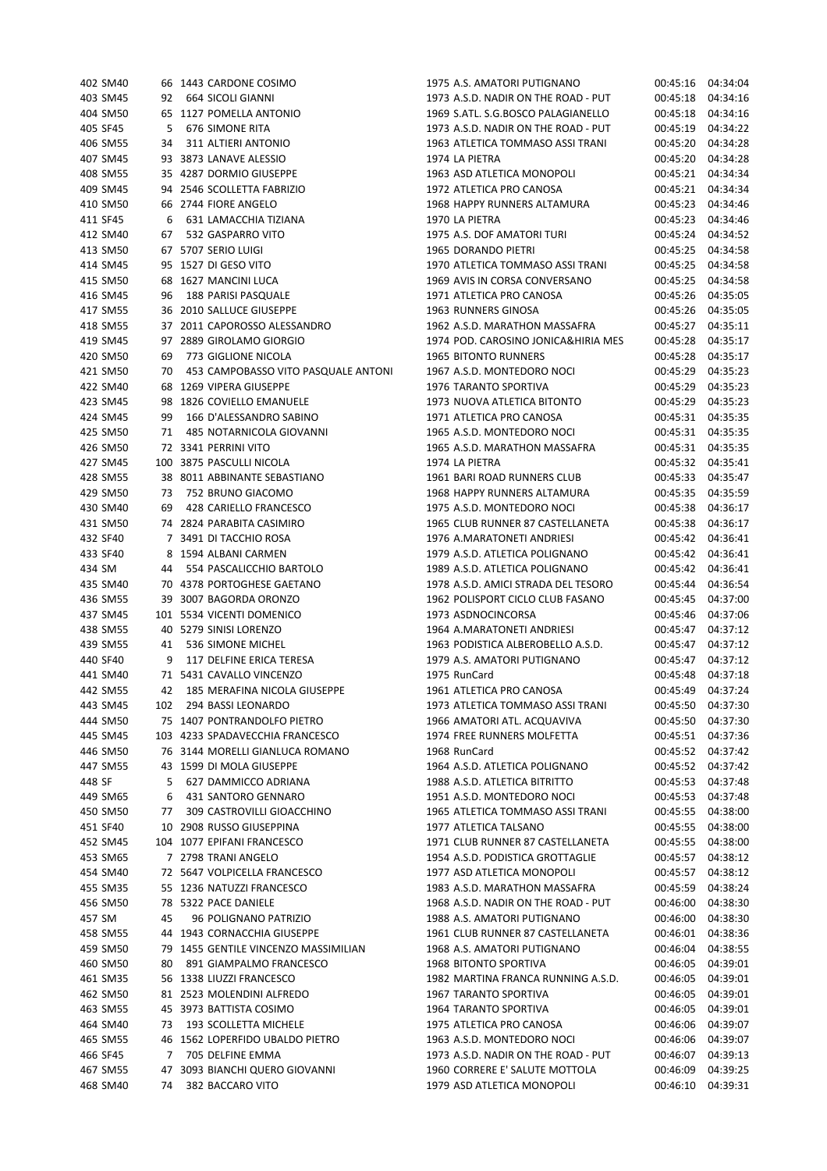| 402 SM40 |     | 66 1443 CARDONE COSIMO               | 1975 A.S. AMATORI PUTIGNANO         | 00:45:16 | 04:34:04 |
|----------|-----|--------------------------------------|-------------------------------------|----------|----------|
| 403 SM45 | 92  | 664 SICOLI GIANNI                    | 1973 A.S.D. NADIR ON THE ROAD - PUT | 00:45:18 | 04:34:16 |
| 404 SM50 |     | 65 1127 POMELLA ANTONIO              | 1969 S.ATL. S.G.BOSCO PALAGIANELLO  | 00:45:18 | 04:34:16 |
| 405 SF45 | 5   | 676 SIMONE RITA                      | 1973 A.S.D. NADIR ON THE ROAD - PUT | 00:45:19 | 04:34:22 |
| 406 SM55 | 34  | 311 ALTIERI ANTONIO                  | 1963 ATLETICA TOMMASO ASSI TRANI    | 00:45:20 | 04:34:28 |
| 407 SM45 |     | 93 3873 LANAVE ALESSIO               | 1974 LA PIETRA                      | 00:45:20 | 04:34:28 |
| 408 SM55 |     | 35 4287 DORMIO GIUSEPPE              | 1963 ASD ATLETICA MONOPOLI          | 00:45:21 | 04:34:34 |
| 409 SM45 |     | 94 2546 SCOLLETTA FABRIZIO           | 1972 ATLETICA PRO CANOSA            | 00:45:21 | 04:34:34 |
| 410 SM50 |     | 66 2744 FIORE ANGELO                 | 1968 HAPPY RUNNERS ALTAMURA         | 00:45:23 | 04:34:46 |
| 411 SF45 | 6   | 631 LAMACCHIA TIZIANA                | 1970 LA PIETRA                      | 00:45:23 | 04:34:46 |
| 412 SM40 | 67  | 532 GASPARRO VITO                    | 1975 A.S. DOF AMATORI TURI          | 00:45:24 | 04:34:52 |
| 413 SM50 |     | 67 5707 SERIO LUIGI                  | 1965 DORANDO PIETRI                 | 00:45:25 | 04:34:58 |
| 414 SM45 |     | 95 1527 DI GESO VITO                 | 1970 ATLETICA TOMMASO ASSI TRANI    | 00:45:25 | 04:34:58 |
| 415 SM50 |     | 68 1627 MANCINI LUCA                 | 1969 AVIS IN CORSA CONVERSANO       | 00:45:25 | 04:34:58 |
| 416 SM45 | 96  | 188 PARISI PASQUALE                  | 1971 ATLETICA PRO CANOSA            | 00:45:26 | 04:35:05 |
| 417 SM55 |     | 36 2010 SALLUCE GIUSEPPE             | 1963 RUNNERS GINOSA                 | 00:45:26 | 04:35:05 |
| 418 SM55 |     | 37 2011 CAPOROSSO ALESSANDRO         | 1962 A.S.D. MARATHON MASSAFRA       | 00:45:27 | 04:35:11 |
| 419 SM45 |     | 97 2889 GIROLAMO GIORGIO             | 1974 POD. CAROSINO JONICA&HIRIA MES | 00:45:28 | 04:35:17 |
| 420 SM50 | 69  | 773 GIGLIONE NICOLA                  | <b>1965 BITONTO RUNNERS</b>         | 00:45:28 | 04:35:17 |
| 421 SM50 | 70  | 453 CAMPOBASSO VITO PASQUALE ANTONI  | 1967 A.S.D. MONTEDORO NOCI          | 00:45:29 | 04:35:23 |
| 422 SM40 |     | 68 1269 VIPERA GIUSEPPE              | 1976 TARANTO SPORTIVA               | 00:45:29 | 04:35:23 |
| 423 SM45 |     | 98 1826 COVIELLO EMANUELE            | 1973 NUOVA ATLETICA BITONTO         | 00:45:29 | 04:35:23 |
| 424 SM45 | 99  | 166 D'ALESSANDRO SABINO              | 1971 ATLETICA PRO CANOSA            | 00:45:31 | 04:35:35 |
| 425 SM50 | 71  | 485 NOTARNICOLA GIOVANNI             | 1965 A.S.D. MONTEDORO NOCI          | 00:45:31 | 04:35:35 |
| 426 SM50 |     | 72 3341 PERRINI VITO                 | 1965 A.S.D. MARATHON MASSAFRA       | 00:45:31 | 04:35:35 |
| 427 SM45 |     | 100 3875 PASCULLI NICOLA             | 1974 LA PIETRA                      | 00:45:32 | 04:35:41 |
| 428 SM55 |     | 38 8011 ABBINANTE SEBASTIANO         | 1961 BARI ROAD RUNNERS CLUB         | 00:45:33 | 04:35:47 |
| 429 SM50 | 73  | 752 BRUNO GIACOMO                    | 1968 HAPPY RUNNERS ALTAMURA         | 00:45:35 | 04:35:59 |
| 430 SM40 | 69  | 428 CARIELLO FRANCESCO               | 1975 A.S.D. MONTEDORO NOCI          | 00:45:38 | 04:36:17 |
| 431 SM50 |     | 74 2824 PARABITA CASIMIRO            | 1965 CLUB RUNNER 87 CASTELLANETA    | 00:45:38 | 04:36:17 |
| 432 SF40 |     | 7 3491 DI TACCHIO ROSA               | 1976 A.MARATONETI ANDRIESI          | 00:45:42 | 04:36:41 |
| 433 SF40 |     | 8 1594 ALBANI CARMEN                 | 1979 A.S.D. ATLETICA POLIGNANO      | 00:45:42 | 04:36:41 |
| 434 SM   | 44  | 554 PASCALICCHIO BARTOLO             | 1989 A.S.D. ATLETICA POLIGNANO      | 00:45:42 | 04:36:41 |
| 435 SM40 |     | 70 4378 PORTOGHESE GAETANO           | 1978 A.S.D. AMICI STRADA DEL TESORO | 00:45:44 | 04:36:54 |
| 436 SM55 |     | 39 3007 BAGORDA ORONZO               | 1962 POLISPORT CICLO CLUB FASANO    | 00:45:45 | 04:37:00 |
| 437 SM45 |     | 101 5534 VICENTI DOMENICO            | 1973 ASDNOCINCORSA                  | 00:45:46 | 04:37:06 |
| 438 SM55 |     | 40 5279 SINISI LORENZO               | 1964 A.MARATONETI ANDRIESI          | 00:45:47 | 04:37:12 |
| 439 SM55 | 41  | 536 SIMONE MICHEL                    | 1963 PODISTICA ALBEROBELLO A.S.D.   | 00:45:47 | 04:37:12 |
| 440 SF40 | 9   | 117 DELFINE ERICA TERESA             | 1979 A.S. AMATORI PUTIGNANO         | 00:45:47 | 04:37:12 |
| 441 SM40 |     | 71 5431 CAVALLO VINCENZO             | 1975 RunCard                        | 00:45:48 | 04:37:18 |
| 442 SM55 | 42  | 185 MERAFINA NICOLA GIUSEPPE         | 1961 ATLETICA PRO CANOSA            | 00:45:49 | 04:37:24 |
| 443 SM45 | 102 | 294 BASSI LEONARDO                   | 1973 ATLETICA TOMMASO ASSI TRANI    | 00:45:50 | 04:37:30 |
| 444 SM50 |     | 75 1407 PONTRANDOLFO PIETRO          | 1966 AMATORI ATL. ACQUAVIVA         | 00:45:50 | 04:37:30 |
| 445 SM45 |     | 103 4233 SPADAVECCHIA FRANCESCO      | 1974 FREE RUNNERS MOLFETTA          | 00:45:51 | 04:37:36 |
| 446 SM50 |     | 76 3144 MORELLI GIANLUCA ROMANO      | 1968 RunCard                        | 00:45:52 | 04:37:42 |
| 447 SM55 |     | 43 1599 DI MOLA GIUSEPPE             | 1964 A.S.D. ATLETICA POLIGNANO      | 00:45:52 | 04:37:42 |
| 448 SF   | 5   | 627 DAMMICCO ADRIANA                 | 1988 A.S.D. ATLETICA BITRITTO       | 00:45:53 | 04:37:48 |
| 449 SM65 | 6   | 431 SANTORO GENNARO                  | 1951 A.S.D. MONTEDORO NOCI          | 00:45:53 | 04:37:48 |
| 450 SM50 | 77  | 309 CASTROVILLI GIOACCHINO           | 1965 ATLETICA TOMMASO ASSI TRANI    | 00:45:55 | 04:38:00 |
| 451 SF40 |     | 10 2908 RUSSO GIUSEPPINA             | 1977 ATLETICA TALSANO               | 00:45:55 | 04:38:00 |
| 452 SM45 |     | 104 1077 EPIFANI FRANCESCO           | 1971 CLUB RUNNER 87 CASTELLANETA    | 00:45:55 | 04:38:00 |
| 453 SM65 |     | 7 2798 TRANI ANGELO                  | 1954 A.S.D. PODISTICA GROTTAGLIE    | 00:45:57 | 04:38:12 |
| 454 SM40 |     | 72 5647 VOLPICELLA FRANCESCO         | 1977 ASD ATLETICA MONOPOLI          | 00:45:57 | 04:38:12 |
| 455 SM35 |     | 55 1236 NATUZZI FRANCESCO            | 1983 A.S.D. MARATHON MASSAFRA       | 00:45:59 | 04:38:24 |
| 456 SM50 |     | 78 5322 PACE DANIELE                 | 1968 A.S.D. NADIR ON THE ROAD - PUT | 00:46:00 | 04:38:30 |
| 457 SM   | 45  | 96 POLIGNANO PATRIZIO                | 1988 A.S. AMATORI PUTIGNANO         | 00:46:00 | 04:38:30 |
| 458 SM55 |     | 44 1943 CORNACCHIA GIUSEPPE          | 1961 CLUB RUNNER 87 CASTELLANETA    | 00:46:01 | 04:38:36 |
| 459 SM50 |     | 79 1455 GENTILE VINCENZO MASSIMILIAN | 1968 A.S. AMATORI PUTIGNANO         | 00:46:04 | 04:38:55 |
| 460 SM50 | 80  | 891 GIAMPALMO FRANCESCO              | 1968 BITONTO SPORTIVA               | 00:46:05 | 04:39:01 |
| 461 SM35 |     | 56 1338 LIUZZI FRANCESCO             | 1982 MARTINA FRANCA RUNNING A.S.D.  | 00:46:05 | 04:39:01 |
| 462 SM50 |     | 81 2523 MOLENDINI ALFREDO            | 1967 TARANTO SPORTIVA               | 00:46:05 | 04:39:01 |
| 463 SM55 |     | 45 3973 BATTISTA COSIMO              | 1964 TARANTO SPORTIVA               | 00:46:05 | 04:39:01 |
| 464 SM40 | 73  | 193 SCOLLETTA MICHELE                | 1975 ATLETICA PRO CANOSA            | 00:46:06 | 04:39:07 |
| 465 SM55 |     | 46 1562 LOPERFIDO UBALDO PIETRO      | 1963 A.S.D. MONTEDORO NOCI          | 00:46:06 | 04:39:07 |
| 466 SF45 | 7   | 705 DELFINE EMMA                     | 1973 A.S.D. NADIR ON THE ROAD - PUT | 00:46:07 | 04:39:13 |
| 467 SM55 |     | 47 3093 BIANCHI QUERO GIOVANNI       | 1960 CORRERE E' SALUTE MOTTOLA      | 00:46:09 | 04:39:25 |
| 468 SM40 | 74  | 382 BACCARO VITO                     | 1979 ASD ATLETICA MONOPOLI          | 00:46:10 | 04:39:31 |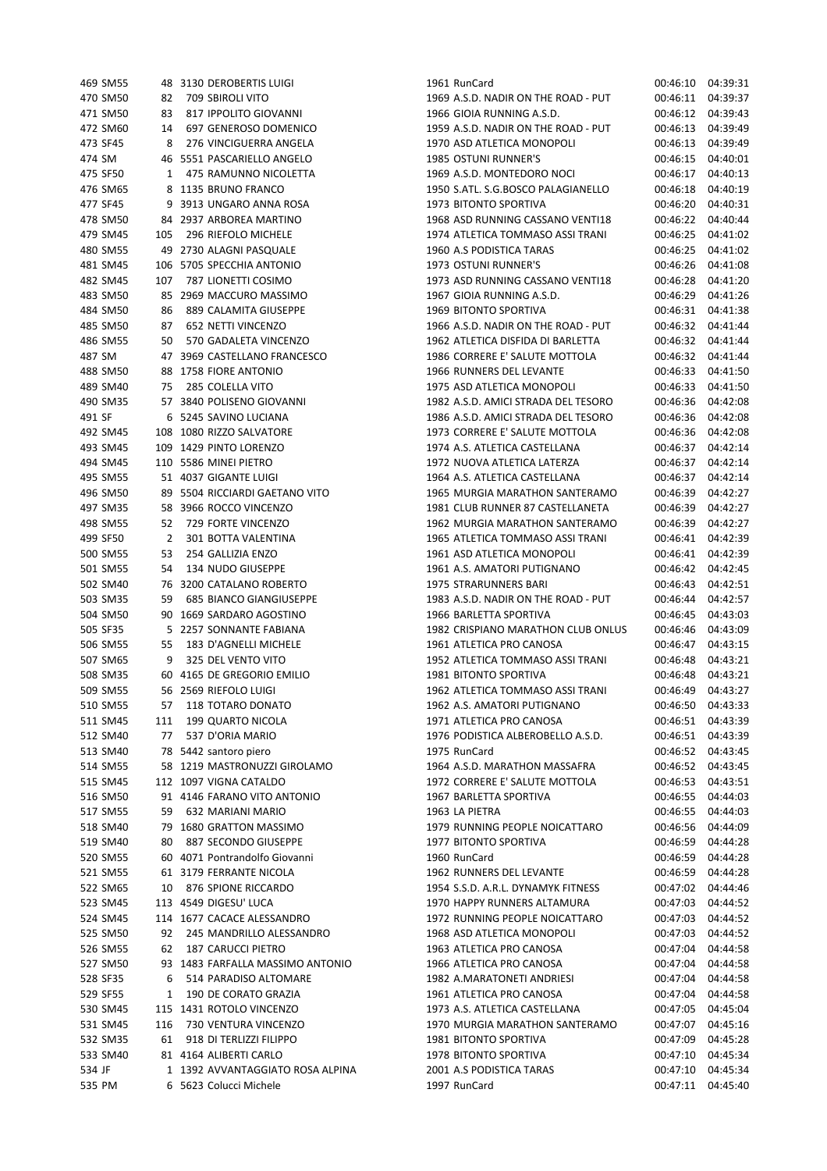| 469 SM55 |     | 48 3130 DEROBERTIS LUIGI         | 1961 RunCard                        | 00:46:10 | 04:39:31 |
|----------|-----|----------------------------------|-------------------------------------|----------|----------|
| 470 SM50 | 82  | 709 SBIROLI VITO                 | 1969 A.S.D. NADIR ON THE ROAD - PUT | 00:46:11 | 04:39:37 |
| 471 SM50 | 83  | 817 IPPOLITO GIOVANNI            | 1966 GIOIA RUNNING A.S.D.           | 00:46:12 | 04:39:43 |
| 472 SM60 | 14  | 697 GENEROSO DOMENICO            | 1959 A.S.D. NADIR ON THE ROAD - PUT | 00:46:13 | 04:39:49 |
| 473 SF45 | 8   | 276 VINCIGUERRA ANGELA           | 1970 ASD ATLETICA MONOPOLI          | 00:46:13 | 04:39:49 |
| 474 SM   |     | 46 5551 PASCARIELLO ANGELO       | <b>1985 OSTUNI RUNNER'S</b>         | 00:46:15 | 04:40:01 |
| 475 SF50 | 1   | 475 RAMUNNO NICOLETTA            | 1969 A.S.D. MONTEDORO NOCI          | 00:46:17 | 04:40:13 |
| 476 SM65 |     | 8 1135 BRUNO FRANCO              | 1950 S.ATL. S.G.BOSCO PALAGIANELLO  | 00:46:18 | 04:40:19 |
| 477 SF45 |     | 9 3913 UNGARO ANNA ROSA          | 1973 BITONTO SPORTIVA               | 00:46:20 | 04:40:31 |
| 478 SM50 |     | 84 2937 ARBOREA MARTINO          | 1968 ASD RUNNING CASSANO VENTI18    | 00:46:22 | 04:40:44 |
| 479 SM45 | 105 | 296 RIEFOLO MICHELE              | 1974 ATLETICA TOMMASO ASSI TRANI    | 00:46:25 | 04:41:02 |
| 480 SM55 |     | 49 2730 ALAGNI PASQUALE          | 1960 A.S PODISTICA TARAS            | 00:46:25 | 04:41:02 |
| 481 SM45 |     | 106 5705 SPECCHIA ANTONIO        | 1973 OSTUNI RUNNER'S                | 00:46:26 | 04:41:08 |
| 482 SM45 | 107 | 787 LIONETTI COSIMO              | 1973 ASD RUNNING CASSANO VENTI18    | 00:46:28 | 04:41:20 |
| 483 SM50 |     | 85 2969 MACCURO MASSIMO          | 1967 GIOIA RUNNING A.S.D.           | 00:46:29 | 04:41:26 |
| 484 SM50 | 86  | 889 CALAMITA GIUSEPPE            | 1969 BITONTO SPORTIVA               | 00:46:31 | 04:41:38 |
| 485 SM50 | 87  | 652 NETTI VINCENZO               | 1966 A.S.D. NADIR ON THE ROAD - PUT | 00:46:32 | 04:41:44 |
| 486 SM55 | 50  | 570 GADALETA VINCENZO            | 1962 ATLETICA DISFIDA DI BARLETTA   | 00:46:32 | 04:41:44 |
| 487 SM   |     | 47 3969 CASTELLANO FRANCESCO     | 1986 CORRERE E' SALUTE MOTTOLA      | 00:46:32 | 04:41:44 |
| 488 SM50 |     | 88 1758 FIORE ANTONIO            | 1966 RUNNERS DEL LEVANTE            | 00:46:33 | 04:41:50 |
| 489 SM40 | 75  | 285 COLELLA VITO                 | 1975 ASD ATLETICA MONOPOLI          | 00:46:33 | 04:41:50 |
| 490 SM35 |     | 57 3840 POLISENO GIOVANNI        | 1982 A.S.D. AMICI STRADA DEL TESORO | 00:46:36 | 04:42:08 |
| 491 SF   |     | 6 5245 SAVINO LUCIANA            | 1986 A.S.D. AMICI STRADA DEL TESORO | 00:46:36 | 04:42:08 |
| 492 SM45 |     | 108 1080 RIZZO SALVATORE         | 1973 CORRERE E' SALUTE MOTTOLA      | 00:46:36 | 04:42:08 |
| 493 SM45 |     | 109 1429 PINTO LORENZO           | 1974 A.S. ATLETICA CASTELLANA       | 00:46:37 | 04:42:14 |
| 494 SM45 |     | 110 5586 MINEI PIETRO            | 1972 NUOVA ATLETICA LATERZA         | 00:46:37 | 04:42:14 |
| 495 SM55 |     | 51 4037 GIGANTE LUIGI            | 1964 A.S. ATLETICA CASTELLANA       | 00:46:37 | 04:42:14 |
| 496 SM50 |     | 89 5504 RICCIARDI GAETANO VITO   | 1965 MURGIA MARATHON SANTERAMO      | 00:46:39 | 04:42:27 |
| 497 SM35 |     | 58 3966 ROCCO VINCENZO           | 1981 CLUB RUNNER 87 CASTELLANETA    | 00:46:39 | 04:42:27 |
| 498 SM55 | 52  | 729 FORTE VINCENZO               | 1962 MURGIA MARATHON SANTERAMO      | 00:46:39 | 04:42:27 |
| 499 SF50 | 2   | 301 BOTTA VALENTINA              | 1965 ATLETICA TOMMASO ASSI TRANI    | 00:46:41 | 04:42:39 |
| 500 SM55 | 53  | 254 GALLIZIA ENZO                | 1961 ASD ATLETICA MONOPOLI          | 00:46:41 | 04:42:39 |
| 501 SM55 | 54  | 134 NUDO GIUSEPPE                | 1961 A.S. AMATORI PUTIGNANO         | 00:46:42 | 04:42:45 |
| 502 SM40 |     | 76 3200 CATALANO ROBERTO         | 1975 STRARUNNERS BARI               | 00:46:43 | 04:42:51 |
| 503 SM35 | 59  | 685 BIANCO GIANGIUSEPPE          | 1983 A.S.D. NADIR ON THE ROAD - PUT | 00:46:44 | 04:42:57 |
| 504 SM50 |     | 90 1669 SARDARO AGOSTINO         | 1966 BARLETTA SPORTIVA              | 00:46:45 | 04:43:03 |
| 505 SF35 |     | 5 2257 SONNANTE FABIANA          | 1982 CRISPIANO MARATHON CLUB ONLUS  | 00:46:46 | 04:43:09 |
| 506 SM55 | 55  | 183 D'AGNELLI MICHELE            | 1961 ATLETICA PRO CANOSA            | 00:46:47 | 04:43:15 |
| 507 SM65 | 9   | 325 DEL VENTO VITO               | 1952 ATLETICA TOMMASO ASSI TRANI    | 00:46:48 | 04:43:21 |
| 508 SM35 |     | 60 4165 DE GREGORIO EMILIO       | 1981 BITONTO SPORTIVA               | 00:46:48 | 04:43:21 |
| 509 SM55 |     | 56 2569 RIEFOLO LUIGI            | 1962 ATLETICA TOMMASO ASSI TRANI    | 00:46:49 | 04:43:27 |
| 510 SM55 | 57  | 118 TOTARO DONATO                | 1962 A.S. AMATORI PUTIGNANO         | 00:46:50 | 04:43:33 |
| 511 SM45 | 111 | 199 QUARTO NICOLA                | 1971 ATLETICA PRO CANOSA            | 00:46:51 | 04:43:39 |
| 512 SM40 | 77  | 537 D'ORIA MARIO                 | 1976 PODISTICA ALBEROBELLO A.S.D.   | 00:46:51 | 04:43:39 |
| 513 SM40 |     | 78 5442 santoro piero            | 1975 RunCard                        | 00:46:52 | 04:43:45 |
| 514 SM55 |     | 58 1219 MASTRONUZZI GIROLAMO     | 1964 A.S.D. MARATHON MASSAFRA       | 00:46:52 | 04:43:45 |
| 515 SM45 |     | 112 1097 VIGNA CATALDO           | 1972 CORRERE E' SALUTE MOTTOLA      | 00:46:53 | 04:43:51 |
| 516 SM50 |     | 91 4146 FARANO VITO ANTONIO      | 1967 BARLETTA SPORTIVA              | 00:46:55 | 04:44:03 |
| 517 SM55 | 59  | 632 MARIANI MARIO                | 1963 LA PIETRA                      | 00:46:55 | 04:44:03 |
| 518 SM40 |     | 79 1680 GRATTON MASSIMO          | 1979 RUNNING PEOPLE NOICATTARO      | 00:46:56 | 04:44:09 |
| 519 SM40 | 80  | 887 SECONDO GIUSEPPE             | 1977 BITONTO SPORTIVA               | 00:46:59 | 04:44:28 |
| 520 SM55 |     | 60 4071 Pontrandolfo Giovanni    | 1960 RunCard                        | 00:46:59 | 04:44:28 |
| 521 SM55 |     | 61 3179 FERRANTE NICOLA          | 1962 RUNNERS DEL LEVANTE            | 00:46:59 | 04:44:28 |
| 522 SM65 | 10  | 876 SPIONE RICCARDO              | 1954 S.S.D. A.R.L. DYNAMYK FITNESS  | 00:47:02 | 04:44:46 |
| 523 SM45 |     | 113 4549 DIGESU' LUCA            | 1970 HAPPY RUNNERS ALTAMURA         | 00:47:03 | 04:44:52 |
| 524 SM45 |     | 114 1677 CACACE ALESSANDRO       | 1972 RUNNING PEOPLE NOICATTARO      | 00:47:03 | 04:44:52 |
| 525 SM50 | 92  | 245 MANDRILLO ALESSANDRO         | 1968 ASD ATLETICA MONOPOLI          | 00:47:03 | 04:44:52 |
| 526 SM55 | 62  | <b>187 CARUCCI PIETRO</b>        | 1963 ATLETICA PRO CANOSA            | 00:47:04 | 04:44:58 |
| 527 SM50 |     | 93 1483 FARFALLA MASSIMO ANTONIO | 1966 ATLETICA PRO CANOSA            | 00:47:04 | 04:44:58 |
| 528 SF35 | 6   | 514 PARADISO ALTOMARE            | 1982 A.MARATONETI ANDRIESI          | 00:47:04 | 04:44:58 |
| 529 SF55 | 1   | 190 DE CORATO GRAZIA             | 1961 ATLETICA PRO CANOSA            | 00:47:04 | 04:44:58 |
| 530 SM45 |     | 115 1431 ROTOLO VINCENZO         | 1973 A.S. ATLETICA CASTELLANA       | 00:47:05 | 04:45:04 |
| 531 SM45 | 116 | 730 VENTURA VINCENZO             | 1970 MURGIA MARATHON SANTERAMO      | 00:47:07 | 04:45:16 |
| 532 SM35 | 61  | 918 DI TERLIZZI FILIPPO          | 1981 BITONTO SPORTIVA               | 00:47:09 | 04:45:28 |
| 533 SM40 |     | 81 4164 ALIBERTI CARLO           | 1978 BITONTO SPORTIVA               | 00:47:10 | 04:45:34 |
| 534 JF   |     | 1 1392 AVVANTAGGIATO ROSA ALPINA | 2001 A.S PODISTICA TARAS            | 00:47:10 | 04:45:34 |
| 535 PM   |     | 6 5623 Colucci Michele           | 1997 RunCard                        | 00:47:11 | 04:45:40 |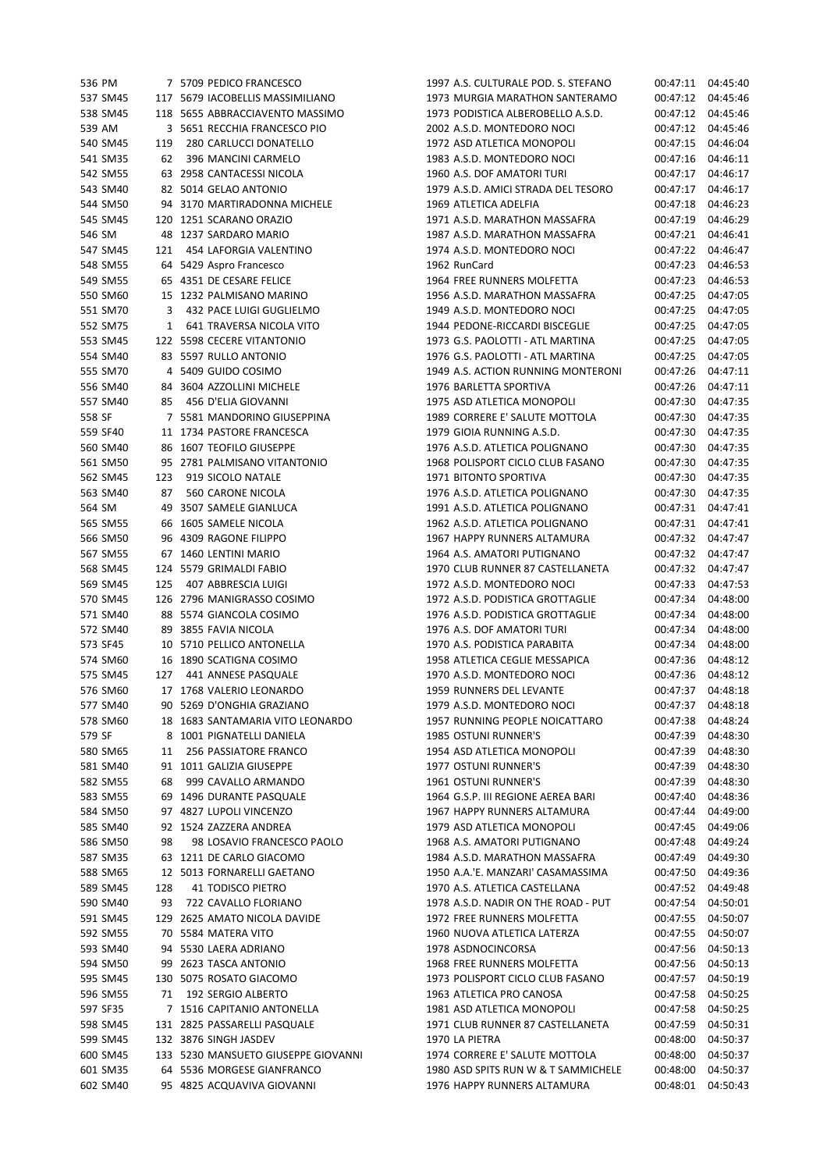| 537 SM45<br>538 SM45<br>539 AM<br>540 SM45<br>541 SM35<br>542 SM55<br>543 SM40<br>544 SM50<br>545 SM45<br>546 SM | 119<br>62                                                                                                                                                                                                                                                                                                                                                      |                              | 117 5679 IACOBELLIS MASSIMILIANO<br>118 5655 ABBRACCIAVENTO MASSIMO<br>3 5651 RECCHIA FRANCESCO PIO<br>280 CARLUCCI DONATELLO<br>396 MANCINI CARMELO<br>63 2958 CANTACESSI NICOLA | 1973 MURGIA MARATHON SANTERAMO<br>1973 PODISTICA ALBEROBELLO A.S.D.<br>2002 A.S.D. MONTEDORO NOCI<br>1972 ASD ATLETICA MONOPOLI<br>1983 A.S.D. MONTEDORO NOCI<br>1960 A.S. DOF AMATORI TURI                                                                                                                                                                                                                                                                                                                                                                                                                                                                                                                                                                                                                                                                                                                                                                                                                                                                                                                                                                                         | 00:47:12<br>00:47:12<br>00:47:12<br>00:47:15<br>00:47:16<br>00:47:17                                                                                                                                                                                                                                                                                                                                                                                                                                                                                                                                                                                                                                                                                                                                                                                                                                                                                                                                                                                                                                                | 04:45:46<br>04:45:46<br>04:45:46<br>04:46:04<br>04:46:11<br>04:46:17                                                                                                                                                                                                                                                                                                                                     |
|------------------------------------------------------------------------------------------------------------------|----------------------------------------------------------------------------------------------------------------------------------------------------------------------------------------------------------------------------------------------------------------------------------------------------------------------------------------------------------------|------------------------------|-----------------------------------------------------------------------------------------------------------------------------------------------------------------------------------|-------------------------------------------------------------------------------------------------------------------------------------------------------------------------------------------------------------------------------------------------------------------------------------------------------------------------------------------------------------------------------------------------------------------------------------------------------------------------------------------------------------------------------------------------------------------------------------------------------------------------------------------------------------------------------------------------------------------------------------------------------------------------------------------------------------------------------------------------------------------------------------------------------------------------------------------------------------------------------------------------------------------------------------------------------------------------------------------------------------------------------------------------------------------------------------|---------------------------------------------------------------------------------------------------------------------------------------------------------------------------------------------------------------------------------------------------------------------------------------------------------------------------------------------------------------------------------------------------------------------------------------------------------------------------------------------------------------------------------------------------------------------------------------------------------------------------------------------------------------------------------------------------------------------------------------------------------------------------------------------------------------------------------------------------------------------------------------------------------------------------------------------------------------------------------------------------------------------------------------------------------------------------------------------------------------------|----------------------------------------------------------------------------------------------------------------------------------------------------------------------------------------------------------------------------------------------------------------------------------------------------------------------------------------------------------------------------------------------------------|
|                                                                                                                  |                                                                                                                                                                                                                                                                                                                                                                |                              |                                                                                                                                                                                   |                                                                                                                                                                                                                                                                                                                                                                                                                                                                                                                                                                                                                                                                                                                                                                                                                                                                                                                                                                                                                                                                                                                                                                                     |                                                                                                                                                                                                                                                                                                                                                                                                                                                                                                                                                                                                                                                                                                                                                                                                                                                                                                                                                                                                                                                                                                                     |                                                                                                                                                                                                                                                                                                                                                                                                          |
|                                                                                                                  |                                                                                                                                                                                                                                                                                                                                                                |                              |                                                                                                                                                                                   |                                                                                                                                                                                                                                                                                                                                                                                                                                                                                                                                                                                                                                                                                                                                                                                                                                                                                                                                                                                                                                                                                                                                                                                     |                                                                                                                                                                                                                                                                                                                                                                                                                                                                                                                                                                                                                                                                                                                                                                                                                                                                                                                                                                                                                                                                                                                     |                                                                                                                                                                                                                                                                                                                                                                                                          |
|                                                                                                                  |                                                                                                                                                                                                                                                                                                                                                                |                              |                                                                                                                                                                                   |                                                                                                                                                                                                                                                                                                                                                                                                                                                                                                                                                                                                                                                                                                                                                                                                                                                                                                                                                                                                                                                                                                                                                                                     |                                                                                                                                                                                                                                                                                                                                                                                                                                                                                                                                                                                                                                                                                                                                                                                                                                                                                                                                                                                                                                                                                                                     |                                                                                                                                                                                                                                                                                                                                                                                                          |
|                                                                                                                  |                                                                                                                                                                                                                                                                                                                                                                |                              |                                                                                                                                                                                   |                                                                                                                                                                                                                                                                                                                                                                                                                                                                                                                                                                                                                                                                                                                                                                                                                                                                                                                                                                                                                                                                                                                                                                                     |                                                                                                                                                                                                                                                                                                                                                                                                                                                                                                                                                                                                                                                                                                                                                                                                                                                                                                                                                                                                                                                                                                                     |                                                                                                                                                                                                                                                                                                                                                                                                          |
|                                                                                                                  |                                                                                                                                                                                                                                                                                                                                                                |                              |                                                                                                                                                                                   |                                                                                                                                                                                                                                                                                                                                                                                                                                                                                                                                                                                                                                                                                                                                                                                                                                                                                                                                                                                                                                                                                                                                                                                     |                                                                                                                                                                                                                                                                                                                                                                                                                                                                                                                                                                                                                                                                                                                                                                                                                                                                                                                                                                                                                                                                                                                     |                                                                                                                                                                                                                                                                                                                                                                                                          |
|                                                                                                                  |                                                                                                                                                                                                                                                                                                                                                                |                              |                                                                                                                                                                                   |                                                                                                                                                                                                                                                                                                                                                                                                                                                                                                                                                                                                                                                                                                                                                                                                                                                                                                                                                                                                                                                                                                                                                                                     |                                                                                                                                                                                                                                                                                                                                                                                                                                                                                                                                                                                                                                                                                                                                                                                                                                                                                                                                                                                                                                                                                                                     |                                                                                                                                                                                                                                                                                                                                                                                                          |
|                                                                                                                  |                                                                                                                                                                                                                                                                                                                                                                |                              | 82 5014 GELAO ANTONIO                                                                                                                                                             | 1979 A.S.D. AMICI STRADA DEL TESORO                                                                                                                                                                                                                                                                                                                                                                                                                                                                                                                                                                                                                                                                                                                                                                                                                                                                                                                                                                                                                                                                                                                                                 | 00:47:17                                                                                                                                                                                                                                                                                                                                                                                                                                                                                                                                                                                                                                                                                                                                                                                                                                                                                                                                                                                                                                                                                                            | 04:46:17                                                                                                                                                                                                                                                                                                                                                                                                 |
|                                                                                                                  |                                                                                                                                                                                                                                                                                                                                                                |                              | 94 3170 MARTIRADONNA MICHELE                                                                                                                                                      | 1969 ATLETICA ADELFIA                                                                                                                                                                                                                                                                                                                                                                                                                                                                                                                                                                                                                                                                                                                                                                                                                                                                                                                                                                                                                                                                                                                                                               | 00:47:18                                                                                                                                                                                                                                                                                                                                                                                                                                                                                                                                                                                                                                                                                                                                                                                                                                                                                                                                                                                                                                                                                                            | 04:46:23                                                                                                                                                                                                                                                                                                                                                                                                 |
|                                                                                                                  |                                                                                                                                                                                                                                                                                                                                                                |                              | 120 1251 SCARANO ORAZIO                                                                                                                                                           | 1971 A.S.D. MARATHON MASSAFRA                                                                                                                                                                                                                                                                                                                                                                                                                                                                                                                                                                                                                                                                                                                                                                                                                                                                                                                                                                                                                                                                                                                                                       | 00:47:19                                                                                                                                                                                                                                                                                                                                                                                                                                                                                                                                                                                                                                                                                                                                                                                                                                                                                                                                                                                                                                                                                                            | 04:46:29                                                                                                                                                                                                                                                                                                                                                                                                 |
|                                                                                                                  |                                                                                                                                                                                                                                                                                                                                                                |                              | 48 1237 SARDARO MARIO                                                                                                                                                             | 1987 A.S.D. MARATHON MASSAFRA                                                                                                                                                                                                                                                                                                                                                                                                                                                                                                                                                                                                                                                                                                                                                                                                                                                                                                                                                                                                                                                                                                                                                       | 00:47:21                                                                                                                                                                                                                                                                                                                                                                                                                                                                                                                                                                                                                                                                                                                                                                                                                                                                                                                                                                                                                                                                                                            | 04:46:41                                                                                                                                                                                                                                                                                                                                                                                                 |
| 547 SM45                                                                                                         |                                                                                                                                                                                                                                                                                                                                                                |                              | 121 454 LAFORGIA VALENTINO                                                                                                                                                        | 1974 A.S.D. MONTEDORO NOCI                                                                                                                                                                                                                                                                                                                                                                                                                                                                                                                                                                                                                                                                                                                                                                                                                                                                                                                                                                                                                                                                                                                                                          | 00:47:22                                                                                                                                                                                                                                                                                                                                                                                                                                                                                                                                                                                                                                                                                                                                                                                                                                                                                                                                                                                                                                                                                                            | 04:46:47                                                                                                                                                                                                                                                                                                                                                                                                 |
| 548 SM55                                                                                                         |                                                                                                                                                                                                                                                                                                                                                                |                              | 64 5429 Aspro Francesco                                                                                                                                                           | 1962 RunCard                                                                                                                                                                                                                                                                                                                                                                                                                                                                                                                                                                                                                                                                                                                                                                                                                                                                                                                                                                                                                                                                                                                                                                        | 00:47:23                                                                                                                                                                                                                                                                                                                                                                                                                                                                                                                                                                                                                                                                                                                                                                                                                                                                                                                                                                                                                                                                                                            | 04:46:53                                                                                                                                                                                                                                                                                                                                                                                                 |
| 549 SM55                                                                                                         |                                                                                                                                                                                                                                                                                                                                                                |                              | 65 4351 DE CESARE FELICE                                                                                                                                                          | 1964 FREE RUNNERS MOLFETTA                                                                                                                                                                                                                                                                                                                                                                                                                                                                                                                                                                                                                                                                                                                                                                                                                                                                                                                                                                                                                                                                                                                                                          | 00:47:23                                                                                                                                                                                                                                                                                                                                                                                                                                                                                                                                                                                                                                                                                                                                                                                                                                                                                                                                                                                                                                                                                                            | 04:46:53                                                                                                                                                                                                                                                                                                                                                                                                 |
| 550 SM60                                                                                                         |                                                                                                                                                                                                                                                                                                                                                                |                              |                                                                                                                                                                                   | 1956 A.S.D. MARATHON MASSAFRA                                                                                                                                                                                                                                                                                                                                                                                                                                                                                                                                                                                                                                                                                                                                                                                                                                                                                                                                                                                                                                                                                                                                                       | 00:47:25                                                                                                                                                                                                                                                                                                                                                                                                                                                                                                                                                                                                                                                                                                                                                                                                                                                                                                                                                                                                                                                                                                            | 04:47:05                                                                                                                                                                                                                                                                                                                                                                                                 |
| 551 SM70                                                                                                         | 3                                                                                                                                                                                                                                                                                                                                                              |                              |                                                                                                                                                                                   | 1949 A.S.D. MONTEDORO NOCI                                                                                                                                                                                                                                                                                                                                                                                                                                                                                                                                                                                                                                                                                                                                                                                                                                                                                                                                                                                                                                                                                                                                                          | 00:47:25                                                                                                                                                                                                                                                                                                                                                                                                                                                                                                                                                                                                                                                                                                                                                                                                                                                                                                                                                                                                                                                                                                            | 04:47:05                                                                                                                                                                                                                                                                                                                                                                                                 |
|                                                                                                                  | $\mathbf{1}$                                                                                                                                                                                                                                                                                                                                                   |                              |                                                                                                                                                                                   |                                                                                                                                                                                                                                                                                                                                                                                                                                                                                                                                                                                                                                                                                                                                                                                                                                                                                                                                                                                                                                                                                                                                                                                     |                                                                                                                                                                                                                                                                                                                                                                                                                                                                                                                                                                                                                                                                                                                                                                                                                                                                                                                                                                                                                                                                                                                     | 04:47:05                                                                                                                                                                                                                                                                                                                                                                                                 |
|                                                                                                                  |                                                                                                                                                                                                                                                                                                                                                                |                              |                                                                                                                                                                                   |                                                                                                                                                                                                                                                                                                                                                                                                                                                                                                                                                                                                                                                                                                                                                                                                                                                                                                                                                                                                                                                                                                                                                                                     |                                                                                                                                                                                                                                                                                                                                                                                                                                                                                                                                                                                                                                                                                                                                                                                                                                                                                                                                                                                                                                                                                                                     | 04:47:05                                                                                                                                                                                                                                                                                                                                                                                                 |
| 554 SM40                                                                                                         |                                                                                                                                                                                                                                                                                                                                                                |                              |                                                                                                                                                                                   |                                                                                                                                                                                                                                                                                                                                                                                                                                                                                                                                                                                                                                                                                                                                                                                                                                                                                                                                                                                                                                                                                                                                                                                     |                                                                                                                                                                                                                                                                                                                                                                                                                                                                                                                                                                                                                                                                                                                                                                                                                                                                                                                                                                                                                                                                                                                     | 04:47:05                                                                                                                                                                                                                                                                                                                                                                                                 |
|                                                                                                                  |                                                                                                                                                                                                                                                                                                                                                                |                              |                                                                                                                                                                                   |                                                                                                                                                                                                                                                                                                                                                                                                                                                                                                                                                                                                                                                                                                                                                                                                                                                                                                                                                                                                                                                                                                                                                                                     |                                                                                                                                                                                                                                                                                                                                                                                                                                                                                                                                                                                                                                                                                                                                                                                                                                                                                                                                                                                                                                                                                                                     | 04:47:11                                                                                                                                                                                                                                                                                                                                                                                                 |
|                                                                                                                  |                                                                                                                                                                                                                                                                                                                                                                |                              |                                                                                                                                                                                   |                                                                                                                                                                                                                                                                                                                                                                                                                                                                                                                                                                                                                                                                                                                                                                                                                                                                                                                                                                                                                                                                                                                                                                                     |                                                                                                                                                                                                                                                                                                                                                                                                                                                                                                                                                                                                                                                                                                                                                                                                                                                                                                                                                                                                                                                                                                                     | 04:47:11                                                                                                                                                                                                                                                                                                                                                                                                 |
|                                                                                                                  |                                                                                                                                                                                                                                                                                                                                                                |                              |                                                                                                                                                                                   |                                                                                                                                                                                                                                                                                                                                                                                                                                                                                                                                                                                                                                                                                                                                                                                                                                                                                                                                                                                                                                                                                                                                                                                     |                                                                                                                                                                                                                                                                                                                                                                                                                                                                                                                                                                                                                                                                                                                                                                                                                                                                                                                                                                                                                                                                                                                     | 04:47:35                                                                                                                                                                                                                                                                                                                                                                                                 |
|                                                                                                                  |                                                                                                                                                                                                                                                                                                                                                                |                              |                                                                                                                                                                                   |                                                                                                                                                                                                                                                                                                                                                                                                                                                                                                                                                                                                                                                                                                                                                                                                                                                                                                                                                                                                                                                                                                                                                                                     |                                                                                                                                                                                                                                                                                                                                                                                                                                                                                                                                                                                                                                                                                                                                                                                                                                                                                                                                                                                                                                                                                                                     | 04:47:35                                                                                                                                                                                                                                                                                                                                                                                                 |
|                                                                                                                  |                                                                                                                                                                                                                                                                                                                                                                |                              |                                                                                                                                                                                   |                                                                                                                                                                                                                                                                                                                                                                                                                                                                                                                                                                                                                                                                                                                                                                                                                                                                                                                                                                                                                                                                                                                                                                                     |                                                                                                                                                                                                                                                                                                                                                                                                                                                                                                                                                                                                                                                                                                                                                                                                                                                                                                                                                                                                                                                                                                                     | 04:47:35                                                                                                                                                                                                                                                                                                                                                                                                 |
|                                                                                                                  |                                                                                                                                                                                                                                                                                                                                                                |                              |                                                                                                                                                                                   |                                                                                                                                                                                                                                                                                                                                                                                                                                                                                                                                                                                                                                                                                                                                                                                                                                                                                                                                                                                                                                                                                                                                                                                     |                                                                                                                                                                                                                                                                                                                                                                                                                                                                                                                                                                                                                                                                                                                                                                                                                                                                                                                                                                                                                                                                                                                     | 04:47:35                                                                                                                                                                                                                                                                                                                                                                                                 |
|                                                                                                                  |                                                                                                                                                                                                                                                                                                                                                                |                              |                                                                                                                                                                                   |                                                                                                                                                                                                                                                                                                                                                                                                                                                                                                                                                                                                                                                                                                                                                                                                                                                                                                                                                                                                                                                                                                                                                                                     |                                                                                                                                                                                                                                                                                                                                                                                                                                                                                                                                                                                                                                                                                                                                                                                                                                                                                                                                                                                                                                                                                                                     | 04:47:35                                                                                                                                                                                                                                                                                                                                                                                                 |
|                                                                                                                  |                                                                                                                                                                                                                                                                                                                                                                |                              |                                                                                                                                                                                   |                                                                                                                                                                                                                                                                                                                                                                                                                                                                                                                                                                                                                                                                                                                                                                                                                                                                                                                                                                                                                                                                                                                                                                                     |                                                                                                                                                                                                                                                                                                                                                                                                                                                                                                                                                                                                                                                                                                                                                                                                                                                                                                                                                                                                                                                                                                                     | 04:47:35                                                                                                                                                                                                                                                                                                                                                                                                 |
|                                                                                                                  |                                                                                                                                                                                                                                                                                                                                                                |                              |                                                                                                                                                                                   |                                                                                                                                                                                                                                                                                                                                                                                                                                                                                                                                                                                                                                                                                                                                                                                                                                                                                                                                                                                                                                                                                                                                                                                     |                                                                                                                                                                                                                                                                                                                                                                                                                                                                                                                                                                                                                                                                                                                                                                                                                                                                                                                                                                                                                                                                                                                     | 04:47:35                                                                                                                                                                                                                                                                                                                                                                                                 |
|                                                                                                                  |                                                                                                                                                                                                                                                                                                                                                                |                              |                                                                                                                                                                                   |                                                                                                                                                                                                                                                                                                                                                                                                                                                                                                                                                                                                                                                                                                                                                                                                                                                                                                                                                                                                                                                                                                                                                                                     |                                                                                                                                                                                                                                                                                                                                                                                                                                                                                                                                                                                                                                                                                                                                                                                                                                                                                                                                                                                                                                                                                                                     | 04:47:41                                                                                                                                                                                                                                                                                                                                                                                                 |
|                                                                                                                  |                                                                                                                                                                                                                                                                                                                                                                |                              |                                                                                                                                                                                   |                                                                                                                                                                                                                                                                                                                                                                                                                                                                                                                                                                                                                                                                                                                                                                                                                                                                                                                                                                                                                                                                                                                                                                                     |                                                                                                                                                                                                                                                                                                                                                                                                                                                                                                                                                                                                                                                                                                                                                                                                                                                                                                                                                                                                                                                                                                                     | 04:47:41                                                                                                                                                                                                                                                                                                                                                                                                 |
|                                                                                                                  |                                                                                                                                                                                                                                                                                                                                                                |                              |                                                                                                                                                                                   |                                                                                                                                                                                                                                                                                                                                                                                                                                                                                                                                                                                                                                                                                                                                                                                                                                                                                                                                                                                                                                                                                                                                                                                     |                                                                                                                                                                                                                                                                                                                                                                                                                                                                                                                                                                                                                                                                                                                                                                                                                                                                                                                                                                                                                                                                                                                     | 04:47:47                                                                                                                                                                                                                                                                                                                                                                                                 |
|                                                                                                                  |                                                                                                                                                                                                                                                                                                                                                                |                              |                                                                                                                                                                                   |                                                                                                                                                                                                                                                                                                                                                                                                                                                                                                                                                                                                                                                                                                                                                                                                                                                                                                                                                                                                                                                                                                                                                                                     |                                                                                                                                                                                                                                                                                                                                                                                                                                                                                                                                                                                                                                                                                                                                                                                                                                                                                                                                                                                                                                                                                                                     |                                                                                                                                                                                                                                                                                                                                                                                                          |
|                                                                                                                  |                                                                                                                                                                                                                                                                                                                                                                |                              |                                                                                                                                                                                   |                                                                                                                                                                                                                                                                                                                                                                                                                                                                                                                                                                                                                                                                                                                                                                                                                                                                                                                                                                                                                                                                                                                                                                                     |                                                                                                                                                                                                                                                                                                                                                                                                                                                                                                                                                                                                                                                                                                                                                                                                                                                                                                                                                                                                                                                                                                                     | 04:47:47                                                                                                                                                                                                                                                                                                                                                                                                 |
|                                                                                                                  |                                                                                                                                                                                                                                                                                                                                                                |                              |                                                                                                                                                                                   |                                                                                                                                                                                                                                                                                                                                                                                                                                                                                                                                                                                                                                                                                                                                                                                                                                                                                                                                                                                                                                                                                                                                                                                     |                                                                                                                                                                                                                                                                                                                                                                                                                                                                                                                                                                                                                                                                                                                                                                                                                                                                                                                                                                                                                                                                                                                     | 04:47:47                                                                                                                                                                                                                                                                                                                                                                                                 |
|                                                                                                                  |                                                                                                                                                                                                                                                                                                                                                                |                              |                                                                                                                                                                                   |                                                                                                                                                                                                                                                                                                                                                                                                                                                                                                                                                                                                                                                                                                                                                                                                                                                                                                                                                                                                                                                                                                                                                                                     |                                                                                                                                                                                                                                                                                                                                                                                                                                                                                                                                                                                                                                                                                                                                                                                                                                                                                                                                                                                                                                                                                                                     | 04:47:53                                                                                                                                                                                                                                                                                                                                                                                                 |
|                                                                                                                  |                                                                                                                                                                                                                                                                                                                                                                |                              |                                                                                                                                                                                   |                                                                                                                                                                                                                                                                                                                                                                                                                                                                                                                                                                                                                                                                                                                                                                                                                                                                                                                                                                                                                                                                                                                                                                                     |                                                                                                                                                                                                                                                                                                                                                                                                                                                                                                                                                                                                                                                                                                                                                                                                                                                                                                                                                                                                                                                                                                                     | 04:48:00                                                                                                                                                                                                                                                                                                                                                                                                 |
|                                                                                                                  |                                                                                                                                                                                                                                                                                                                                                                |                              |                                                                                                                                                                                   |                                                                                                                                                                                                                                                                                                                                                                                                                                                                                                                                                                                                                                                                                                                                                                                                                                                                                                                                                                                                                                                                                                                                                                                     |                                                                                                                                                                                                                                                                                                                                                                                                                                                                                                                                                                                                                                                                                                                                                                                                                                                                                                                                                                                                                                                                                                                     | 04:48:00                                                                                                                                                                                                                                                                                                                                                                                                 |
|                                                                                                                  |                                                                                                                                                                                                                                                                                                                                                                |                              |                                                                                                                                                                                   |                                                                                                                                                                                                                                                                                                                                                                                                                                                                                                                                                                                                                                                                                                                                                                                                                                                                                                                                                                                                                                                                                                                                                                                     |                                                                                                                                                                                                                                                                                                                                                                                                                                                                                                                                                                                                                                                                                                                                                                                                                                                                                                                                                                                                                                                                                                                     | 04:48:00                                                                                                                                                                                                                                                                                                                                                                                                 |
|                                                                                                                  |                                                                                                                                                                                                                                                                                                                                                                |                              |                                                                                                                                                                                   |                                                                                                                                                                                                                                                                                                                                                                                                                                                                                                                                                                                                                                                                                                                                                                                                                                                                                                                                                                                                                                                                                                                                                                                     |                                                                                                                                                                                                                                                                                                                                                                                                                                                                                                                                                                                                                                                                                                                                                                                                                                                                                                                                                                                                                                                                                                                     | 04:48:00                                                                                                                                                                                                                                                                                                                                                                                                 |
|                                                                                                                  |                                                                                                                                                                                                                                                                                                                                                                |                              |                                                                                                                                                                                   |                                                                                                                                                                                                                                                                                                                                                                                                                                                                                                                                                                                                                                                                                                                                                                                                                                                                                                                                                                                                                                                                                                                                                                                     |                                                                                                                                                                                                                                                                                                                                                                                                                                                                                                                                                                                                                                                                                                                                                                                                                                                                                                                                                                                                                                                                                                                     | 04:48:12                                                                                                                                                                                                                                                                                                                                                                                                 |
|                                                                                                                  |                                                                                                                                                                                                                                                                                                                                                                |                              |                                                                                                                                                                                   |                                                                                                                                                                                                                                                                                                                                                                                                                                                                                                                                                                                                                                                                                                                                                                                                                                                                                                                                                                                                                                                                                                                                                                                     |                                                                                                                                                                                                                                                                                                                                                                                                                                                                                                                                                                                                                                                                                                                                                                                                                                                                                                                                                                                                                                                                                                                     | 04:48:12                                                                                                                                                                                                                                                                                                                                                                                                 |
|                                                                                                                  |                                                                                                                                                                                                                                                                                                                                                                |                              |                                                                                                                                                                                   |                                                                                                                                                                                                                                                                                                                                                                                                                                                                                                                                                                                                                                                                                                                                                                                                                                                                                                                                                                                                                                                                                                                                                                                     |                                                                                                                                                                                                                                                                                                                                                                                                                                                                                                                                                                                                                                                                                                                                                                                                                                                                                                                                                                                                                                                                                                                     | 04:48:18                                                                                                                                                                                                                                                                                                                                                                                                 |
|                                                                                                                  |                                                                                                                                                                                                                                                                                                                                                                |                              |                                                                                                                                                                                   |                                                                                                                                                                                                                                                                                                                                                                                                                                                                                                                                                                                                                                                                                                                                                                                                                                                                                                                                                                                                                                                                                                                                                                                     |                                                                                                                                                                                                                                                                                                                                                                                                                                                                                                                                                                                                                                                                                                                                                                                                                                                                                                                                                                                                                                                                                                                     | 04:48:18                                                                                                                                                                                                                                                                                                                                                                                                 |
|                                                                                                                  |                                                                                                                                                                                                                                                                                                                                                                |                              |                                                                                                                                                                                   |                                                                                                                                                                                                                                                                                                                                                                                                                                                                                                                                                                                                                                                                                                                                                                                                                                                                                                                                                                                                                                                                                                                                                                                     |                                                                                                                                                                                                                                                                                                                                                                                                                                                                                                                                                                                                                                                                                                                                                                                                                                                                                                                                                                                                                                                                                                                     | 04:48:24                                                                                                                                                                                                                                                                                                                                                                                                 |
|                                                                                                                  |                                                                                                                                                                                                                                                                                                                                                                |                              |                                                                                                                                                                                   |                                                                                                                                                                                                                                                                                                                                                                                                                                                                                                                                                                                                                                                                                                                                                                                                                                                                                                                                                                                                                                                                                                                                                                                     |                                                                                                                                                                                                                                                                                                                                                                                                                                                                                                                                                                                                                                                                                                                                                                                                                                                                                                                                                                                                                                                                                                                     | 04:48:30                                                                                                                                                                                                                                                                                                                                                                                                 |
|                                                                                                                  |                                                                                                                                                                                                                                                                                                                                                                |                              |                                                                                                                                                                                   |                                                                                                                                                                                                                                                                                                                                                                                                                                                                                                                                                                                                                                                                                                                                                                                                                                                                                                                                                                                                                                                                                                                                                                                     |                                                                                                                                                                                                                                                                                                                                                                                                                                                                                                                                                                                                                                                                                                                                                                                                                                                                                                                                                                                                                                                                                                                     | 04:48:30                                                                                                                                                                                                                                                                                                                                                                                                 |
|                                                                                                                  |                                                                                                                                                                                                                                                                                                                                                                |                              |                                                                                                                                                                                   |                                                                                                                                                                                                                                                                                                                                                                                                                                                                                                                                                                                                                                                                                                                                                                                                                                                                                                                                                                                                                                                                                                                                                                                     |                                                                                                                                                                                                                                                                                                                                                                                                                                                                                                                                                                                                                                                                                                                                                                                                                                                                                                                                                                                                                                                                                                                     | 04:48:30                                                                                                                                                                                                                                                                                                                                                                                                 |
|                                                                                                                  |                                                                                                                                                                                                                                                                                                                                                                |                              |                                                                                                                                                                                   |                                                                                                                                                                                                                                                                                                                                                                                                                                                                                                                                                                                                                                                                                                                                                                                                                                                                                                                                                                                                                                                                                                                                                                                     |                                                                                                                                                                                                                                                                                                                                                                                                                                                                                                                                                                                                                                                                                                                                                                                                                                                                                                                                                                                                                                                                                                                     | 04:48:30                                                                                                                                                                                                                                                                                                                                                                                                 |
| 583 SM55                                                                                                         |                                                                                                                                                                                                                                                                                                                                                                |                              |                                                                                                                                                                                   |                                                                                                                                                                                                                                                                                                                                                                                                                                                                                                                                                                                                                                                                                                                                                                                                                                                                                                                                                                                                                                                                                                                                                                                     |                                                                                                                                                                                                                                                                                                                                                                                                                                                                                                                                                                                                                                                                                                                                                                                                                                                                                                                                                                                                                                                                                                                     | 04:48:36                                                                                                                                                                                                                                                                                                                                                                                                 |
| 584 SM50                                                                                                         |                                                                                                                                                                                                                                                                                                                                                                |                              |                                                                                                                                                                                   |                                                                                                                                                                                                                                                                                                                                                                                                                                                                                                                                                                                                                                                                                                                                                                                                                                                                                                                                                                                                                                                                                                                                                                                     |                                                                                                                                                                                                                                                                                                                                                                                                                                                                                                                                                                                                                                                                                                                                                                                                                                                                                                                                                                                                                                                                                                                     | 04:49:00                                                                                                                                                                                                                                                                                                                                                                                                 |
| 585 SM40                                                                                                         |                                                                                                                                                                                                                                                                                                                                                                |                              |                                                                                                                                                                                   |                                                                                                                                                                                                                                                                                                                                                                                                                                                                                                                                                                                                                                                                                                                                                                                                                                                                                                                                                                                                                                                                                                                                                                                     | 00:47:45                                                                                                                                                                                                                                                                                                                                                                                                                                                                                                                                                                                                                                                                                                                                                                                                                                                                                                                                                                                                                                                                                                            | 04:49:06                                                                                                                                                                                                                                                                                                                                                                                                 |
| 586 SM50                                                                                                         | 98                                                                                                                                                                                                                                                                                                                                                             |                              |                                                                                                                                                                                   | 1968 A.S. AMATORI PUTIGNANO                                                                                                                                                                                                                                                                                                                                                                                                                                                                                                                                                                                                                                                                                                                                                                                                                                                                                                                                                                                                                                                                                                                                                         | 00:47:48                                                                                                                                                                                                                                                                                                                                                                                                                                                                                                                                                                                                                                                                                                                                                                                                                                                                                                                                                                                                                                                                                                            | 04:49:24                                                                                                                                                                                                                                                                                                                                                                                                 |
| 587 SM35                                                                                                         |                                                                                                                                                                                                                                                                                                                                                                |                              |                                                                                                                                                                                   | 1984 A.S.D. MARATHON MASSAFRA                                                                                                                                                                                                                                                                                                                                                                                                                                                                                                                                                                                                                                                                                                                                                                                                                                                                                                                                                                                                                                                                                                                                                       | 00:47:49                                                                                                                                                                                                                                                                                                                                                                                                                                                                                                                                                                                                                                                                                                                                                                                                                                                                                                                                                                                                                                                                                                            | 04:49:30                                                                                                                                                                                                                                                                                                                                                                                                 |
| 588 SM65                                                                                                         |                                                                                                                                                                                                                                                                                                                                                                |                              |                                                                                                                                                                                   | 1950 A.A.'E. MANZARI' CASAMASSIMA                                                                                                                                                                                                                                                                                                                                                                                                                                                                                                                                                                                                                                                                                                                                                                                                                                                                                                                                                                                                                                                                                                                                                   | 00:47:50                                                                                                                                                                                                                                                                                                                                                                                                                                                                                                                                                                                                                                                                                                                                                                                                                                                                                                                                                                                                                                                                                                            | 04:49:36                                                                                                                                                                                                                                                                                                                                                                                                 |
| 589 SM45                                                                                                         | 128                                                                                                                                                                                                                                                                                                                                                            |                              |                                                                                                                                                                                   | 1970 A.S. ATLETICA CASTELLANA                                                                                                                                                                                                                                                                                                                                                                                                                                                                                                                                                                                                                                                                                                                                                                                                                                                                                                                                                                                                                                                                                                                                                       | 00:47:52                                                                                                                                                                                                                                                                                                                                                                                                                                                                                                                                                                                                                                                                                                                                                                                                                                                                                                                                                                                                                                                                                                            | 04:49:48                                                                                                                                                                                                                                                                                                                                                                                                 |
| 590 SM40                                                                                                         | 93                                                                                                                                                                                                                                                                                                                                                             |                              |                                                                                                                                                                                   | 1978 A.S.D. NADIR ON THE ROAD - PUT                                                                                                                                                                                                                                                                                                                                                                                                                                                                                                                                                                                                                                                                                                                                                                                                                                                                                                                                                                                                                                                                                                                                                 | 00:47:54                                                                                                                                                                                                                                                                                                                                                                                                                                                                                                                                                                                                                                                                                                                                                                                                                                                                                                                                                                                                                                                                                                            | 04:50:01                                                                                                                                                                                                                                                                                                                                                                                                 |
| 591 SM45                                                                                                         |                                                                                                                                                                                                                                                                                                                                                                |                              |                                                                                                                                                                                   | 1972 FREE RUNNERS MOLFETTA                                                                                                                                                                                                                                                                                                                                                                                                                                                                                                                                                                                                                                                                                                                                                                                                                                                                                                                                                                                                                                                                                                                                                          | 00:47:55                                                                                                                                                                                                                                                                                                                                                                                                                                                                                                                                                                                                                                                                                                                                                                                                                                                                                                                                                                                                                                                                                                            | 04:50:07                                                                                                                                                                                                                                                                                                                                                                                                 |
| 592 SM55                                                                                                         |                                                                                                                                                                                                                                                                                                                                                                |                              | 70 5584 MATERA VITO                                                                                                                                                               | 1960 NUOVA ATLETICA LATERZA                                                                                                                                                                                                                                                                                                                                                                                                                                                                                                                                                                                                                                                                                                                                                                                                                                                                                                                                                                                                                                                                                                                                                         | 00:47:55                                                                                                                                                                                                                                                                                                                                                                                                                                                                                                                                                                                                                                                                                                                                                                                                                                                                                                                                                                                                                                                                                                            | 04:50:07                                                                                                                                                                                                                                                                                                                                                                                                 |
| 593 SM40                                                                                                         |                                                                                                                                                                                                                                                                                                                                                                |                              | 94 5530 LAERA ADRIANO                                                                                                                                                             | 1978 ASDNOCINCORSA                                                                                                                                                                                                                                                                                                                                                                                                                                                                                                                                                                                                                                                                                                                                                                                                                                                                                                                                                                                                                                                                                                                                                                  | 00:47:56                                                                                                                                                                                                                                                                                                                                                                                                                                                                                                                                                                                                                                                                                                                                                                                                                                                                                                                                                                                                                                                                                                            | 04:50:13                                                                                                                                                                                                                                                                                                                                                                                                 |
|                                                                                                                  |                                                                                                                                                                                                                                                                                                                                                                |                              | 99 2623 TASCA ANTONIO                                                                                                                                                             | 1968 FREE RUNNERS MOLFETTA                                                                                                                                                                                                                                                                                                                                                                                                                                                                                                                                                                                                                                                                                                                                                                                                                                                                                                                                                                                                                                                                                                                                                          | 00:47:56                                                                                                                                                                                                                                                                                                                                                                                                                                                                                                                                                                                                                                                                                                                                                                                                                                                                                                                                                                                                                                                                                                            | 04:50:13                                                                                                                                                                                                                                                                                                                                                                                                 |
| 594 SM50                                                                                                         |                                                                                                                                                                                                                                                                                                                                                                |                              | 130 5075 ROSATO GIACOMO                                                                                                                                                           | 1973 POLISPORT CICLO CLUB FASANO                                                                                                                                                                                                                                                                                                                                                                                                                                                                                                                                                                                                                                                                                                                                                                                                                                                                                                                                                                                                                                                                                                                                                    | 00:47:57                                                                                                                                                                                                                                                                                                                                                                                                                                                                                                                                                                                                                                                                                                                                                                                                                                                                                                                                                                                                                                                                                                            | 04:50:19                                                                                                                                                                                                                                                                                                                                                                                                 |
| 595 SM45                                                                                                         |                                                                                                                                                                                                                                                                                                                                                                |                              |                                                                                                                                                                                   |                                                                                                                                                                                                                                                                                                                                                                                                                                                                                                                                                                                                                                                                                                                                                                                                                                                                                                                                                                                                                                                                                                                                                                                     |                                                                                                                                                                                                                                                                                                                                                                                                                                                                                                                                                                                                                                                                                                                                                                                                                                                                                                                                                                                                                                                                                                                     |                                                                                                                                                                                                                                                                                                                                                                                                          |
| 596 SM55                                                                                                         | 71                                                                                                                                                                                                                                                                                                                                                             |                              | 192 SERGIO ALBERTO                                                                                                                                                                | 1963 ATLETICA PRO CANOSA                                                                                                                                                                                                                                                                                                                                                                                                                                                                                                                                                                                                                                                                                                                                                                                                                                                                                                                                                                                                                                                                                                                                                            | 00:47:58                                                                                                                                                                                                                                                                                                                                                                                                                                                                                                                                                                                                                                                                                                                                                                                                                                                                                                                                                                                                                                                                                                            | 04:50:25                                                                                                                                                                                                                                                                                                                                                                                                 |
| 597 SF35                                                                                                         |                                                                                                                                                                                                                                                                                                                                                                |                              | 7 1516 CAPITANIO ANTONELLA                                                                                                                                                        | 1981 ASD ATLETICA MONOPOLI                                                                                                                                                                                                                                                                                                                                                                                                                                                                                                                                                                                                                                                                                                                                                                                                                                                                                                                                                                                                                                                                                                                                                          | 00:47:58                                                                                                                                                                                                                                                                                                                                                                                                                                                                                                                                                                                                                                                                                                                                                                                                                                                                                                                                                                                                                                                                                                            | 04:50:25                                                                                                                                                                                                                                                                                                                                                                                                 |
| 598 SM45                                                                                                         |                                                                                                                                                                                                                                                                                                                                                                |                              | 131 2825 PASSARELLI PASQUALE                                                                                                                                                      | 1971 CLUB RUNNER 87 CASTELLANETA                                                                                                                                                                                                                                                                                                                                                                                                                                                                                                                                                                                                                                                                                                                                                                                                                                                                                                                                                                                                                                                                                                                                                    | 00:47:59                                                                                                                                                                                                                                                                                                                                                                                                                                                                                                                                                                                                                                                                                                                                                                                                                                                                                                                                                                                                                                                                                                            | 04:50:31                                                                                                                                                                                                                                                                                                                                                                                                 |
| 599 SM45                                                                                                         |                                                                                                                                                                                                                                                                                                                                                                |                              | 132 3876 SINGH JASDEV                                                                                                                                                             | 1970 LA PIETRA                                                                                                                                                                                                                                                                                                                                                                                                                                                                                                                                                                                                                                                                                                                                                                                                                                                                                                                                                                                                                                                                                                                                                                      | 00:48:00                                                                                                                                                                                                                                                                                                                                                                                                                                                                                                                                                                                                                                                                                                                                                                                                                                                                                                                                                                                                                                                                                                            | 04:50:37                                                                                                                                                                                                                                                                                                                                                                                                 |
| 600 SM45                                                                                                         |                                                                                                                                                                                                                                                                                                                                                                |                              | 133 5230 MANSUETO GIUSEPPE GIOVANNI                                                                                                                                               | 1974 CORRERE E' SALUTE MOTTOLA                                                                                                                                                                                                                                                                                                                                                                                                                                                                                                                                                                                                                                                                                                                                                                                                                                                                                                                                                                                                                                                                                                                                                      | 00:48:00                                                                                                                                                                                                                                                                                                                                                                                                                                                                                                                                                                                                                                                                                                                                                                                                                                                                                                                                                                                                                                                                                                            | 04:50:37                                                                                                                                                                                                                                                                                                                                                                                                 |
| 601 SM35                                                                                                         |                                                                                                                                                                                                                                                                                                                                                                |                              | 64 5536 MORGESE GIANFRANCO                                                                                                                                                        | 1980 ASD SPITS RUN W & T SAMMICHELE                                                                                                                                                                                                                                                                                                                                                                                                                                                                                                                                                                                                                                                                                                                                                                                                                                                                                                                                                                                                                                                                                                                                                 | 00:48:00                                                                                                                                                                                                                                                                                                                                                                                                                                                                                                                                                                                                                                                                                                                                                                                                                                                                                                                                                                                                                                                                                                            | 04:50:37                                                                                                                                                                                                                                                                                                                                                                                                 |
|                                                                                                                  | 552 SM75<br>553 SM45<br>555 SM70<br>556 SM40<br>557 SM40<br>558 SF<br>559 SF40<br>560 SM40<br>561 SM50<br>562 SM45<br>563 SM40<br>564 SM<br>565 SM55<br>566 SM50<br>567 SM55<br>568 SM45<br>569 SM45<br>570 SM45<br>571 SM40<br>572 SM40<br>573 SF45<br>574 SM60<br>575 SM45<br>576 SM60<br>577 SM40<br>578 SM60<br>579 SF<br>580 SM65<br>581 SM40<br>582 SM55 | 123<br>87<br>125<br>11<br>68 | 127                                                                                                                                                                               | 15 1232 PALMISANO MARINO<br>432 PACE LUIGI GUGLIELMO<br>641 TRAVERSA NICOLA VITO<br>122 5598 CECERE VITANTONIO<br>83 5597 RULLO ANTONIO<br>4 5409 GUIDO COSIMO<br>84 3604 AZZOLLINI MICHELE<br>85 456 D'ELIA GIOVANNI<br>7 5581 MANDORINO GIUSEPPINA<br>11 1734 PASTORE FRANCESCA<br>86 1607 TEOFILO GIUSEPPE<br>95 2781 PALMISANO VITANTONIO<br>919 SICOLO NATALE<br>560 CARONE NICOLA<br>49 3507 SAMELE GIANLUCA<br>66 1605 SAMELE NICOLA<br>96 4309 RAGONE FILIPPO<br>67 1460 LENTINI MARIO<br>124 5579 GRIMALDI FABIO<br>407 ABBRESCIA LUIGI<br>126 2796 MANIGRASSO COSIMO<br>88 5574 GIANCOLA COSIMO<br>89 3855 FAVIA NICOLA<br>10 5710 PELLICO ANTONELLA<br>16 1890 SCATIGNA COSIMO<br>441 ANNESE PASQUALE<br>17 1768 VALERIO LEONARDO<br>90 5269 D'ONGHIA GRAZIANO<br>18 1683 SANTAMARIA VITO LEONARDO<br>8 1001 PIGNATELLI DANIELA<br>256 PASSIATORE FRANCO<br>91 1011 GALIZIA GIUSEPPE<br>999 CAVALLO ARMANDO<br>69 1496 DURANTE PASQUALE<br>97 4827 LUPOLI VINCENZO<br>92 1524 ZAZZERA ANDREA<br>98 LOSAVIO FRANCESCO PAOLO<br>63 1211 DE CARLO GIACOMO<br>12 5013 FORNARELLI GAETANO<br><b>41 TODISCO PIETRO</b><br>722 CAVALLO FLORIANO<br>129 2625 AMATO NICOLA DAVIDE | 1944 PEDONE-RICCARDI BISCEGLIE<br>1973 G.S. PAOLOTTI - ATL MARTINA<br>1976 G.S. PAOLOTTI - ATL MARTINA<br>1949 A.S. ACTION RUNNING MONTERONI<br>1976 BARLETTA SPORTIVA<br>1975 ASD ATLETICA MONOPOLI<br>1989 CORRERE E' SALUTE MOTTOLA<br>1979 GIOIA RUNNING A.S.D.<br>1976 A.S.D. ATLETICA POLIGNANO<br>1968 POLISPORT CICLO CLUB FASANO<br>1971 BITONTO SPORTIVA<br>1976 A.S.D. ATLETICA POLIGNANO<br>1991 A.S.D. ATLETICA POLIGNANO<br>1962 A.S.D. ATLETICA POLIGNANO<br>1967 HAPPY RUNNERS ALTAMURA<br>1964 A.S. AMATORI PUTIGNANO<br>1970 CLUB RUNNER 87 CASTELLANETA<br>1972 A.S.D. MONTEDORO NOCI<br>1972 A.S.D. PODISTICA GROTTAGLIE<br>1976 A.S.D. PODISTICA GROTTAGLIE<br>1976 A.S. DOF AMATORI TURI<br>1970 A.S. PODISTICA PARABITA<br>1958 ATLETICA CEGLIE MESSAPICA<br>1970 A.S.D. MONTEDORO NOCI<br>1959 RUNNERS DEL LEVANTE<br>1979 A.S.D. MONTEDORO NOCI<br>1957 RUNNING PEOPLE NOICATTARO<br>1985 OSTUNI RUNNER'S<br>1954 ASD ATLETICA MONOPOLI<br>1977 OSTUNI RUNNER'S<br>1961 OSTUNI RUNNER'S<br>1964 G.S.P. III REGIONE AEREA BARI<br>1967 HAPPY RUNNERS ALTAMURA<br>1979 ASD ATLETICA MONOPOLI | 00:47:25<br>00:47:25<br>00:47:25<br>00:47:26<br>00:47:26<br>00:47:30<br>00:47:30<br>00:47:30<br>00:47:30<br>00:47:30<br>00:47:30<br>00:47:30<br>00:47:31<br>00:47:31<br>00:47:32<br>00:47:32<br>00:47:32<br>00:47:33<br>00:47:34<br>00:47:34<br>00:47:34<br>00:47:34<br>00:47:36<br>00:47:36<br>00:47:37<br>00:47:37<br>00:47:38<br>00:47:39<br>00:47:39<br>00:47:39<br>00:47:39<br>00:47:40<br>00:47:44 |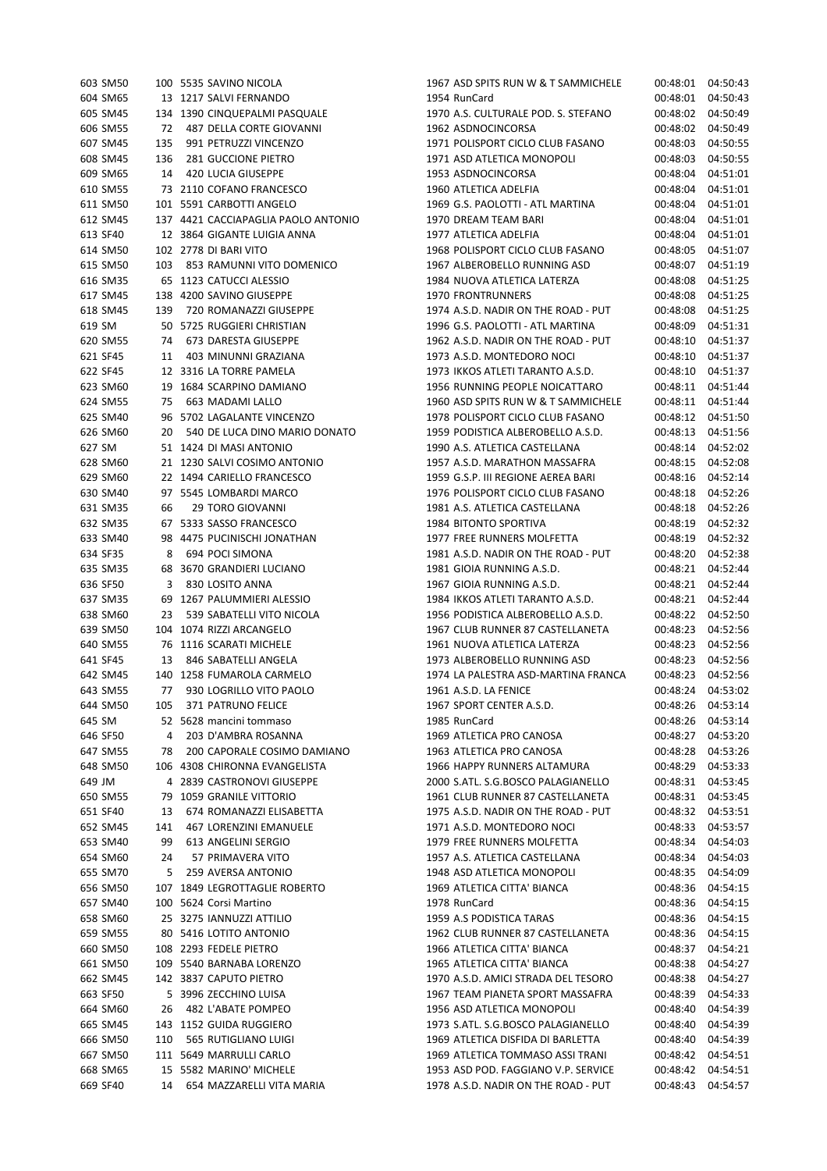|        | 603 SM50 |                         | 100 5535 SAVINO NICOLA                                 |
|--------|----------|-------------------------|--------------------------------------------------------|
|        | 604 SM65 |                         | 13 1217 SALVI FERNANDO                                 |
|        | 605 SM45 |                         | 134 1390 CINQUEPALMI PASQUALE                          |
|        | 606 SM55 | 72                      | 487 DELLA CORTE GIOVANNI                               |
|        | 607 SM45 |                         | 135 991 PETRUZZI VINCENZO                              |
|        | 608 SM45 |                         | 136 281 GUCCIONE PIETRO                                |
|        | 609 SM65 |                         | 14 420 LUCIA GIUSEPPE                                  |
|        | 610 SM55 |                         | 73 2110 COFANO FRANCESCO                               |
|        | 611 SM50 | 101                     | 5591 CARBOTTI ANGELO                                   |
|        | 612 SM45 |                         | 137 4421 CACCIAPAGLIA PAOLO ANTONIO                    |
|        | 613 SF40 | 12                      |                                                        |
|        |          |                         | 3864 GIGANTE LUIGIA ANNA                               |
|        | 614 SM50 |                         | 102 2778 DI BARI VITO                                  |
|        | 615 SM50 |                         | 103 853 RAMUNNI VITO DOMENICO                          |
|        | 616 SM35 |                         | 65 1123 CATUCCI ALESSIO                                |
|        | 617 SM45 |                         | 138 4200 SAVINO GIUSEPPE                               |
|        | 618 SM45 |                         | 139 720 ROMANAZZI GIUSEPPE                             |
| 619 SM |          |                         | 50 5725 RUGGIERI CHRISTIAN                             |
|        |          |                         | 620 SM55 74 673 DARESTA GIUSEPPE                       |
|        | 621 SF45 |                         | 11 403 MINUNNI GRAZIANA                                |
|        | 622 SF45 | 12                      | 3316 LA TORRE PAMELA                                   |
|        | 623 SM60 | 19                      | 1684 SCARPINO DAMIANO                                  |
|        | 624 SM55 |                         | 75 663 MADAMI LALLO                                    |
|        | 625 SM40 |                         | 96 5702 LAGALANTE VINCENZO                             |
|        | 626 SM60 |                         | 20 540 DE LUCA DINO MARIO DONATO                       |
| 627 SM |          |                         | 51 1424 DI MASI ANTONIO                                |
|        | 628 SM60 | 21                      | 1230 SALVI COSIMO ANTONIO                              |
|        | 629 SM60 | 22                      | 1494 CARIELLO FRANCESCO                                |
|        |          |                         | 97 5545 LOMBARDI MARCO                                 |
|        | 630 SM40 |                         |                                                        |
|        | 631 SM35 | 66                      | <b>29 TORO GIOVANNI</b>                                |
|        | 632 SM35 |                         | 67 5333 SASSO FRANCESCO                                |
|        | 633 SM40 |                         | 98 4475 PUCINISCHI JONATHAN                            |
|        | 634 SF35 | 8                       | 694 POCI SIMONA                                        |
|        | 635 SM35 | 68                      | 3670 GRANDIERI LUCIANO                                 |
|        | 636 SF50 | $\overline{\mathbf{3}}$ | 830 LOSITO ANNA                                        |
|        | 637 SM35 | 69                      | 1267 PALUMMIERI ALESSIO                                |
|        | 638 SM60 |                         | 23 539 SABATELLI VITO NICOLA                           |
|        | 639 SM50 |                         | 104 1074 RIZZI ARCANGELO                               |
|        | 640 SM55 |                         | 76 1116 SCARATI MICHELE                                |
|        | 641 SF45 |                         | 13 846 SABATELLI ANGELA                                |
|        |          |                         | 642 SM45 140 1258 FUMAROLA CARMELO                     |
|        | 643 SM55 |                         | 77 930 LOGRILLO VITO PAOLO                             |
|        | 644 SM50 |                         | 105 371 PATRUNO FELICE                                 |
| 645 SM |          | 52                      | 5628 mancini tommaso                                   |
|        | 646 SF50 | $\overline{4}$          | 203 D'AMBRA ROSANNA                                    |
|        | 647 SM55 | 78                      | 200 CAPORALE COSIMO DAMIANO                            |
|        | 648 SM50 |                         | 106 4308 CHIRONNA EVANGELISTA                          |
| 649 JM |          |                         | 4 2839 CASTRONOVI GIUSEPPE                             |
|        | 650 SM55 | 79                      | 1059 GRANILE VITTORIO                                  |
|        |          |                         |                                                        |
|        | 651 SF40 | 13                      | 674 ROMANAZZI ELISABETTA<br>141 467 LORENZINI EMANUELE |
|        | 652 SM45 |                         |                                                        |
|        | 653 SM40 |                         | 99 613 ANGELINI SERGIO                                 |
|        | 654 SM60 |                         | 24 57 PRIMAVERA VITO                                   |
|        | 655 SM70 |                         | 5 259 AVERSA ANTONIO                                   |
|        | 656 SM50 |                         | 107 1849 LEGROTTAGLIE ROBERTO                          |
|        | 657 SM40 |                         | 100 5624 Corsi Martino                                 |
|        | 658 SM60 |                         | 25 3275 IANNUZZI ATTILIO                               |
|        | 659 SM55 |                         | 80 5416 LOTITO ANTONIO                                 |
|        | 660 SM50 |                         | 108 2293 FEDELE PIETRO                                 |
|        | 661 SM50 |                         | 109 5540 BARNABA LORENZO                               |
|        | 662 SM45 |                         | 142 3837 CAPUTO PIETRO                                 |
|        | 663 SF50 | 5.                      | 3996 ZECCHINO LUISA                                    |
|        | 664 SM60 |                         | 26 482 L'ABATE POMPEO                                  |
|        | 665 SM45 |                         | 143 1152 GUIDA RUGGIERO                                |
|        | 666 SM50 |                         | 110 565 RUTIGLIANO LUIGI                               |
|        | 667 SM50 |                         | 111 5649 MARRULLI CARLO                                |
|        |          |                         |                                                        |
|        | 668 SM65 |                         | 15 5582 MARINO' MICHELE                                |
|        | 669 SF40 | 14                      | 654 MAZZARELLI VITA MARIA                              |

| 603 SM50 |     | 100 5535 SAVINO NICOLA              | 1967 ASD SPITS RUN W & T SAMMICHELE |          | 00:48:01 04:50:43 |
|----------|-----|-------------------------------------|-------------------------------------|----------|-------------------|
| 604 SM65 |     | 13 1217 SALVI FERNANDO              | 1954 RunCard                        | 00:48:01 | 04:50:43          |
| 605 SM45 |     | 134 1390 CINQUEPALMI PASQUALE       | 1970 A.S. CULTURALE POD. S. STEFANO | 00:48:02 | 04:50:49          |
| 606 SM55 |     | 72 487 DELLA CORTE GIOVANNI         | 1962 ASDNOCINCORSA                  | 00:48:02 | 04:50:49          |
| 607 SM45 | 135 | 991 PETRUZZI VINCENZO               | 1971 POLISPORT CICLO CLUB FASANO    | 00:48:03 | 04:50:55          |
| 608 SM45 | 136 | 281 GUCCIONE PIETRO                 | 1971 ASD ATLETICA MONOPOLI          | 00:48:03 | 04:50:55          |
| 609 SM65 | 14  | 420 LUCIA GIUSEPPE                  | 1953 ASDNOCINCORSA                  | 00:48:04 | 04:51:01          |
| 610 SM55 |     | 73 2110 COFANO FRANCESCO            | 1960 ATLETICA ADELFIA               | 00:48:04 | 04:51:01          |
| 611 SM50 |     | 101 5591 CARBOTTI ANGELO            | 1969 G.S. PAOLOTTI - ATL MARTINA    | 00:48:04 | 04:51:01          |
| 612 SM45 |     | 137 4421 CACCIAPAGLIA PAOLO ANTONIO | 1970 DREAM TEAM BARI                | 00:48:04 | 04:51:01          |
| 613 SF40 |     | 12 3864 GIGANTE LUIGIA ANNA         | 1977 ATLETICA ADELFIA               | 00:48:04 | 04:51:01          |
| 614 SM50 |     | 102 2778 DI BARI VITO               | 1968 POLISPORT CICLO CLUB FASANO    | 00:48:05 | 04:51:07          |
|          |     | 103 853 RAMUNNI VITO DOMENICO       |                                     | 00:48:07 |                   |
| 615 SM50 |     |                                     | 1967 ALBEROBELLO RUNNING ASD        |          | 04:51:19          |
| 616 SM35 |     | 65 1123 CATUCCI ALESSIO             | 1984 NUOVA ATLETICA LATERZA         | 00:48:08 | 04:51:25          |
| 617 SM45 |     | 138 4200 SAVINO GIUSEPPE            | <b>1970 FRONTRUNNERS</b>            | 00:48:08 | 04:51:25          |
| 618 SM45 | 139 | 720 ROMANAZZI GIUSEPPE              | 1974 A.S.D. NADIR ON THE ROAD - PUT | 00:48:08 | 04:51:25          |
| 619 SM   |     | 50 5725 RUGGIERI CHRISTIAN          | 1996 G.S. PAOLOTTI - ATL MARTINA    | 00:48:09 | 04:51:31          |
| 620 SM55 | 74  | 673 DARESTA GIUSEPPE                | 1962 A.S.D. NADIR ON THE ROAD - PUT | 00:48:10 | 04:51:37          |
| 621 SF45 | 11  | 403 MINUNNI GRAZIANA                | 1973 A.S.D. MONTEDORO NOCI          | 00:48:10 | 04:51:37          |
| 622 SF45 |     | 12 3316 LA TORRE PAMELA             | 1973 IKKOS ATLETI TARANTO A.S.D.    | 00:48:10 | 04:51:37          |
| 623 SM60 |     | 19 1684 SCARPINO DAMIANO            | 1956 RUNNING PEOPLE NOICATTARO      | 00:48:11 | 04:51:44          |
| 624 SM55 | 75  | 663 MADAMI LALLO                    | 1960 ASD SPITS RUN W & T SAMMICHELE | 00:48:11 | 04:51:44          |
| 625 SM40 |     | 96 5702 LAGALANTE VINCENZO          | 1978 POLISPORT CICLO CLUB FASANO    | 00:48:12 | 04:51:50          |
| 626 SM60 | 20  | 540 DE LUCA DINO MARIO DONATO       | 1959 PODISTICA ALBEROBELLO A.S.D.   | 00:48:13 | 04:51:56          |
| 627 SM   |     | 51 1424 DI MASI ANTONIO             | 1990 A.S. ATLETICA CASTELLANA       | 00:48:14 | 04:52:02          |
| 628 SM60 |     | 21 1230 SALVI COSIMO ANTONIO        | 1957 A.S.D. MARATHON MASSAFRA       | 00:48:15 | 04:52:08          |
| 629 SM60 |     | 22 1494 CARIELLO FRANCESCO          | 1959 G.S.P. III REGIONE AEREA BARI  | 00:48:16 | 04:52:14          |
| 630 SM40 |     | 97 5545 LOMBARDI MARCO              | 1976 POLISPORT CICLO CLUB FASANO    | 00:48:18 | 04:52:26          |
| 631 SM35 | 66  | 29 TORO GIOVANNI                    | 1981 A.S. ATLETICA CASTELLANA       | 00:48:18 | 04:52:26          |
| 632 SM35 |     | 67 5333 SASSO FRANCESCO             | 1984 BITONTO SPORTIVA               | 00:48:19 | 04:52:32          |
| 633 SM40 |     | 98 4475 PUCINISCHI JONATHAN         | 1977 FREE RUNNERS MOLFETTA          | 00:48:19 | 04:52:32          |
| 634 SF35 | 8   | 694 POCI SIMONA                     | 1981 A.S.D. NADIR ON THE ROAD - PUT | 00:48:20 | 04:52:38          |
| 635 SM35 |     | 68 3670 GRANDIERI LUCIANO           | 1981 GIOIA RUNNING A.S.D.           | 00:48:21 | 04:52:44          |
| 636 SF50 |     | 830 LOSITO ANNA                     | 1967 GIOIA RUNNING A.S.D.           | 00:48:21 | 04:52:44          |
|          | 3   |                                     |                                     |          |                   |
| 637 SM35 |     | 69 1267 PALUMMIERI ALESSIO          | 1984 IKKOS ATLETI TARANTO A.S.D.    | 00:48:21 | 04:52:44          |
| 638 SM60 | 23  | 539 SABATELLI VITO NICOLA           | 1956 PODISTICA ALBEROBELLO A.S.D.   | 00:48:22 | 04:52:50          |
| 639 SM50 |     | 104 1074 RIZZI ARCANGELO            | 1967 CLUB RUNNER 87 CASTELLANETA    | 00:48:23 | 04:52:56          |
| 640 SM55 |     | 76 1116 SCARATI MICHELE             | 1961 NUOVA ATLETICA LATERZA         | 00:48:23 | 04:52:56          |
| 641 SF45 | 13  | 846 SABATELLI ANGELA                | 1973 ALBEROBELLO RUNNING ASD        | 00:48:23 | 04:52:56          |
| 642 SM45 |     | 140 1258 FUMAROLA CARMELO           | 1974 LA PALESTRA ASD-MARTINA FRANCA | 00:48:23 | 04:52:56          |
| 643 SM55 | 77  | 930 LOGRILLO VITO PAOLO             | 1961 A.S.D. LA FENICE               | 00:48:24 | 04:53:02          |
| 644 SM50 | 105 | 371 PATRUNO FELICE                  | 1967 SPORT CENTER A.S.D.            | 00:48:26 | 04:53:14          |
| 645 SM   |     | 52 5628 mancini tommaso             | 1985 RunCard                        | 00:48:26 | 04:53:14          |
| 646 SF50 | 4   | 203 D'AMBRA ROSANNA                 | 1969 ATLETICA PRO CANOSA            | 00:48:27 | 04:53:20          |
| 647 SM55 | 78  | 200 CAPORALE COSIMO DAMIANO         | 1963 ATLETICA PRO CANOSA            | 00:48:28 | 04:53:26          |
| 648 SM50 |     | 106 4308 CHIRONNA EVANGELISTA       | 1966 HAPPY RUNNERS ALTAMURA         | 00:48:29 | 04:53:33          |
| 649 JM   |     | 4 2839 CASTRONOVI GIUSEPPE          | 2000 S.ATL. S.G.BOSCO PALAGIANELLO  | 00:48:31 | 04:53:45          |
| 650 SM55 |     | 79 1059 GRANILE VITTORIO            | 1961 CLUB RUNNER 87 CASTELLANETA    | 00:48:31 | 04:53:45          |
| 651 SF40 | 13  | 674 ROMANAZZI ELISABETTA            | 1975 A.S.D. NADIR ON THE ROAD - PUT | 00:48:32 | 04:53:51          |
| 652 SM45 | 141 | <b>467 LORENZINI EMANUELE</b>       | 1971 A.S.D. MONTEDORO NOCI          | 00:48:33 | 04:53:57          |
| 653 SM40 | 99  | 613 ANGELINI SERGIO                 | 1979 FREE RUNNERS MOLFETTA          | 00:48:34 | 04:54:03          |
| 654 SM60 | 24  | 57 PRIMAVERA VITO                   | 1957 A.S. ATLETICA CASTELLANA       | 00:48:34 | 04:54:03          |
| 655 SM70 | 5   | 259 AVERSA ANTONIO                  | 1948 ASD ATLETICA MONOPOLI          | 00:48:35 | 04:54:09          |
| 656 SM50 |     | 107 1849 LEGROTTAGLIE ROBERTO       | 1969 ATLETICA CITTA' BIANCA         | 00:48:36 | 04:54:15          |
| 657 SM40 |     | 100 5624 Corsi Martino              | 1978 RunCard                        | 00:48:36 | 04:54:15          |
| 658 SM60 |     | 25 3275 IANNUZZI ATTILIO            | 1959 A.S PODISTICA TARAS            | 00:48:36 | 04:54:15          |
| 659 SM55 |     | 80 5416 LOTITO ANTONIO              | 1962 CLUB RUNNER 87 CASTELLANETA    | 00:48:36 | 04:54:15          |
|          |     | 108 2293 FEDELE PIETRO              | 1966 ATLETICA CITTA' BIANCA         |          | 04:54:21          |
| 660 SM50 |     |                                     |                                     | 00:48:37 |                   |
| 661 SM50 |     | 109 5540 BARNABA LORENZO            | 1965 ATLETICA CITTA' BIANCA         | 00:48:38 | 04:54:27          |
| 662 SM45 |     | 142 3837 CAPUTO PIETRO              | 1970 A.S.D. AMICI STRADA DEL TESORO | 00:48:38 | 04:54:27          |
| 663 SF50 |     | 5 3996 ZECCHINO LUISA               | 1967 TEAM PIANETA SPORT MASSAFRA    | 00:48:39 | 04:54:33          |
| 664 SM60 | 26  | 482 L'ABATE POMPEO                  | 1956 ASD ATLETICA MONOPOLI          | 00:48:40 | 04:54:39          |
| 665 SM45 |     | 143 1152 GUIDA RUGGIERO             | 1973 S.ATL. S.G.BOSCO PALAGIANELLO  | 00:48:40 | 04:54:39          |
| 666 SM50 | 110 | 565 RUTIGLIANO LUIGI                | 1969 ATLETICA DISFIDA DI BARLETTA   | 00:48:40 | 04:54:39          |
| 667 SM50 |     | 111 5649 MARRULLI CARLO             | 1969 ATLETICA TOMMASO ASSI TRANI    | 00:48:42 | 04:54:51          |
| 668 SM65 |     | 15 5582 MARINO' MICHELE             | 1953 ASD POD. FAGGIANO V.P. SERVICE | 00:48:42 | 04:54:51          |
| 669 SF40 |     | 14 654 MAZZARELLI VITA MARIA        | 1978 A.S.D. NADIR ON THE ROAD - PUT | 00:48:43 | 04:54:57          |
|          |     |                                     |                                     |          |                   |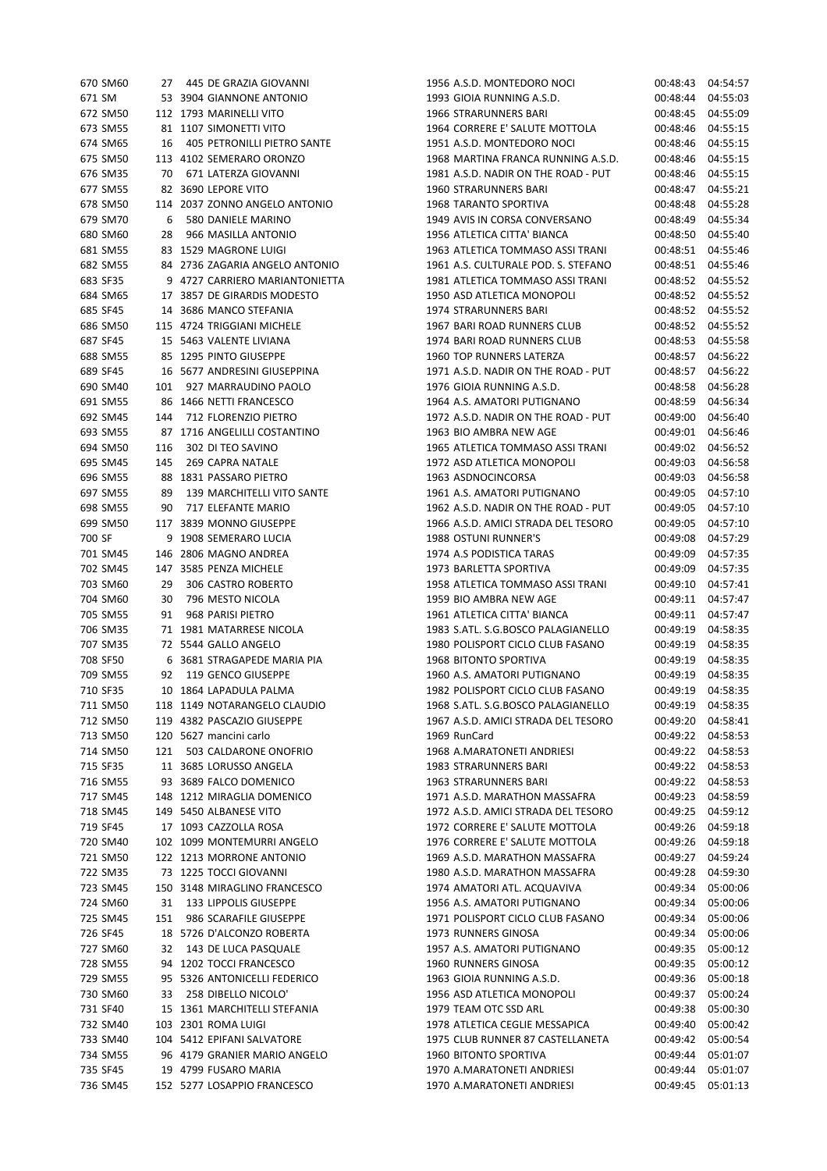| 670 SM60 | 27   | 445 DE GRAZIA GIOVANNI           |
|----------|------|----------------------------------|
| 671 SM   |      | 53 3904 GIANNONE ANTONIO         |
| 672 SM50 |      | 112 1793 MARINELLI VITO          |
| 673 SM55 | 81   | 1107 SIMONETTI VITO              |
| 674 SM65 | 16   | 405 PETRONILLI PIETRO SANTE      |
|          |      |                                  |
| 675 SM50 |      | 113 4102 SEMERARO ORONZO         |
| 676 SM35 |      | 70 671 LATERZA GIOVANNI          |
| 677 SM55 |      | 82 3690 LEPORE VITO              |
| 678 SM50 |      | 114 2037 ZONNO ANGELO ANTONIO    |
| 679 SM70 | 6    | 580 DANIELE MARINO               |
| 680 SM60 |      | 28 966 MASILLA ANTONIO           |
| 681 SM55 |      | 83 1529 MAGRONE LUIGI            |
| 682 SM55 |      | 84 2736 ZAGARIA ANGELO ANTONIO   |
| 683 SF35 |      | 9 4727 CARRIERO MARIANTONIETTA   |
|          |      |                                  |
| 684 SM65 |      | 17 3857 DE GIRARDIS MODESTO      |
| 685 SF45 | 14   | 3686 MANCO STEFANIA              |
| 686 SM50 |      | 115 4724 TRIGGIANI MICHELE       |
| 687 SF45 |      | 15 5463 VALENTE LIVIANA          |
| 688 SM55 | - 85 | 1295 PINTO GIUSEPPE              |
| 689 SF45 |      | 16 5677 ANDRESINI GIUSEPPINA     |
| 690 SM40 |      | 101 927 MARRAUDINO PAOLO         |
| 691 SM55 |      | 86 1466 NETTI FRANCESCO          |
| 692 SM45 |      | 144 712 FLORENZIO PIETRO         |
|          |      |                                  |
| 693 SM55 | - 87 | 1716 ANGELILLI COSTANTINO        |
| 694 SM50 | 116  | 302 DI TEO SAVINO                |
| 695 SM45 | 145  | 269 CAPRA NATALE                 |
| 696 SM55 |      | 88 1831 PASSARO PIETRO           |
| 697 SM55 |      | 89 139 MARCHITELLI VITO SANTE    |
| 698 SM55 |      | 90 717 ELEFANTE MARIO            |
|          |      | 699 SM50 117 3839 MONNO GIUSEPPE |
| 700 SF   |      | 9 1908 SEMERARO LUCIA            |
|          |      |                                  |
| 701 SM45 |      | 146 2806 MAGNO ANDREA            |
| 702 SM45 |      | 147 3585 PENZA MICHELE           |
| 703 SM60 |      | 29 306 CASTRO ROBERTO            |
| 704 SM60 |      | 30 796 MESTO NICOLA              |
| 705 SM55 | 91   | 968 PARISI PIETRO                |
| 706 SM35 |      | 71 1981 MATARRESE NICOLA         |
| 707 SM35 |      | 72 5544 GALLO ANGELO             |
| 708 SF50 |      | 6 3681 STRAGAPEDE MARIA PIA      |
| 709 SM55 |      | 92 119 GENCO GIUSEPPE            |
|          |      |                                  |
|          |      | 710 SF35 10 1864 LAPADULA PALMA  |
| 711 SM50 |      | 118 1149 NOTARANGELO CLAUDIO     |
| 712 SM50 |      | 119 4382 PASCAZIO GIUSEPPE       |
| 713 SM50 |      | 120 5627 mancini carlo           |
| 714 SM50 |      | 121 503 CALDARONE ONOFRIO        |
| 715 SF35 |      | 11 3685 LORUSSO ANGELA           |
| 716 SM55 |      | 93 3689 FALCO DOMENICO           |
| 717 SM45 |      | 148 1212 MIRAGLIA DOMENICO       |
| 718 SM45 |      | 149 5450 ALBANESE VITO           |
| 719 SF45 |      | 17 1093 CAZZOLLA ROSA            |
|          |      |                                  |
| 720 SM40 |      | 102 1099 MONTEMURRI ANGELO       |
| 721 SM50 |      | 122 1213 MORRONE ANTONIO         |
| 722 SM35 |      | 73 1225 TOCCI GIOVANNI           |
| 723 SM45 |      | 150 3148 MIRAGLINO FRANCESCO     |
| 724 SM60 | 31   | 133 LIPPOLIS GIUSEPPE            |
| 725 SM45 | 151  | 986 SCARAFILE GIUSEPPE           |
| 726 SF45 |      | 18 5726 D'ALCONZO ROBERTA        |
| 727 SM60 | 32   | 143 DE LUCA PASQUALE             |
| 728 SM55 |      | 94 1202 TOCCI FRANCESCO          |
| 729 SM55 |      | 5326 ANTONICELLI FEDERICO        |
|          | 95   |                                  |
| 730 SM60 |      | 33 258 DIBELLO NICOLO'           |
| 731 SF40 |      | 15 1361 MARCHITELLI STEFANIA     |
| 732 SM40 |      | 103 2301 ROMA LUIGI              |
| 733 SM40 |      | 104 5412 EPIFANI SALVATORE       |
| 734 SM55 |      | 96 4179 GRANIER MARIO ANGELO     |
| 735 SF45 |      | 19 4799 FUSARO MARIA             |
| 736 SM45 |      | 152 5277 LOSAPPIO FRANCESCO      |
|          |      |                                  |

| 670 SM60 |     | 27 445 DE GRAZIA GIOVANNI      | 1956 A.S.D. MONTEDORO NOCI          | 00:48:43 | 04:54:57 |
|----------|-----|--------------------------------|-------------------------------------|----------|----------|
| 671 SM   |     | 53 3904 GIANNONE ANTONIO       | 1993 GIOIA RUNNING A.S.D.           | 00:48:44 | 04:55:03 |
| 672 SM50 |     | 112 1793 MARINELLI VITO        | 1966 STRARUNNERS BARI               | 00:48:45 | 04:55:09 |
| 673 SM55 |     | 81 1107 SIMONETTI VITO         | 1964 CORRERE E' SALUTE MOTTOLA      | 00:48:46 | 04:55:15 |
| 674 SM65 | 16  | 405 PETRONILLI PIETRO SANTE    | 1951 A.S.D. MONTEDORO NOCI          | 00:48:46 | 04:55:15 |
| 675 SM50 |     | 113 4102 SEMERARO ORONZO       | 1968 MARTINA FRANCA RUNNING A.S.D.  | 00:48:46 | 04:55:15 |
| 676 SM35 | 70  | 671 LATERZA GIOVANNI           | 1981 A.S.D. NADIR ON THE ROAD - PUT | 00:48:46 | 04:55:15 |
| 677 SM55 |     | 82 3690 LEPORE VITO            | 1960 STRARUNNERS BARI               | 00:48:47 | 04:55:21 |
| 678 SM50 |     | 114 2037 ZONNO ANGELO ANTONIO  | 1968 TARANTO SPORTIVA               | 00:48:48 | 04:55:28 |
| 679 SM70 | 6   | 580 DANIELE MARINO             | 1949 AVIS IN CORSA CONVERSANO       | 00:48:49 | 04:55:34 |
|          | 28  | 966 MASILLA ANTONIO            | 1956 ATLETICA CITTA' BIANCA         | 00:48:50 |          |
| 680 SM60 |     |                                |                                     |          | 04:55:40 |
| 681 SM55 |     | 83 1529 MAGRONE LUIGI          | 1963 ATLETICA TOMMASO ASSI TRANI    | 00:48:51 | 04:55:46 |
| 682 SM55 |     | 84 2736 ZAGARIA ANGELO ANTONIO | 1961 A.S. CULTURALE POD. S. STEFANO | 00:48:51 | 04:55:46 |
| 683 SF35 |     | 9 4727 CARRIERO MARIANTONIETTA | 1981 ATLETICA TOMMASO ASSI TRANI    | 00:48:52 | 04:55:52 |
| 684 SM65 |     | 17 3857 DE GIRARDIS MODESTO    | 1950 ASD ATLETICA MONOPOLI          | 00:48:52 | 04:55:52 |
| 685 SF45 |     | 14 3686 MANCO STEFANIA         | 1974 STRARUNNERS BARI               | 00:48:52 | 04:55:52 |
| 686 SM50 |     | 115 4724 TRIGGIANI MICHELE     | 1967 BARI ROAD RUNNERS CLUB         | 00:48:52 | 04:55:52 |
| 687 SF45 |     | 15 5463 VALENTE LIVIANA        | 1974 BARI ROAD RUNNERS CLUB         | 00:48:53 | 04:55:58 |
| 688 SM55 |     | 85 1295 PINTO GIUSEPPE         | 1960 TOP RUNNERS LATERZA            | 00:48:57 | 04:56:22 |
| 689 SF45 |     | 16 5677 ANDRESINI GIUSEPPINA   | 1971 A.S.D. NADIR ON THE ROAD - PUT | 00:48:57 | 04:56:22 |
| 690 SM40 | 101 | 927 MARRAUDINO PAOLO           | 1976 GIOIA RUNNING A.S.D.           | 00:48:58 | 04:56:28 |
| 691 SM55 |     | 86 1466 NETTI FRANCESCO        | 1964 A.S. AMATORI PUTIGNANO         | 00:48:59 | 04:56:34 |
| 692 SM45 | 144 | 712 FLORENZIO PIETRO           | 1972 A.S.D. NADIR ON THE ROAD - PUT | 00:49:00 | 04:56:40 |
| 693 SM55 |     | 87 1716 ANGELILLI COSTANTINO   | 1963 BIO AMBRA NEW AGE              | 00:49:01 | 04:56:46 |
| 694 SM50 | 116 | 302 DI TEO SAVINO              | 1965 ATLETICA TOMMASO ASSI TRANI    | 00:49:02 | 04:56:52 |
| 695 SM45 | 145 | 269 CAPRA NATALE               | 1972 ASD ATLETICA MONOPOLI          | 00:49:03 | 04:56:58 |
| 696 SM55 |     | 88 1831 PASSARO PIETRO         | 1963 ASDNOCINCORSA                  | 00:49:03 | 04:56:58 |
|          |     |                                |                                     |          |          |
| 697 SM55 | 89  | 139 MARCHITELLI VITO SANTE     | 1961 A.S. AMATORI PUTIGNANO         | 00:49:05 | 04:57:10 |
| 698 SM55 | 90  | 717 ELEFANTE MARIO             | 1962 A.S.D. NADIR ON THE ROAD - PUT | 00:49:05 | 04:57:10 |
| 699 SM50 |     | 117 3839 MONNO GIUSEPPE        | 1966 A.S.D. AMICI STRADA DEL TESORO | 00:49:05 | 04:57:10 |
| 700 SF   |     | 9 1908 SEMERARO LUCIA          | 1988 OSTUNI RUNNER'S                | 00:49:08 | 04:57:29 |
| 701 SM45 |     | 146 2806 MAGNO ANDREA          | 1974 A.S PODISTICA TARAS            | 00:49:09 | 04:57:35 |
| 702 SM45 |     | 147 3585 PENZA MICHELE         | 1973 BARLETTA SPORTIVA              | 00:49:09 | 04:57:35 |
| 703 SM60 | 29  | 306 CASTRO ROBERTO             | 1958 ATLETICA TOMMASO ASSI TRANI    | 00:49:10 | 04:57:41 |
| 704 SM60 | 30  | 796 MESTO NICOLA               | 1959 BIO AMBRA NEW AGE              | 00:49:11 | 04:57:47 |
| 705 SM55 | 91  | 968 PARISI PIETRO              | 1961 ATLETICA CITTA' BIANCA         | 00:49:11 | 04:57:47 |
| 706 SM35 |     | 71 1981 MATARRESE NICOLA       | 1983 S.ATL. S.G.BOSCO PALAGIANELLO  | 00:49:19 | 04:58:35 |
| 707 SM35 |     | 72 5544 GALLO ANGELO           | 1980 POLISPORT CICLO CLUB FASANO    | 00:49:19 | 04:58:35 |
| 708 SF50 |     | 6 3681 STRAGAPEDE MARIA PIA    | 1968 BITONTO SPORTIVA               | 00:49:19 | 04:58:35 |
| 709 SM55 | 92  | 119 GENCO GIUSEPPE             | 1960 A.S. AMATORI PUTIGNANO         | 00:49:19 | 04:58:35 |
| 710 SF35 |     | 10 1864 LAPADULA PALMA         | 1982 POLISPORT CICLO CLUB FASANO    | 00:49:19 | 04:58:35 |
| 711 SM50 |     | 118 1149 NOTARANGELO CLAUDIO   | 1968 S.ATL. S.G.BOSCO PALAGIANELLO  | 00:49:19 | 04:58:35 |
| 712 SM50 |     | 119 4382 PASCAZIO GIUSEPPE     | 1967 A.S.D. AMICI STRADA DEL TESORO | 00:49:20 | 04:58:41 |
| 713 SM50 |     | 120 5627 mancini carlo         | 1969 RunCard                        | 00:49:22 | 04:58:53 |
| 714 SM50 | 121 | 503 CALDARONE ONOFRIO          | 1968 A.MARATONETI ANDRIESI          | 00:49:22 | 04:58:53 |
|          |     |                                |                                     |          |          |
| 715 SF35 |     | 11 3685 LORUSSO ANGELA         | 1983 STRARUNNERS BARI               | 00:49:22 | 04:58:53 |
| 716 SM55 |     | 93 3689 FALCO DOMENICO         | 1963 STRARUNNERS BARI               | 00:49:22 | 04:58:53 |
| 717 SM45 |     | 148 1212 MIRAGLIA DOMENICO     | 1971 A.S.D. MARATHON MASSAFRA       | 00:49:23 | 04:58:59 |
| 718 SM45 |     | 149 5450 ALBANESE VITO         | 1972 A.S.D. AMICI STRADA DEL TESORO | 00:49:25 | 04:59:12 |
| 719 SF45 |     | 17 1093 CAZZOLLA ROSA          | 1972 CORRERE E' SALUTE MOTTOLA      | 00:49:26 | 04:59:18 |
| 720 SM40 |     | 102 1099 MONTEMURRI ANGELO     | 1976 CORRERE E' SALUTE MOTTOLA      | 00:49:26 | 04:59:18 |
| 721 SM50 |     | 122 1213 MORRONE ANTONIO       | 1969 A.S.D. MARATHON MASSAFRA       | 00:49:27 | 04:59:24 |
| 722 SM35 |     | 73 1225 TOCCI GIOVANNI         | 1980 A.S.D. MARATHON MASSAFRA       | 00:49:28 | 04:59:30 |
| 723 SM45 |     | 150 3148 MIRAGLINO FRANCESCO   | 1974 AMATORI ATL. ACQUAVIVA         | 00:49:34 | 05:00:06 |
| 724 SM60 | 31  | 133 LIPPOLIS GIUSEPPE          | 1956 A.S. AMATORI PUTIGNANO         | 00:49:34 | 05:00:06 |
| 725 SM45 | 151 | 986 SCARAFILE GIUSEPPE         | 1971 POLISPORT CICLO CLUB FASANO    | 00:49:34 | 05:00:06 |
| 726 SF45 |     | 18 5726 D'ALCONZO ROBERTA      | 1973 RUNNERS GINOSA                 | 00:49:34 | 05:00:06 |
| 727 SM60 | 32  | 143 DE LUCA PASQUALE           | 1957 A.S. AMATORI PUTIGNANO         | 00:49:35 | 05:00:12 |
| 728 SM55 |     | 94 1202 TOCCI FRANCESCO        | 1960 RUNNERS GINOSA                 | 00:49:35 | 05:00:12 |
| 729 SM55 |     | 95 5326 ANTONICELLI FEDERICO   | 1963 GIOIA RUNNING A.S.D.           | 00:49:36 | 05:00:18 |
| 730 SM60 | 33  | 258 DIBELLO NICOLO'            | 1956 ASD ATLETICA MONOPOLI          | 00:49:37 | 05:00:24 |
|          |     |                                |                                     |          |          |
| 731 SF40 |     | 15 1361 MARCHITELLI STEFANIA   | 1979 TEAM OTC SSD ARL               | 00:49:38 | 05:00:30 |
| 732 SM40 |     | 103 2301 ROMA LUIGI            | 1978 ATLETICA CEGLIE MESSAPICA      | 00:49:40 | 05:00:42 |
| 733 SM40 |     | 104 5412 EPIFANI SALVATORE     | 1975 CLUB RUNNER 87 CASTELLANETA    | 00:49:42 | 05:00:54 |
| 734 SM55 |     | 96 4179 GRANIER MARIO ANGELO   | 1960 BITONTO SPORTIVA               | 00:49:44 | 05:01:07 |
| 735 SF45 |     | 19 4799 FUSARO MARIA           | 1970 A.MARATONETI ANDRIESI          | 00:49:44 | 05:01:07 |
| 736 SM45 |     | 152 5277 LOSAPPIO FRANCESCO    | 1970 A.MARATONETI ANDRIESI          | 00:49:45 | 05:01:13 |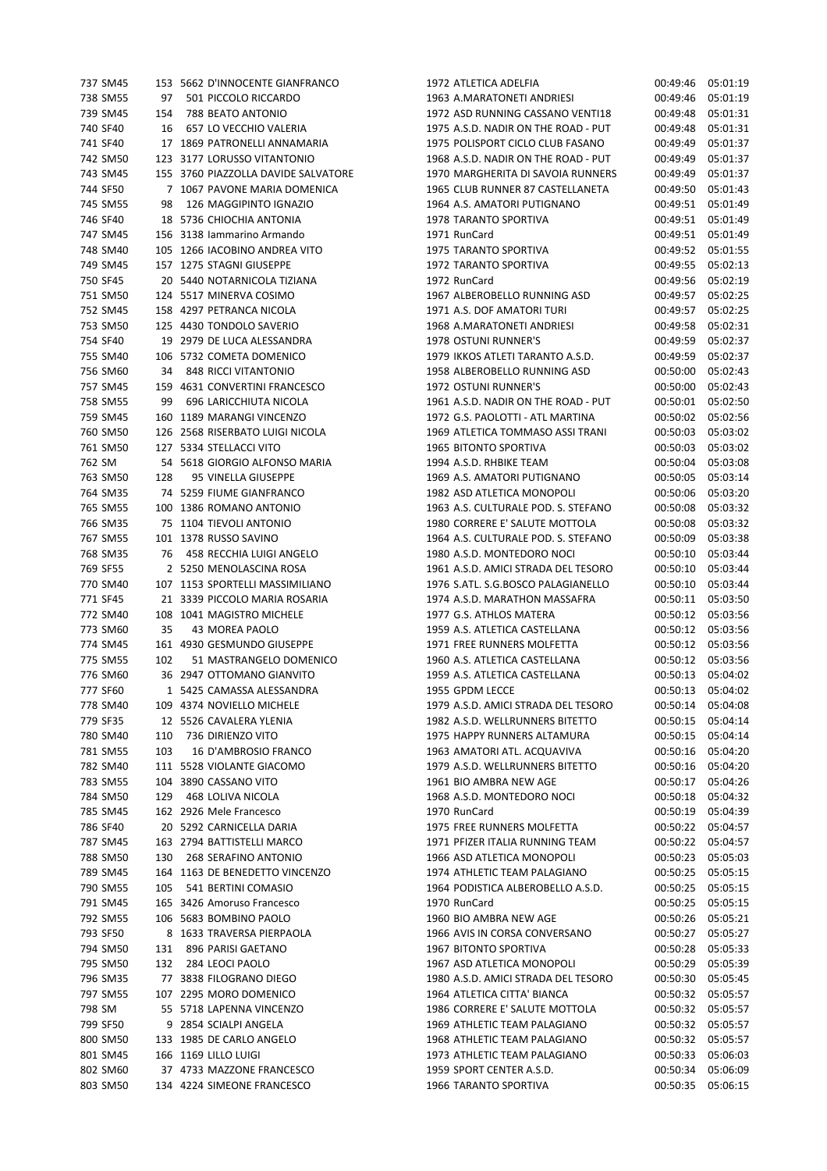| 737 SM45 |     | 153 5662 D'INNOCENTE GIANFRANCO     | 1972 ATLETICA ADELFIA               | 00:49:46          | 05:01:19 |
|----------|-----|-------------------------------------|-------------------------------------|-------------------|----------|
| 738 SM55 | 97  | 501 PICCOLO RICCARDO                | 1963 A.MARATONETI ANDRIESI          | 00:49:46          | 05:01:19 |
| 739 SM45 | 154 | 788 BEATO ANTONIO                   | 1972 ASD RUNNING CASSANO VENTI18    | 00:49:48          | 05:01:31 |
| 740 SF40 | 16  | 657 LO VECCHIO VALERIA              | 1975 A.S.D. NADIR ON THE ROAD - PUT | 00:49:48          | 05:01:31 |
| 741 SF40 |     | 17 1869 PATRONELLI ANNAMARIA        | 1975 POLISPORT CICLO CLUB FASANO    | 00:49:49          | 05:01:37 |
| 742 SM50 |     | 123 3177 LORUSSO VITANTONIO         | 1968 A.S.D. NADIR ON THE ROAD - PUT | 00:49:49          | 05:01:37 |
| 743 SM45 |     | 155 3760 PIAZZOLLA DAVIDE SALVATORE | 1970 MARGHERITA DI SAVOIA RUNNERS   | 00:49:49          | 05:01:37 |
| 744 SF50 |     | 7 1067 PAVONE MARIA DOMENICA        | 1965 CLUB RUNNER 87 CASTELLANETA    | 00:49:50          | 05:01:43 |
| 745 SM55 | 98  | 126 MAGGIPINTO IGNAZIO              | 1964 A.S. AMATORI PUTIGNANO         | 00:49:51          | 05:01:49 |
| 746 SF40 |     | 18 5736 CHIOCHIA ANTONIA            | 1978 TARANTO SPORTIVA               | 00:49:51          | 05:01:49 |
| 747 SM45 |     | 156 3138 Jammarino Armando          | 1971 RunCard                        | 00:49:51          | 05:01:49 |
| 748 SM40 |     | 105 1266 IACOBINO ANDREA VITO       | 1975 TARANTO SPORTIVA               | 00:49:52          | 05:01:55 |
| 749 SM45 |     | 157 1275 STAGNI GIUSEPPE            | 1972 TARANTO SPORTIVA               | 00:49:55          | 05:02:13 |
| 750 SF45 |     | 20 5440 NOTARNICOLA TIZIANA         | 1972 RunCard                        | 00:49:56          | 05:02:19 |
| 751 SM50 |     | 124 5517 MINERVA COSIMO             | 1967 ALBEROBELLO RUNNING ASD        | 00:49:57          | 05:02:25 |
| 752 SM45 |     | 158 4297 PETRANCA NICOLA            | 1971 A.S. DOF AMATORI TURI          | 00:49:57          | 05:02:25 |
| 753 SM50 |     | 125 4430 TONDOLO SAVERIO            | 1968 A.MARATONETI ANDRIESI          | 00:49:58          | 05:02:31 |
| 754 SF40 |     | 19 2979 DE LUCA ALESSANDRA          | 1978 OSTUNI RUNNER'S                | 00:49:59          | 05:02:37 |
| 755 SM40 |     | 106 5732 COMETA DOMENICO            | 1979 IKKOS ATLETI TARANTO A.S.D.    | 00:49:59          | 05:02:37 |
| 756 SM60 |     | 34 848 RICCI VITANTONIO             | 1958 ALBEROBELLO RUNNING ASD        | 00:50:00          | 05:02:43 |
| 757 SM45 |     | 159 4631 CONVERTINI FRANCESCO       | 1972 OSTUNI RUNNER'S                | 00:50:00          | 05:02:43 |
| 758 SM55 | 99  | 696 LARICCHIUTA NICOLA              | 1961 A.S.D. NADIR ON THE ROAD - PUT | 00:50:01          | 05:02:50 |
| 759 SM45 |     | 160 1189 MARANGI VINCENZO           | 1972 G.S. PAOLOTTI - ATL MARTINA    | 00:50:02          | 05:02:56 |
| 760 SM50 |     | 126 2568 RISERBATO LUIGI NICOLA     | 1969 ATLETICA TOMMASO ASSI TRANI    | 00:50:03          | 05:03:02 |
| 761 SM50 |     | 127 5334 STELLACCI VITO             | 1965 BITONTO SPORTIVA               | 00:50:03          | 05:03:02 |
| 762 SM   |     | 54 5618 GIORGIO ALFONSO MARIA       | 1994 A.S.D. RHBIKE TEAM             | 00:50:04          | 05:03:08 |
|          |     |                                     |                                     |                   |          |
| 763 SM50 | 128 | 95 VINELLA GIUSEPPE                 | 1969 A.S. AMATORI PUTIGNANO         | 00:50:05          | 05:03:14 |
| 764 SM35 |     | 74 5259 FIUME GIANFRANCO            | 1982 ASD ATLETICA MONOPOLI          | 00:50:06          | 05:03:20 |
| 765 SM55 |     | 100 1386 ROMANO ANTONIO             | 1963 A.S. CULTURALE POD. S. STEFANO | 00:50:08          | 05:03:32 |
| 766 SM35 |     | 75 1104 TIEVOLI ANTONIO             | 1980 CORRERE E' SALUTE MOTTOLA      | 00:50:08          | 05:03:32 |
| 767 SM55 |     | 101 1378 RUSSO SAVINO               | 1964 A.S. CULTURALE POD. S. STEFANO | 00:50:09          | 05:03:38 |
| 768 SM35 | 76  | 458 RECCHIA LUIGI ANGELO            | 1980 A.S.D. MONTEDORO NOCI          | 00:50:10          | 05:03:44 |
| 769 SF55 |     | 2 5250 MENOLASCINA ROSA             | 1961 A.S.D. AMICI STRADA DEL TESORO | 00:50:10          | 05:03:44 |
| 770 SM40 |     | 107 1153 SPORTELLI MASSIMILIANO     | 1976 S.ATL. S.G.BOSCO PALAGIANELLO  | 00:50:10          | 05:03:44 |
| 771 SF45 |     | 21 3339 PICCOLO MARIA ROSARIA       | 1974 A.S.D. MARATHON MASSAFRA       | 00:50:11          | 05:03:50 |
| 772 SM40 |     | 108 1041 MAGISTRO MICHELE           | 1977 G.S. ATHLOS MATERA             | 00:50:12 05:03:56 |          |
| 773 SM60 | 35  | 43 MOREA PAOLO                      | 1959 A.S. ATLETICA CASTELLANA       | 00:50:12          | 05:03:56 |
| 774 SM45 |     | 161 4930 GESMUNDO GIUSEPPE          | 1971 FREE RUNNERS MOLFETTA          | 00:50:12 05:03:56 |          |
| 775 SM55 | 102 | 51 MASTRANGELO DOMENICO             | 1960 A.S. ATLETICA CASTELLANA       | 00:50:12          | 05:03:56 |
| 776 SM60 |     | 36 2947 OTTOMANO GIANVITO           | 1959 A.S. ATLETICA CASTELLANA       | 00:50:13          | 05:04:02 |
| 777 SF60 |     | 1 5425 CAMASSA ALESSANDRA           | 1955 GPDM LECCE                     | 00:50:13          | 05:04:02 |
| 778 SM40 |     | 109 4374 NOVIELLO MICHELE           | 1979 A.S.D. AMICI STRADA DEL TESORO | 00:50:14          | 05:04:08 |
| 779 SF35 |     | 12 5526 CAVALERA YLENIA             | 1982 A.S.D. WELLRUNNERS BITETTO     | 00:50:15          | 05:04:14 |
| 780 SM40 | 110 | 736 DIRIENZO VITO                   | 1975 HAPPY RUNNERS ALTAMURA         | 00:50:15          | 05:04:14 |
| 781 SM55 | 103 | 16 D'AMBROSIO FRANCO                | 1963 AMATORI ATL. ACQUAVIVA         | 00:50:16          | 05:04:20 |
| 782 SM40 |     | 111 5528 VIOLANTE GIACOMO           | 1979 A.S.D. WELLRUNNERS BITETTO     | 00:50:16          | 05:04:20 |
| 783 SM55 |     | 104 3890 CASSANO VITO               | 1961 BIO AMBRA NEW AGE              | 00:50:17          | 05:04:26 |
| 784 SM50 | 129 | 468 LOLIVA NICOLA                   | 1968 A.S.D. MONTEDORO NOCI          | 00:50:18          | 05:04:32 |
| 785 SM45 |     | 162 2926 Mele Francesco             | 1970 RunCard                        | 00:50:19          | 05:04:39 |
| 786 SF40 |     | 20 5292 CARNICELLA DARIA            | 1975 FREE RUNNERS MOLFETTA          | 00:50:22          | 05:04:57 |
| 787 SM45 |     | 163 2794 BATTISTELLI MARCO          | 1971 PFIZER ITALIA RUNNING TEAM     | 00:50:22          | 05:04:57 |
| 788 SM50 |     | 130 268 SERAFINO ANTONIO            | 1966 ASD ATLETICA MONOPOLI          | 00:50:23          | 05:05:03 |
| 789 SM45 |     | 164 1163 DE BENEDETTO VINCENZO      | 1974 ATHLETIC TEAM PALAGIANO        | 00:50:25          | 05:05:15 |
| 790 SM55 | 105 | 541 BERTINI COMASIO                 | 1964 PODISTICA ALBEROBELLO A.S.D.   | 00:50:25          | 05:05:15 |
| 791 SM45 |     | 165 3426 Amoruso Francesco          | 1970 RunCard                        | 00:50:25          | 05:05:15 |
| 792 SM55 |     | 106 5683 BOMBINO PAOLO              | 1960 BIO AMBRA NEW AGE              | 00:50:26          | 05:05:21 |
| 793 SF50 |     | 8 1633 TRAVERSA PIERPAOLA           | 1966 AVIS IN CORSA CONVERSANO       | 00:50:27          | 05:05:27 |
| 794 SM50 | 131 | 896 PARISI GAETANO                  | 1967 BITONTO SPORTIVA               | 00:50:28          | 05:05:33 |
| 795 SM50 | 132 | 284 LEOCI PAOLO                     | 1967 ASD ATLETICA MONOPOLI          | 00:50:29          | 05:05:39 |
| 796 SM35 |     | 77 3838 FILOGRANO DIEGO             | 1980 A.S.D. AMICI STRADA DEL TESORO | 00:50:30          | 05:05:45 |
| 797 SM55 |     | 107 2295 MORO DOMENICO              | 1964 ATLETICA CITTA' BIANCA         | 00:50:32          | 05:05:57 |
| 798 SM   |     | 55 5718 LAPENNA VINCENZO            | 1986 CORRERE E' SALUTE MOTTOLA      | 00:50:32          | 05:05:57 |
| 799 SF50 |     | 9 2854 SCIALPI ANGELA               | 1969 ATHLETIC TEAM PALAGIANO        | 00:50:32          | 05:05:57 |
| 800 SM50 |     | 133 1985 DE CARLO ANGELO            | 1968 ATHLETIC TEAM PALAGIANO        | 00:50:32          | 05:05:57 |
| 801 SM45 |     | 166 1169 LILLO LUIGI                | 1973 ATHLETIC TEAM PALAGIANO        | 00:50:33          | 05:06:03 |
| 802 SM60 |     | 37 4733 MAZZONE FRANCESCO           | 1959 SPORT CENTER A.S.D.            | 00:50:34          | 05:06:09 |
| 803 SM50 |     | 134 4224 SIMEONE FRANCESCO          | 1966 TARANTO SPORTIVA               | 00:50:35          | 05:06:15 |
|          |     |                                     |                                     |                   |          |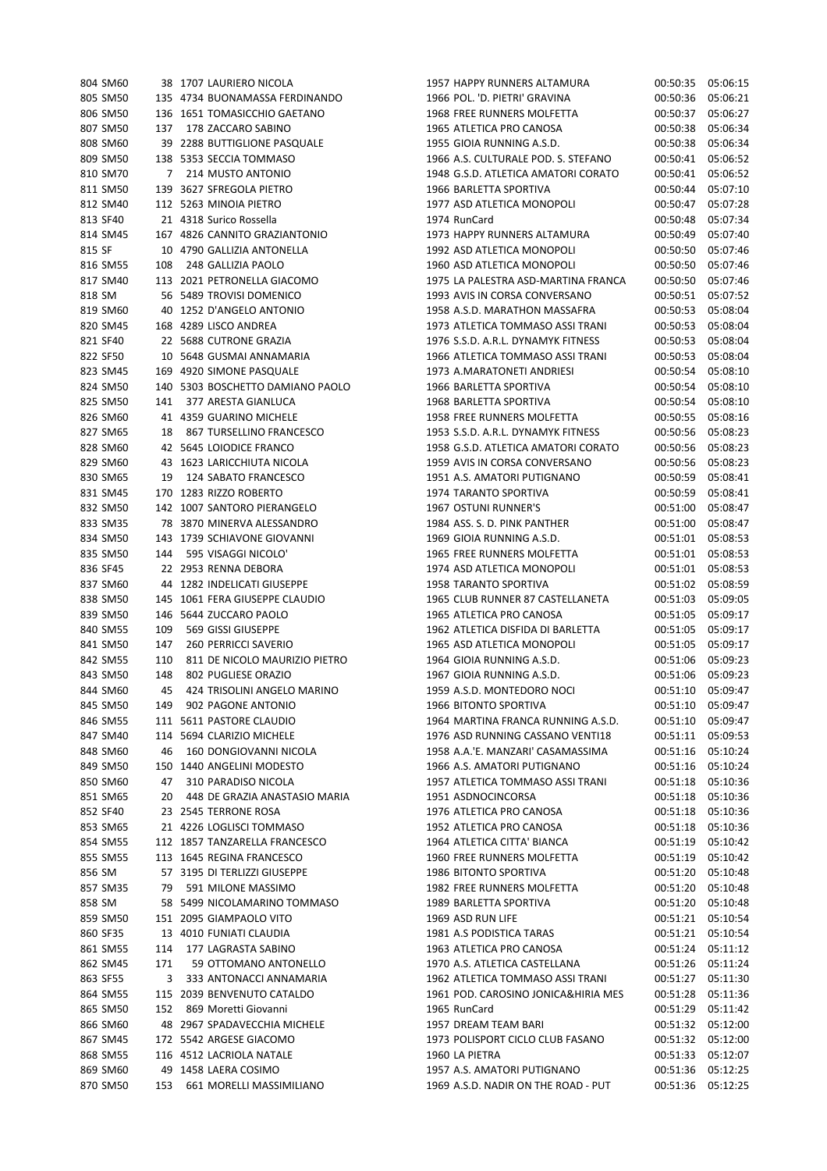| 804 SM60 |     | 38 1707 LAURIERO NICOLA          | 1957 HAPPY RUNNERS ALTAMURA         | 00:50:35 | 05:06:15 |
|----------|-----|----------------------------------|-------------------------------------|----------|----------|
| 805 SM50 |     | 135 4734 BUONAMASSA FERDINANDO   | 1966 POL. 'D. PIETRI' GRAVINA       | 00:50:36 | 05:06:21 |
| 806 SM50 |     | 136 1651 TOMASICCHIO GAETANO     | 1968 FREE RUNNERS MOLFETTA          | 00:50:37 | 05:06:27 |
| 807 SM50 | 137 | 178 ZACCARO SABINO               | 1965 ATLETICA PRO CANOSA            | 00:50:38 | 05:06:34 |
| 808 SM60 |     | 39 2288 BUTTIGLIONE PASQUALE     | 1955 GIOIA RUNNING A.S.D.           | 00:50:38 | 05:06:34 |
| 809 SM50 |     | 138 5353 SECCIA TOMMASO          | 1966 A.S. CULTURALE POD. S. STEFANO | 00:50:41 | 05:06:52 |
| 810 SM70 | 7   | 214 MUSTO ANTONIO                | 1948 G.S.D. ATLETICA AMATORI CORATO | 00:50:41 | 05:06:52 |
| 811 SM50 |     | 139 3627 SFREGOLA PIETRO         | 1966 BARLETTA SPORTIVA              | 00:50:44 | 05:07:10 |
| 812 SM40 |     | 112 5263 MINOIA PIETRO           | 1977 ASD ATLETICA MONOPOLI          | 00:50:47 | 05:07:28 |
|          |     |                                  |                                     |          |          |
| 813 SF40 |     | 21 4318 Surico Rossella          | 1974 RunCard                        | 00:50:48 | 05:07:34 |
| 814 SM45 |     | 167 4826 CANNITO GRAZIANTONIO    | 1973 HAPPY RUNNERS ALTAMURA         | 00:50:49 | 05:07:40 |
| 815 SF   |     | 10 4790 GALLIZIA ANTONELLA       | 1992 ASD ATLETICA MONOPOLI          | 00:50:50 | 05:07:46 |
| 816 SM55 | 108 | 248 GALLIZIA PAOLO               | 1960 ASD ATLETICA MONOPOLI          | 00:50:50 | 05:07:46 |
| 817 SM40 |     | 113 2021 PETRONELLA GIACOMO      | 1975 LA PALESTRA ASD-MARTINA FRANCA | 00:50:50 | 05:07:46 |
| 818 SM   |     | 56 5489 TROVISI DOMENICO         | 1993 AVIS IN CORSA CONVERSANO       | 00:50:51 | 05:07:52 |
| 819 SM60 |     | 40 1252 D'ANGELO ANTONIO         | 1958 A.S.D. MARATHON MASSAFRA       | 00:50:53 | 05:08:04 |
| 820 SM45 |     | 168 4289 LISCO ANDREA            | 1973 ATLETICA TOMMASO ASSI TRANI    | 00:50:53 | 05:08:04 |
| 821 SF40 |     | 22 5688 CUTRONE GRAZIA           | 1976 S.S.D. A.R.L. DYNAMYK FITNESS  | 00:50:53 | 05:08:04 |
| 822 SF50 |     | 10 5648 GUSMAI ANNAMARIA         | 1966 ATLETICA TOMMASO ASSI TRANI    | 00:50:53 | 05:08:04 |
| 823 SM45 |     | 169 4920 SIMONE PASQUALE         | 1973 A.MARATONETI ANDRIESI          | 00:50:54 | 05:08:10 |
| 824 SM50 |     | 140 5303 BOSCHETTO DAMIANO PAOLO | 1966 BARLETTA SPORTIVA              | 00:50:54 | 05:08:10 |
| 825 SM50 |     | 141 377 ARESTA GIANLUCA          | 1968 BARLETTA SPORTIVA              | 00:50:54 | 05:08:10 |
| 826 SM60 |     | 41 4359 GUARINO MICHELE          | 1958 FREE RUNNERS MOLFETTA          | 00:50:55 | 05:08:16 |
| 827 SM65 | 18  | 867 TURSELLINO FRANCESCO         | 1953 S.S.D. A.R.L. DYNAMYK FITNESS  | 00:50:56 | 05:08:23 |
| 828 SM60 |     | 42 5645 LOIODICE FRANCO          | 1958 G.S.D. ATLETICA AMATORI CORATO | 00:50:56 | 05:08:23 |
| 829 SM60 |     | 43 1623 LARICCHIUTA NICOLA       | 1959 AVIS IN CORSA CONVERSANO       | 00:50:56 | 05:08:23 |
| 830 SM65 | 19  | 124 SABATO FRANCESCO             | 1951 A.S. AMATORI PUTIGNANO         | 00:50:59 | 05:08:41 |
| 831 SM45 |     | 170 1283 RIZZO ROBERTO           | 1974 TARANTO SPORTIVA               | 00:50:59 | 05:08:41 |
| 832 SM50 |     | 142 1007 SANTORO PIERANGELO      | 1967 OSTUNI RUNNER'S                | 00:51:00 | 05:08:47 |
| 833 SM35 |     | 78 3870 MINERVA ALESSANDRO       | 1984 ASS. S. D. PINK PANTHER        | 00:51:00 | 05:08:47 |
|          |     |                                  |                                     |          |          |
| 834 SM50 |     | 143 1739 SCHIAVONE GIOVANNI      | 1969 GIOIA RUNNING A.S.D.           | 00:51:01 | 05:08:53 |
| 835 SM50 | 144 | 595 VISAGGI NICOLO'              | 1965 FREE RUNNERS MOLFETTA          | 00:51:01 | 05:08:53 |
| 836 SF45 |     | 22 2953 RENNA DEBORA             | 1974 ASD ATLETICA MONOPOLI          | 00:51:01 | 05:08:53 |
| 837 SM60 |     | 44 1282 INDELICATI GIUSEPPE      | 1958 TARANTO SPORTIVA               | 00:51:02 | 05:08:59 |
| 838 SM50 |     | 145 1061 FERA GIUSEPPE CLAUDIO   | 1965 CLUB RUNNER 87 CASTELLANETA    | 00:51:03 | 05:09:05 |
| 839 SM50 |     | 146 5644 ZUCCARO PAOLO           | 1965 ATLETICA PRO CANOSA            | 00:51:05 | 05:09:17 |
| 840 SM55 | 109 | 569 GISSI GIUSEPPE               | 1962 ATLETICA DISFIDA DI BARLETTA   | 00:51:05 | 05:09:17 |
| 841 SM50 | 147 | <b>260 PERRICCI SAVERIO</b>      | 1965 ASD ATLETICA MONOPOLI          | 00:51:05 | 05:09:17 |
| 842 SM55 | 110 | 811 DE NICOLO MAURIZIO PIETRO    | 1964 GIOIA RUNNING A.S.D.           | 00:51:06 | 05:09:23 |
| 843 SM50 | 148 | 802 PUGLIESE ORAZIO              | 1967 GIOIA RUNNING A.S.D.           | 00:51:06 | 05:09:23 |
| 844 SM60 | 45  | 424 TRISOLINI ANGELO MARINO      | 1959 A.S.D. MONTEDORO NOCI          | 00:51:10 | 05:09:47 |
| 845 SM50 | 149 | 902 PAGONE ANTONIO               | 1966 BITONTO SPORTIVA               | 00:51:10 | 05:09:47 |
| 846 SM55 |     | 111 5611 PASTORE CLAUDIO         | 1964 MARTINA FRANCA RUNNING A.S.D.  | 00:51:10 | 05:09:47 |
| 847 SM40 |     | 114 5694 CLARIZIO MICHELE        | 1976 ASD RUNNING CASSANO VENTI18    | 00:51:11 | 05:09:53 |
| 848 SM60 | 46  | 160 DONGIOVANNI NICOLA           | 1958 A.A.'E. MANZARI' CASAMASSIMA   | 00:51:16 | 05:10:24 |
| 849 SM50 |     | 150 1440 ANGELINI MODESTO        | 1966 A.S. AMATORI PUTIGNANO         | 00:51:16 | 05:10:24 |
| 850 SM60 | 47  | 310 PARADISO NICOLA              | 1957 ATLETICA TOMMASO ASSI TRANI    | 00:51:18 | 05:10:36 |
| 851 SM65 | 20  | 448 DE GRAZIA ANASTASIO MARIA    | 1951 ASDNOCINCORSA                  | 00:51:18 | 05:10:36 |
| 852 SF40 |     | 23 2545 TERRONE ROSA             | 1976 ATLETICA PRO CANOSA            | 00:51:18 | 05:10:36 |
| 853 SM65 |     | 21 4226 LOGLISCI TOMMASO         | 1952 ATLETICA PRO CANOSA            | 00:51:18 | 05:10:36 |
| 854 SM55 |     | 112 1857 TANZARELLA FRANCESCO    | 1964 ATLETICA CITTA' BIANCA         | 00:51:19 | 05:10:42 |
| 855 SM55 |     | 113 1645 REGINA FRANCESCO        | 1960 FREE RUNNERS MOLFETTA          | 00:51:19 | 05:10:42 |
| 856 SM   |     | 57 3195 DI TERLIZZI GIUSEPPE     | 1986 BITONTO SPORTIVA               | 00:51:20 | 05:10:48 |
|          | 79  |                                  | 1982 FREE RUNNERS MOLFETTA          |          |          |
| 857 SM35 |     | 591 MILONE MASSIMO               |                                     | 00:51:20 | 05:10:48 |
| 858 SM   |     | 58 5499 NICOLAMARINO TOMMASO     | 1989 BARLETTA SPORTIVA              | 00:51:20 | 05:10:48 |
| 859 SM50 |     | 151 2095 GIAMPAOLO VITO          | 1969 ASD RUN LIFE                   | 00:51:21 | 05:10:54 |
| 860 SF35 |     | 13 4010 FUNIATI CLAUDIA          | 1981 A.S PODISTICA TARAS            | 00:51:21 | 05:10:54 |
| 861 SM55 | 114 | 177 LAGRASTA SABINO              | 1963 ATLETICA PRO CANOSA            | 00:51:24 | 05:11:12 |
| 862 SM45 | 171 | 59 OTTOMANO ANTONELLO            | 1970 A.S. ATLETICA CASTELLANA       | 00:51:26 | 05:11:24 |
| 863 SF55 | 3   | 333 ANTONACCI ANNAMARIA          | 1962 ATLETICA TOMMASO ASSI TRANI    | 00:51:27 | 05:11:30 |
| 864 SM55 |     | 115 2039 BENVENUTO CATALDO       | 1961 POD. CAROSINO JONICA&HIRIA MES | 00:51:28 | 05:11:36 |
| 865 SM50 | 152 | 869 Moretti Giovanni             | 1965 RunCard                        | 00:51:29 | 05:11:42 |
| 866 SM60 |     | 48 2967 SPADAVECCHIA MICHELE     | 1957 DREAM TEAM BARI                | 00:51:32 | 05:12:00 |
| 867 SM45 |     | 172 5542 ARGESE GIACOMO          | 1973 POLISPORT CICLO CLUB FASANO    | 00:51:32 | 05:12:00 |
| 868 SM55 |     | 116 4512 LACRIOLA NATALE         | 1960 LA PIETRA                      | 00:51:33 | 05:12:07 |
| 869 SM60 |     | 49 1458 LAERA COSIMO             | 1957 A.S. AMATORI PUTIGNANO         | 00:51:36 | 05:12:25 |
| 870 SM50 | 153 | 661 MORELLI MASSIMILIANO         | 1969 A.S.D. NADIR ON THE ROAD - PUT | 00:51:36 | 05:12:25 |
|          |     |                                  |                                     |          |          |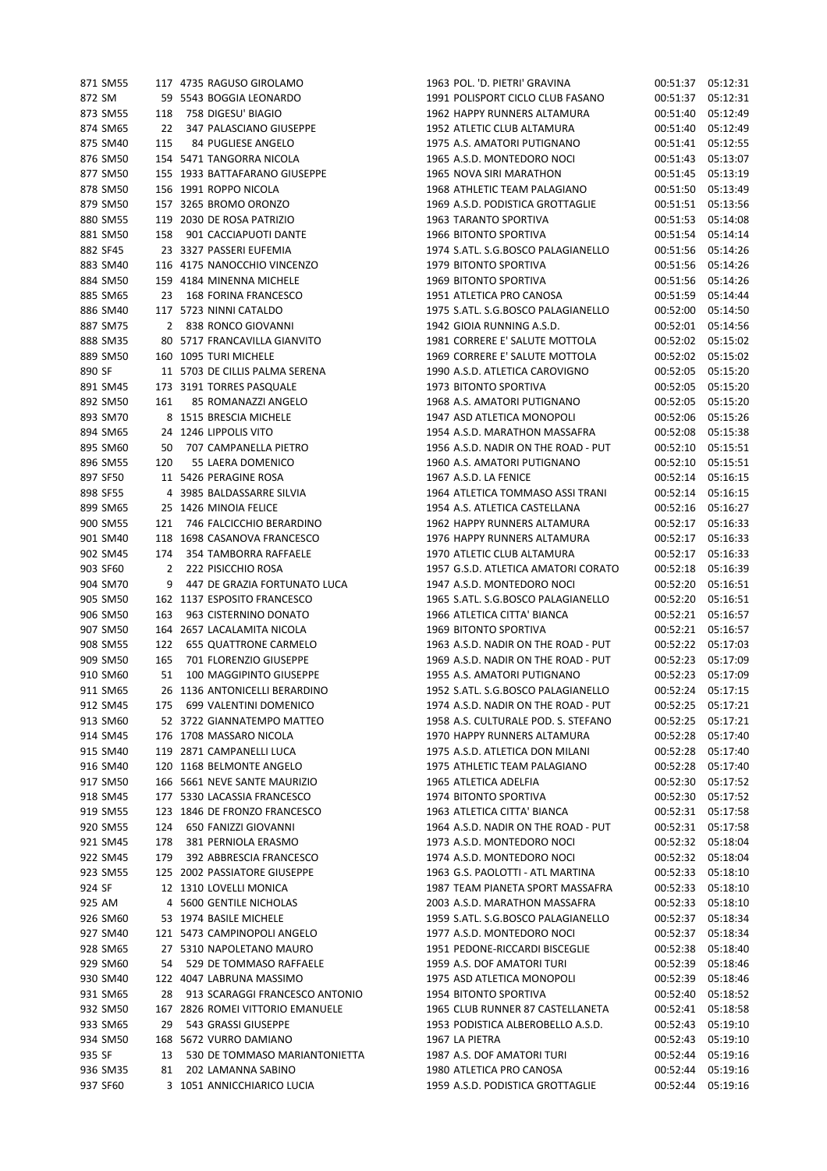| 871 SM55 |     | 117 4735 RAGUSO GIROLAMO         | 1963 POL. 'D. PIETRI' GRAVINA       |          | 00:51:37 05:12:31 |
|----------|-----|----------------------------------|-------------------------------------|----------|-------------------|
| 872 SM   |     | 59 5543 BOGGIA LEONARDO          | 1991 POLISPORT CICLO CLUB FASANO    | 00:51:37 | 05:12:31          |
| 873 SM55 | 118 | 758 DIGESU' BIAGIO               | 1962 HAPPY RUNNERS ALTAMURA         | 00:51:40 | 05:12:49          |
| 874 SM65 | 22  | 347 PALASCIANO GIUSEPPE          | 1952 ATLETIC CLUB ALTAMURA          | 00:51:40 | 05:12:49          |
| 875 SM40 | 115 | 84 PUGLIESE ANGELO               | 1975 A.S. AMATORI PUTIGNANO         | 00:51:41 | 05:12:55          |
| 876 SM50 |     | 154 5471 TANGORRA NICOLA         | 1965 A.S.D. MONTEDORO NOCI          | 00:51:43 | 05:13:07          |
| 877 SM50 |     | 155 1933 BATTAFARANO GIUSEPPE    | 1965 NOVA SIRI MARATHON             | 00:51:45 | 05:13:19          |
| 878 SM50 |     | 156 1991 ROPPO NICOLA            | 1968 ATHLETIC TEAM PALAGIANO        | 00:51:50 | 05:13:49          |
| 879 SM50 |     | 157 3265 BROMO ORONZO            | 1969 A.S.D. PODISTICA GROTTAGLIE    | 00:51:51 | 05:13:56          |
| 880 SM55 |     | 119 2030 DE ROSA PATRIZIO        | 1963 TARANTO SPORTIVA               | 00:51:53 | 05:14:08          |
| 881 SM50 | 158 | 901 CACCIAPUOTI DANTE            | 1966 BITONTO SPORTIVA               | 00:51:54 | 05:14:14          |
| 882 SF45 |     | 23 3327 PASSERI EUFEMIA          | 1974 S.ATL. S.G.BOSCO PALAGIANELLO  | 00:51:56 | 05:14:26          |
| 883 SM40 |     | 116 4175 NANOCCHIO VINCENZO      | 1979 BITONTO SPORTIVA               | 00:51:56 | 05:14:26          |
| 884 SM50 |     | 159 4184 MINENNA MICHELE         | 1969 BITONTO SPORTIVA               | 00:51:56 | 05:14:26          |
| 885 SM65 | 23  | 168 FORINA FRANCESCO             | 1951 ATLETICA PRO CANOSA            | 00:51:59 | 05:14:44          |
| 886 SM40 |     | 117 5723 NINNI CATALDO           | 1975 S.ATL. S.G.BOSCO PALAGIANELLO  | 00:52:00 | 05:14:50          |
| 887 SM75 |     | 2 838 RONCO GIOVANNI             | 1942 GIOIA RUNNING A.S.D.           | 00:52:01 | 05:14:56          |
| 888 SM35 |     | 80 5717 FRANCAVILLA GIANVITO     | 1981 CORRERE E' SALUTE MOTTOLA      | 00:52:02 | 05:15:02          |
| 889 SM50 |     | 160 1095 TURI MICHELE            | 1969 CORRERE E' SALUTE MOTTOLA      | 00:52:02 | 05:15:02          |
| 890 SF   |     | 11 5703 DE CILLIS PALMA SERENA   | 1990 A.S.D. ATLETICA CAROVIGNO      | 00:52:05 | 05:15:20          |
| 891 SM45 |     | 173 3191 TORRES PASQUALE         | 1973 BITONTO SPORTIVA               | 00:52:05 | 05:15:20          |
| 892 SM50 | 161 | 85 ROMANAZZI ANGELO              | 1968 A.S. AMATORI PUTIGNANO         | 00:52:05 | 05:15:20          |
| 893 SM70 |     | 8 1515 BRESCIA MICHELE           | 1947 ASD ATLETICA MONOPOLI          | 00:52:06 | 05:15:26          |
| 894 SM65 |     | 24 1246 LIPPOLIS VITO            | 1954 A.S.D. MARATHON MASSAFRA       | 00:52:08 | 05:15:38          |
| 895 SM60 | 50  | 707 CAMPANELLA PIETRO            | 1956 A.S.D. NADIR ON THE ROAD - PUT | 00:52:10 | 05:15:51          |
| 896 SM55 | 120 | 55 LAERA DOMENICO                | 1960 A.S. AMATORI PUTIGNANO         | 00:52:10 | 05:15:51          |
| 897 SF50 |     | 11 5426 PERAGINE ROSA            | 1967 A.S.D. LA FENICE               | 00:52:14 | 05:16:15          |
| 898 SF55 |     | 4 3985 BALDASSARRE SILVIA        | 1964 ATLETICA TOMMASO ASSI TRANI    | 00:52:14 | 05:16:15          |
| 899 SM65 |     | 25 1426 MINOIA FELICE            | 1954 A.S. ATLETICA CASTELLANA       | 00:52:16 | 05:16:27          |
| 900 SM55 | 121 | 746 FALCICCHIO BERARDINO         | 1962 HAPPY RUNNERS ALTAMURA         | 00:52:17 | 05:16:33          |
| 901 SM40 |     | 118 1698 CASANOVA FRANCESCO      | 1976 HAPPY RUNNERS ALTAMURA         | 00:52:17 | 05:16:33          |
| 902 SM45 | 174 | 354 TAMBORRA RAFFAELE            | 1970 ATLETIC CLUB ALTAMURA          | 00:52:17 | 05:16:33          |
| 903 SF60 | 2   | 222 PISICCHIO ROSA               | 1957 G.S.D. ATLETICA AMATORI CORATO | 00:52:18 | 05:16:39          |
| 904 SM70 | 9   | 447 DE GRAZIA FORTUNATO LUCA     | 1947 A.S.D. MONTEDORO NOCI          | 00:52:20 | 05:16:51          |
| 905 SM50 |     | 162 1137 ESPOSITO FRANCESCO      | 1965 S.ATL. S.G.BOSCO PALAGIANELLO  | 00:52:20 | 05:16:51          |
| 906 SM50 | 163 | 963 CISTERNINO DONATO            | 1966 ATLETICA CITTA' BIANCA         | 00:52:21 | 05:16:57          |
| 907 SM50 |     | 164 2657 LACALAMITA NICOLA       | 1969 BITONTO SPORTIVA               | 00:52:21 | 05:16:57          |
| 908 SM55 | 122 | <b>655 QUATTRONE CARMELO</b>     | 1963 A.S.D. NADIR ON THE ROAD - PUT | 00:52:22 | 05:17:03          |
| 909 SM50 | 165 | 701 FLORENZIO GIUSEPPE           | 1969 A.S.D. NADIR ON THE ROAD - PUT | 00:52:23 | 05:17:09          |
| 910 SM60 | 51  | 100 MAGGIPINTO GIUSEPPE          | 1955 A.S. AMATORI PUTIGNANO         | 00:52:23 | 05:17:09          |
| 911 SM65 |     | 26 1136 ANTONICELLI BERARDINO    | 1952 S.ATL. S.G.BOSCO PALAGIANELLO  | 00:52:24 | 05:17:15          |
| 912 SM45 | 175 | 699 VALENTINI DOMENICO           | 1974 A.S.D. NADIR ON THE ROAD - PUT | 00:52:25 | 05:17:21          |
| 913 SM60 |     | 52 3722 GIANNATEMPO MATTEO       | 1958 A.S. CULTURALE POD. S. STEFANO | 00:52:25 | 05:17:21          |
| 914 SM45 |     | 176 1708 MASSARO NICOLA          | 1970 HAPPY RUNNERS ALTAMURA         | 00:52:28 | 05:17:40          |
| 915 SM40 |     | 119 2871 CAMPANELLI LUCA         | 1975 A.S.D. ATLETICA DON MILANI     | 00:52:28 | 05:17:40          |
| 916 SM40 |     | 120 1168 BELMONTE ANGELO         | 1975 ATHLETIC TEAM PALAGIANO        | 00:52:28 | 05:17:40          |
| 917 SM50 |     | 166 5661 NEVE SANTE MAURIZIO     | 1965 ATLETICA ADELFIA               | 00:52:30 | 05:17:52          |
| 918 SM45 |     | 177 5330 LACASSIA FRANCESCO      | 1974 BITONTO SPORTIVA               | 00:52:30 | 05:17:52          |
| 919 SM55 |     | 123 1846 DE FRONZO FRANCESCO     | 1963 ATLETICA CITTA' BIANCA         | 00:52:31 | 05:17:58          |
| 920 SM55 | 124 | 650 FANIZZI GIOVANNI             | 1964 A.S.D. NADIR ON THE ROAD - PUT | 00:52:31 | 05:17:58          |
| 921 SM45 | 178 | 381 PERNIOLA ERASMO              | 1973 A.S.D. MONTEDORO NOCI          | 00:52:32 | 05:18:04          |
| 922 SM45 | 179 | 392 ABBRESCIA FRANCESCO          | 1974 A.S.D. MONTEDORO NOCI          | 00:52:32 | 05:18:04          |
| 923 SM55 |     | 125 2002 PASSIATORE GIUSEPPE     | 1963 G.S. PAOLOTTI - ATL MARTINA    | 00:52:33 | 05:18:10          |
| 924 SF   |     | 12 1310 LOVELLI MONICA           | 1987 TEAM PIANETA SPORT MASSAFRA    | 00:52:33 | 05:18:10          |
| 925 AM   |     | 4 5600 GENTILE NICHOLAS          | 2003 A.S.D. MARATHON MASSAFRA       | 00:52:33 | 05:18:10          |
| 926 SM60 |     | 53 1974 BASILE MICHELE           | 1959 S.ATL. S.G.BOSCO PALAGIANELLO  | 00:52:37 | 05:18:34          |
| 927 SM40 |     | 121 5473 CAMPINOPOLI ANGELO      | 1977 A.S.D. MONTEDORO NOCI          | 00:52:37 | 05:18:34          |
| 928 SM65 |     | 27 5310 NAPOLETANO MAURO         | 1951 PEDONE-RICCARDI BISCEGLIE      | 00:52:38 | 05:18:40          |
| 929 SM60 | 54  | 529 DE TOMMASO RAFFAELE          | 1959 A.S. DOF AMATORI TURI          | 00:52:39 | 05:18:46          |
| 930 SM40 |     | 122 4047 LABRUNA MASSIMO         | 1975 ASD ATLETICA MONOPOLI          | 00:52:39 | 05:18:46          |
| 931 SM65 | 28  | 913 SCARAGGI FRANCESCO ANTONIO   | 1954 BITONTO SPORTIVA               | 00:52:40 | 05:18:52          |
| 932 SM50 |     | 167 2826 ROMEI VITTORIO EMANUELE | 1965 CLUB RUNNER 87 CASTELLANETA    | 00:52:41 | 05:18:58          |
| 933 SM65 | 29  | 543 GRASSI GIUSEPPE              | 1953 PODISTICA ALBEROBELLO A.S.D.   | 00:52:43 | 05:19:10          |
| 934 SM50 |     | 168 5672 VURRO DAMIANO           | 1967 LA PIETRA                      | 00:52:43 | 05:19:10          |
| 935 SF   | 13  | 530 DE TOMMASO MARIANTONIETTA    | 1987 A.S. DOF AMATORI TURI          | 00:52:44 | 05:19:16          |
| 936 SM35 | 81  | 202 LAMANNA SABINO               | 1980 ATLETICA PRO CANOSA            | 00:52:44 | 05:19:16          |
| 937 SF60 |     | 3 1051 ANNICCHIARICO LUCIA       | 1959 A.S.D. PODISTICA GROTTAGLIE    | 00:52:44 | 05:19:16          |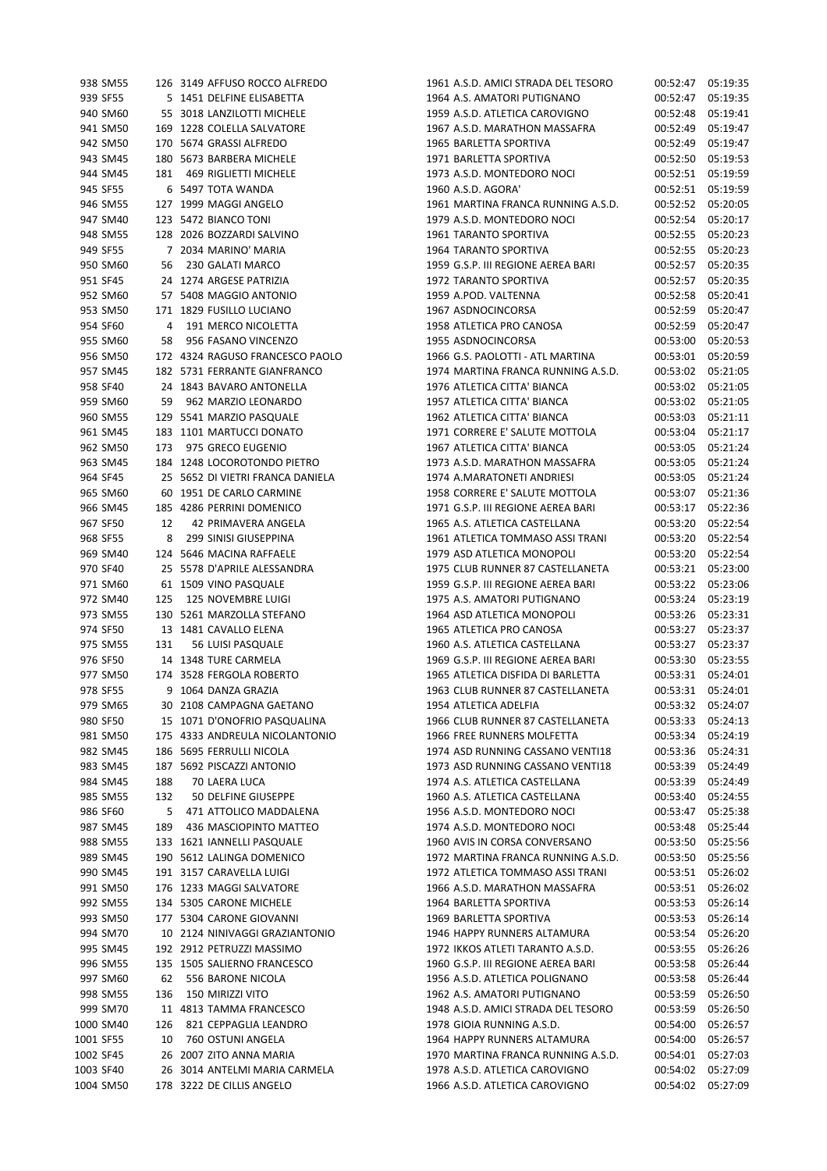| 938 SM55  | 126 | 3149 AFFUSO ROCCO ALFREDO         |
|-----------|-----|-----------------------------------|
| 939 SF55  |     | 5 1451 DELFINE ELISABETTA         |
| 940 SM60  |     | 55 3018 LANZILOTTI MICHELE        |
| 941 SM50  |     | 169 1228 COLELLA SALVATORE        |
| 942 SM50  |     | 170 5674 GRASSI ALFREDO           |
| 943 SM45  |     | 180 5673 BARBERA MICHELE          |
| 944 SM45  |     | 181 469 RIGLIETTI MICHELE         |
| 945 SF55  | 6   | 5497 TOTA WANDA                   |
| 946 SM55  |     | 127 1999 MAGGI ANGELO             |
|           |     |                                   |
| 947 SM40  |     | 123 5472 BIANCO TONI              |
| 948 SM55  |     | 128 2026 BOZZARDI SALVINO         |
| 949 SF55  |     | 7 2034 MARINO' MARIA              |
| 950 SM60  |     | 56 230 GALATI MARCO               |
| 951 SF45  |     | 24 1274 ARGESE PATRIZIA           |
| 952 SM60  |     | 57 5408 MAGGIO ANTONIO            |
| 953 SM50  |     | 171 1829 FUSILLO LUCIANO          |
| 954 SF60  |     | 4 191 MERCO NICOLETTA             |
| 955 SM60  |     | 58 956 FASANO VINCENZO            |
| 956 SM50  |     | 172 4324 RAGUSO FRANCESCO PAOLO   |
| 957 SM45  |     | 182 5731 FERRANTE GIANFRANCO      |
| 958 SF40  | 24  | 1843 BAVARO ANTONELLA             |
| 959 SM60  |     | 59 962 MARZIO LEONARDO            |
| 960 SM55  |     | 129 5541 MARZIO PASQUALE          |
| 961 SM45  |     | 183 1101 MARTUCCI DONATO          |
| 962 SM50  |     | 173 975 GRECO EUGENIO             |
| 963 SM45  |     | 184 1248 LOCOROTONDO PIETRO       |
|           |     |                                   |
| 964 SF45  |     | 25 5652 DI VIETRI FRANCA DANIELA  |
| 965 SM60  |     | 60 1951 DE CARLO CARMINE          |
| 966 SM45  |     | 185 4286 PERRINI DOMENICO         |
| 967 SF50  | 12  | 42 PRIMAVERA ANGELA               |
| 968 SF55  |     | 8 299 SINISI GIUSEPPINA           |
| 969 SM40  | 124 | 5646 MACINA RAFFAELE              |
| 970 SF40  | 25  | 5578 D'APRILE ALESSANDRA          |
| 971 SM60  |     | 61 1509 VINO PASQUALE             |
| 972 SM40  |     | 125 125 NOVEMBRE LUIGI            |
| 973 SM55  |     | 130 5261 MARZOLLA STEFANO         |
| 974 SF50  |     | 13 1481 CAVALLO ELENA             |
| 975 SM55  | 131 | 56 LUISI PASQUALE                 |
| 976 SF50  |     | 14 1348 TURE CARMELA              |
|           |     | 977 SM50 174 3528 FERGOLA ROBERTO |
| 978 SF55  | 9   | 1064 DANZA GRAZIA                 |
| 979 SM65  |     | 30 2108 CAMPAGNA GAETANO          |
| 980 SF50  |     | 15 1071 D'ONOFRIO PASQUALINA      |
| 981 SM50  |     | 175 4333 ANDREULA NICOLANTONIO    |
| 982 SM45  |     | 186 5695 FERRULLI NICOLA          |
|           |     | 187 5692 PISCAZZI ANTONIO         |
| 983 SM45  |     |                                   |
| 984 SM45  | 188 | 70 LAERA LUCA                     |
| 985 SM55  | 132 | 50 DELFINE GIUSEPPE               |
| 986 SF60  | 5   | 471 ATTOLICO MADDALENA            |
| 987 SM45  | 189 | 436 MASCIOPINTO MATTEO            |
| 988 SM55  |     | 133 1621 IANNELLI PASQUALE        |
| 989 SM45  |     | 190 5612 LALINGA DOMENICO         |
| 990 SM45  |     | 191 3157 CARAVELLA LUIGI          |
| 991 SM50  |     | 176 1233 MAGGI SALVATORE          |
| 992 SM55  |     | 134 5305 CARONE MICHELE           |
| 993 SM50  |     | 177 5304 CARONE GIOVANNI          |
| 994 SM70  |     | 10 2124 NINIVAGGI GRAZIANTONIO    |
| 995 SM45  |     | 192 2912 PETRUZZI MASSIMO         |
| 996 SM55  |     | 135 1505 SALIERNO FRANCESCO       |
| 997 SM60  | 62  | 556 BARONE NICOLA                 |
| 998 SM55  | 136 | 150 MIRIZZI VITO                  |
| 999 SM70  |     | 11 4813 TAMMA FRANCESCO           |
| 1000 SM40 |     | 126 821 CEPPAGLIA LEANDRO         |
|           |     | 10 760 OSTUNI ANGELA              |
| 1001 SF55 |     |                                   |
| 1002 SF45 |     | 26 2007 ZITO ANNA MARIA           |
| 1003 SF40 |     | 26 3014 ANTELMI MARIA CARMELA     |
| 1004 SM50 |     | 178 3222 DE CILLIS ANGELO         |

|           | 938 SM55  |     | 126 3149 AFFUSO ROCCO ALFREDO    | 1961 A.S.D. AMICI STRADA DEL TESORO                       | 00:52:47             | 05:19:35 |
|-----------|-----------|-----|----------------------------------|-----------------------------------------------------------|----------------------|----------|
|           | 939 SF55  |     | 5 1451 DELFINE ELISABETTA        | 1964 A.S. AMATORI PUTIGNANO                               | 00:52:47             | 05:19:35 |
|           | 940 SM60  |     | 55 3018 LANZILOTTI MICHELE       | 1959 A.S.D. ATLETICA CAROVIGNO                            | 00:52:48             | 05:19:41 |
|           | 941 SM50  |     | 169 1228 COLELLA SALVATORE       | 1967 A.S.D. MARATHON MASSAFRA                             | 00:52:49             | 05:19:47 |
|           | 942 SM50  |     | 170 5674 GRASSI ALFREDO          | 1965 BARLETTA SPORTIVA                                    | 00:52:49             | 05:19:47 |
|           | 943 SM45  |     | 180 5673 BARBERA MICHELE         | 1971 BARLETTA SPORTIVA                                    | 00:52:50             | 05:19:53 |
|           | 944 SM45  |     | 181 469 RIGLIETTI MICHELE        | 1973 A.S.D. MONTEDORO NOCI                                | 00:52:51             | 05:19:59 |
|           | 945 SF55  |     | 6 5497 TOTA WANDA                | 1960 A.S.D. AGORA'                                        | 00:52:51             | 05:19:59 |
|           | 946 SM55  |     | 127 1999 MAGGI ANGELO            | 1961 MARTINA FRANCA RUNNING A.S.D.                        | 00:52:52             | 05:20:05 |
|           | 947 SM40  |     | 123 5472 BIANCO TONI             | 1979 A.S.D. MONTEDORO NOCI                                | 00:52:54             | 05:20:17 |
|           | 948 SM55  |     | 128 2026 BOZZARDI SALVINO        | <b>1961 TARANTO SPORTIVA</b>                              | 00:52:55             | 05:20:23 |
|           | 949 SF55  |     | 7 2034 MARINO' MARIA             | 1964 TARANTO SPORTIVA                                     | 00:52:55             | 05:20:23 |
|           | 950 SM60  | 56  | 230 GALATI MARCO                 | 1959 G.S.P. III REGIONE AEREA BARI                        | 00:52:57             | 05:20:35 |
|           | 951 SF45  |     | 24 1274 ARGESE PATRIZIA          | 1972 TARANTO SPORTIVA                                     | 00:52:57             | 05:20:35 |
|           | 952 SM60  |     | 57 5408 MAGGIO ANTONIO           | 1959 A.POD. VALTENNA                                      | 00:52:58             | 05:20:41 |
|           | 953 SM50  |     | 171 1829 FUSILLO LUCIANO         | 1967 ASDNOCINCORSA                                        | 00:52:59             | 05:20:47 |
|           | 954 SF60  |     | 4 191 MERCO NICOLETTA            | 1958 ATLETICA PRO CANOSA                                  | 00:52:59             | 05:20:47 |
|           | 955 SM60  | 58  | 956 FASANO VINCENZO              | 1955 ASDNOCINCORSA                                        | 00:53:00             | 05:20:53 |
|           | 956 SM50  |     | 172 4324 RAGUSO FRANCESCO PAOLO  | 1966 G.S. PAOLOTTI - ATL MARTINA                          | 00:53:01             | 05:20:59 |
|           | 957 SM45  |     | 182 5731 FERRANTE GIANFRANCO     | 1974 MARTINA FRANCA RUNNING A.S.D.                        | 00:53:02             | 05:21:05 |
|           | 958 SF40  |     | 24 1843 BAVARO ANTONELLA         | 1976 ATLETICA CITTA' BIANCA                               | 00:53:02             | 05:21:05 |
|           | 959 SM60  |     | 59 962 MARZIO LEONARDO           | 1957 ATLETICA CITTA' BIANCA                               | 00:53:02             | 05:21:05 |
|           | 960 SM55  |     | 129 5541 MARZIO PASQUALE         | 1962 ATLETICA CITTA' BIANCA                               | 00:53:03             | 05:21:11 |
|           | 961 SM45  |     | 183 1101 MARTUCCI DONATO         | 1971 CORRERE E' SALUTE MOTTOLA                            | 00:53:04             | 05:21:17 |
|           | 962 SM50  | 173 | 975 GRECO EUGENIO                | 1967 ATLETICA CITTA' BIANCA                               | 00:53:05             | 05:21:24 |
|           | 963 SM45  |     | 184 1248 LOCOROTONDO PIETRO      | 1973 A.S.D. MARATHON MASSAFRA                             | 00:53:05             | 05:21:24 |
|           | 964 SF45  |     | 25 5652 DI VIETRI FRANCA DANIELA | 1974 A.MARATONETI ANDRIESI                                | 00:53:05             | 05:21:24 |
|           | 965 SM60  |     | 60 1951 DE CARLO CARMINE         | 1958 CORRERE E' SALUTE MOTTOLA                            | 00:53:07             | 05:21:36 |
|           | 966 SM45  |     | 185 4286 PERRINI DOMENICO        | 1971 G.S.P. III REGIONE AEREA BARI                        | 00:53:17             | 05:22:36 |
|           | 967 SF50  | 12  | 42 PRIMAVERA ANGELA              | 1965 A.S. ATLETICA CASTELLANA                             | 00:53:20             | 05:22:54 |
|           | 968 SF55  | 8   | 299 SINISI GIUSEPPINA            | 1961 ATLETICA TOMMASO ASSI TRANI                          | 00:53:20             | 05:22:54 |
|           | 969 SM40  |     | 124 5646 MACINA RAFFAELE         | 1979 ASD ATLETICA MONOPOLI                                | 00:53:20             | 05:22:54 |
|           | 970 SF40  |     | 25 5578 D'APRILE ALESSANDRA      | 1975 CLUB RUNNER 87 CASTELLANETA                          | 00:53:21             | 05:23:00 |
|           | 971 SM60  |     | 61 1509 VINO PASQUALE            | 1959 G.S.P. III REGIONE AEREA BARI                        | 00:53:22             | 05:23:06 |
|           | 972 SM40  | 125 | 125 NOVEMBRE LUIGI               | 1975 A.S. AMATORI PUTIGNANO                               | 00:53:24             | 05:23:19 |
|           | 973 SM55  |     | 130 5261 MARZOLLA STEFANO        | 1964 ASD ATLETICA MONOPOLI                                | 00:53:26             | 05:23:31 |
|           | 974 SF50  |     | 13 1481 CAVALLO ELENA            | 1965 ATLETICA PRO CANOSA                                  | 00:53:27             | 05:23:37 |
|           | 975 SM55  | 131 | 56 LUISI PASQUALE                | 1960 A.S. ATLETICA CASTELLANA                             | 00:53:27             | 05:23:37 |
|           | 976 SF50  |     | 14 1348 TURE CARMELA             | 1969 G.S.P. III REGIONE AEREA BARI                        | 00:53:30             | 05:23:55 |
|           | 977 SM50  |     | 174 3528 FERGOLA ROBERTO         | 1965 ATLETICA DISFIDA DI BARLETTA                         | 00:53:31             | 05:24:01 |
|           | 978 SF55  |     | 9 1064 DANZA GRAZIA              | 1963 CLUB RUNNER 87 CASTELLANETA                          | 00:53:31             | 05:24:01 |
|           | 979 SM65  |     | 30 2108 CAMPAGNA GAETANO         |                                                           |                      |          |
|           |           |     |                                  | 1954 ATLETICA ADELFIA<br>1966 CLUB RUNNER 87 CASTELLANETA | 00:53:32<br>00:53:33 | 05:24:07 |
|           | 980 SF50  |     | 15 1071 D'ONOFRIO PASQUALINA     |                                                           |                      | 05:24:13 |
|           | 981 SM50  |     | 175 4333 ANDREULA NICOLANTONIO   | 1966 FREE RUNNERS MOLFETTA                                | 00:53:34             | 05:24:19 |
|           | 982 SM45  |     | 186 5695 FERRULLI NICOLA         | 1974 ASD RUNNING CASSANO VENTI18                          | 00:53:36             | 05:24:31 |
|           | 983 SM45  |     | 187 5692 PISCAZZI ANTONIO        | 1973 ASD RUNNING CASSANO VENTI18                          | 00:53:39             | 05:24:49 |
|           | 984 SM45  | 188 | 70 LAERA LUCA                    | 1974 A.S. ATLETICA CASTELLANA                             | 00:53:39             | 05:24:49 |
|           | 985 SM55  | 132 | 50 DELFINE GIUSEPPE              | 1960 A.S. ATLETICA CASTELLANA                             | 00:53:40             | 05:24:55 |
|           | 986 SF60  | 5   | 471 ATTOLICO MADDALENA           | 1956 A.S.D. MONTEDORO NOCI                                | 00:53:47             | 05:25:38 |
|           | 987 SM45  | 189 | 436 MASCIOPINTO MATTEO           | 1974 A.S.D. MONTEDORO NOCI                                | 00:53:48             | 05:25:44 |
|           | 988 SM55  |     | 133 1621 IANNELLI PASQUALE       | 1960 AVIS IN CORSA CONVERSANO                             | 00:53:50             | 05:25:56 |
|           | 989 SM45  |     | 190 5612 LALINGA DOMENICO        | 1972 MARTINA FRANCA RUNNING A.S.D.                        | 00:53:50             | 05:25:56 |
|           | 990 SM45  |     | 191 3157 CARAVELLA LUIGI         | 1972 ATLETICA TOMMASO ASSI TRANI                          | 00:53:51             | 05:26:02 |
|           | 991 SM50  |     | 176 1233 MAGGI SALVATORE         | 1966 A.S.D. MARATHON MASSAFRA                             | 00:53:51             | 05:26:02 |
|           | 992 SM55  |     | 134 5305 CARONE MICHELE          | 1964 BARLETTA SPORTIVA                                    | 00:53:53             | 05:26:14 |
|           | 993 SM50  |     | 177 5304 CARONE GIOVANNI         | 1969 BARLETTA SPORTIVA                                    | 00:53:53             | 05:26:14 |
|           | 994 SM70  |     | 10 2124 NINIVAGGI GRAZIANTONIO   | 1946 HAPPY RUNNERS ALTAMURA                               | 00:53:54             | 05:26:20 |
|           | 995 SM45  |     | 192 2912 PETRUZZI MASSIMO        | 1972 IKKOS ATLETI TARANTO A.S.D.                          | 00:53:55             | 05:26:26 |
|           | 996 SM55  |     | 135 1505 SALIERNO FRANCESCO      | 1960 G.S.P. III REGIONE AEREA BARI                        | 00:53:58             | 05:26:44 |
|           | 997 SM60  | 62  | 556 BARONE NICOLA                | 1956 A.S.D. ATLETICA POLIGNANO                            | 00:53:58             | 05:26:44 |
|           | 998 SM55  | 136 | 150 MIRIZZI VITO                 | 1962 A.S. AMATORI PUTIGNANO                               | 00:53:59             | 05:26:50 |
|           | 999 SM70  |     | 11 4813 TAMMA FRANCESCO          | 1948 A.S.D. AMICI STRADA DEL TESORO                       | 00:53:59             | 05:26:50 |
|           | 1000 SM40 | 126 | 821 CEPPAGLIA LEANDRO            | 1978 GIOIA RUNNING A.S.D.                                 | 00:54:00             | 05:26:57 |
| 1001 SF55 |           | 10  | 760 OSTUNI ANGELA                | 1964 HAPPY RUNNERS ALTAMURA                               | 00:54:00             | 05:26:57 |
| 1002 SF45 |           |     | 26 2007 ZITO ANNA MARIA          | 1970 MARTINA FRANCA RUNNING A.S.D.                        | 00:54:01             | 05:27:03 |
| 1003 SF40 |           |     | 26 3014 ANTELMI MARIA CARMELA    | 1978 A.S.D. ATLETICA CAROVIGNO                            | 00:54:02             | 05:27:09 |
|           | 1004 SM50 |     | 178 3222 DE CILLIS ANGELO        | 1966 A.S.D. ATLETICA CAROVIGNO                            | 00:54:02             | 05:27:09 |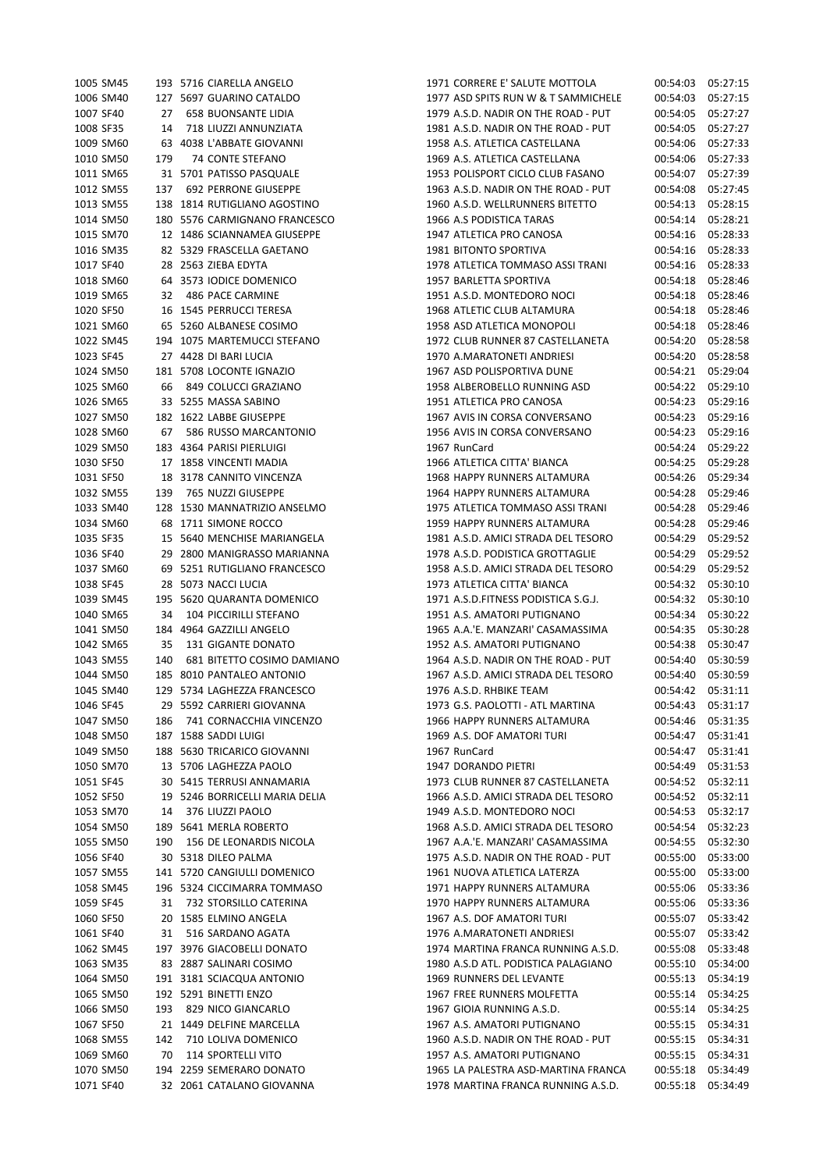| 1006 SM40 | 1005 SM45 |    | 193 5716 CIARELLA ANGELO       | 19 |
|-----------|-----------|----|--------------------------------|----|
|           |           |    |                                | 19 |
|           |           |    | 127 5697 GUARINO CATALDO       |    |
| 1007 SF40 |           | 27 | 658 BUONSANTE LIDIA            | 19 |
| 1008 SF35 |           | 14 | 718 LIUZZI ANNUNZIATA          | 19 |
| 1009 SM60 |           |    | 63 4038 L'ABBATE GIOVANNI      | 19 |
| 1010 SM50 | 179       |    | 74 CONTE STEFANO               | 19 |
| 1011 SM65 |           |    | 31 5701 PATISSO PASQUALE       | 19 |
| 1012 SM55 |           |    | 137 692 PERRONE GIUSEPPE       | 19 |
| 1013 SM55 |           |    | 138 1814 RUTIGLIANO AGOSTINO   | 19 |
| 1014 SM50 |           |    | 180 5576 CARMIGNANO FRANCESCO  | 19 |
|           |           |    |                                |    |
| 1015 SM70 |           |    | 12 1486 SCIANNAMEA GIUSEPPE    | 19 |
| 1016 SM35 |           |    | 82 5329 FRASCELLA GAETANO      | 19 |
| 1017 SF40 |           |    | 28 2563 ZIEBA EDYTA            | 19 |
| 1018 SM60 |           |    | 64 3573 IODICE DOMENICO        | 19 |
| 1019 SM65 |           | 32 | 486 PACE CARMINE               | 19 |
| 1020 SF50 |           |    | 16 1545 PERRUCCI TERESA        | 19 |
| 1021 SM60 |           |    | 65 5260 ALBANESE COSIMO        | 19 |
| 1022 SM45 |           |    | 194 1075 MARTEMUCCI STEFANO    | 19 |
| 1023 SF45 |           |    | 27 4428 DI BARI LUCIA          | 19 |
| 1024 SM50 |           |    | 181 5708 LOCONTE IGNAZIO       | 19 |
|           |           |    |                                |    |
| 1025 SM60 |           | 66 | 849 COLUCCI GRAZIANO           | 19 |
| 1026 SM65 |           |    | 33 5255 MASSA SABINO           | 19 |
| 1027 SM50 |           |    | 182 1622 LABBE GIUSEPPE        | 19 |
| 1028 SM60 | 67        |    | 586 RUSSO MARCANTONIO          | 19 |
| 1029 SM50 |           |    | 183 4364 PARISI PIERLUIGI      | 19 |
| 1030 SF50 |           |    | 17 1858 VINCENTI MADIA         | 19 |
| 1031 SF50 |           |    | 18 3178 CANNITO VINCENZA       | 19 |
| 1032 SM55 |           |    | 139 765 NUZZI GIUSEPPE         | 19 |
| 1033 SM40 |           |    | 128 1530 MANNATRIZIO ANSELMO   | 19 |
| 1034 SM60 |           |    | 68 1711 SIMONE ROCCO           |    |
|           |           |    |                                | 19 |
| 1035 SF35 |           |    | 15 5640 MENCHISE MARIANGELA    | 19 |
| 1036 SF40 |           |    | 29 2800 MANIGRASSO MARIANNA    | 19 |
| 1037 SM60 |           |    | 69 5251 RUTIGLIANO FRANCESCO   | 19 |
| 1038 SF45 |           |    | 28 5073 NACCI LUCIA            | 19 |
| 1039 SM45 |           |    | 195 5620 QUARANTA DOMENICO     | 19 |
| 1040 SM65 |           | 34 | 104 PICCIRILLI STEFANO         | 19 |
| 1041 SM50 |           |    | 184 4964 GAZZILLI ANGELO       | 19 |
| 1042 SM65 |           | 35 | 131 GIGANTE DONATO             | 19 |
| 1043 SM55 |           |    | 140 681 BITETTO COSIMO DAMIANO | 19 |
| 1044 SM50 |           |    |                                |    |
|           |           |    |                                |    |
|           |           |    | 185 8010 PANTALEO ANTONIO      | 19 |
| 1045 SM40 |           |    | 129 5734 LAGHEZZA FRANCESCO    | 19 |
| 1046 SF45 |           |    | 29 5592 CARRIERI GIOVANNA      | 19 |
| 1047 SM50 | 186       |    | 741 CORNACCHIA VINCENZO        | 19 |
| 1048 SM50 |           |    | 187 1588 SADDI LUIGI           | 19 |
| 1049 SM50 |           |    | 188 5630 TRICARICO GIOVANNI    | 19 |
| 1050 SM70 |           |    | 13 5706 LAGHEZZA PAOLO         | 19 |
| 1051 SF45 |           |    | 30 5415 TERRUSI ANNAMARIA      | 19 |
| 1052 SF50 |           |    | 19 5246 BORRICELLI MARIA DELIA | 19 |
|           |           |    |                                |    |
| 1053 SM70 |           | 14 | 376 LIUZZI PAOLO               | 19 |
| 1054 SM50 |           |    | 189 5641 MERLA ROBERTO         | 19 |
| 1055 SM50 | 190       |    | <b>156 DE LEONARDIS NICOLA</b> | 19 |
| 1056 SF40 |           |    | 30 5318 DILEO PALMA            | 19 |
| 1057 SM55 |           |    | 141 5720 CANGIULLI DOMENICO    | 19 |
| 1058 SM45 |           |    | 196 5324 CICCIMARRA TOMMASO    | 19 |
| 1059 SF45 |           | 31 | 732 STORSILLO CATERINA         | 19 |
| 1060 SF50 |           | 20 | 1585 ELMINO ANGELA             | 19 |
| 1061 SF40 |           | 31 | 516 SARDANO AGATA              | 19 |
| 1062 SM45 |           |    | 197 3976 GIACOBELLI DONATO     | 19 |
| 1063 SM35 |           |    | 83 2887 SALINARI COSIMO        | 19 |
|           |           |    |                                |    |
| 1064 SM50 |           |    | 191 3181 SCIACQUA ANTONIO      | 19 |
| 1065 SM50 |           |    | 192 5291 BINETTI ENZO          | 19 |
| 1066 SM50 | 193       |    | 829 NICO GIANCARLO             | 19 |
| 1067 SF50 |           | 21 | 1449 DELFINE MARCELLA          | 19 |
| 1068 SM55 | 142       |    | 710 LOLIVA DOMENICO            | 19 |
| 1069 SM60 |           | 70 | <b>114 SPORTELLI VITO</b>      | 19 |
| 1070 SM50 |           |    | 194 2259 SEMERARO DONATO       | 19 |

| 1005 SM45 |     | 193 5716 CIARELLA ANGELO       | 1971 CORRERE E' SALUTE MOTTOLA      | 00:54:03 | 05:27:15             |
|-----------|-----|--------------------------------|-------------------------------------|----------|----------------------|
| 1006 SM40 |     | 127 5697 GUARINO CATALDO       | 1977 ASD SPITS RUN W & T SAMMICHELE | 00:54:03 | 05:27:15             |
| 1007 SF40 | 27  | <b>658 BUONSANTE LIDIA</b>     | 1979 A.S.D. NADIR ON THE ROAD - PUT | 00:54:05 | 05:27:27             |
| 1008 SF35 | 14  | 718 LIUZZI ANNUNZIATA          | 1981 A.S.D. NADIR ON THE ROAD - PUT | 00:54:05 | 05:27:27             |
| 1009 SM60 |     | 63 4038 L'ABBATE GIOVANNI      | 1958 A.S. ATLETICA CASTELLANA       | 00:54:06 | 05:27:33             |
| 1010 SM50 | 179 | 74 CONTE STEFANO               | 1969 A.S. ATLETICA CASTELLANA       | 00:54:06 | 05:27:33             |
| 1011 SM65 |     | 31 5701 PATISSO PASQUALE       | 1953 POLISPORT CICLO CLUB FASANO    | 00:54:07 | 05:27:39             |
| 1012 SM55 | 137 | <b>692 PERRONE GIUSEPPE</b>    | 1963 A.S.D. NADIR ON THE ROAD - PUT | 00:54:08 | 05:27:45             |
| 1013 SM55 |     | 138 1814 RUTIGLIANO AGOSTINO   | 1960 A.S.D. WELLRUNNERS BITETTO     | 00:54:13 | 05:28:15             |
| 1014 SM50 |     | 180 5576 CARMIGNANO FRANCESCO  | 1966 A.S PODISTICA TARAS            | 00:54:14 | 05:28:21             |
| 1015 SM70 |     | 12 1486 SCIANNAMEA GIUSEPPE    | 1947 ATLETICA PRO CANOSA            | 00:54:16 | 05:28:33             |
| 1016 SM35 |     | 82 5329 FRASCELLA GAETANO      | <b>1981 BITONTO SPORTIVA</b>        | 00:54:16 | 05:28:33             |
| 1017 SF40 |     | 28 2563 ZIEBA EDYTA            | 1978 ATLETICA TOMMASO ASSI TRANI    | 00:54:16 | 05:28:33             |
| 1018 SM60 |     | 64 3573 IODICE DOMENICO        | 1957 BARLETTA SPORTIVA              | 00:54:18 | 05:28:46             |
| 1019 SM65 | 32  | 486 PACE CARMINE               | 1951 A.S.D. MONTEDORO NOCI          | 00:54:18 | 05:28:46             |
| 1020 SF50 |     | 16 1545 PERRUCCI TERESA        | 1968 ATLETIC CLUB ALTAMURA          | 00:54:18 | 05:28:46             |
| 1021 SM60 |     | 65 5260 ALBANESE COSIMO        | 1958 ASD ATLETICA MONOPOLI          | 00:54:18 | 05:28:46             |
|           |     | 194 1075 MARTEMUCCI STEFANO    | 1972 CLUB RUNNER 87 CASTELLANETA    | 00:54:20 |                      |
| 1022 SM45 |     |                                |                                     |          | 05:28:58<br>05:28:58 |
| 1023 SF45 |     | 27 4428 DI BARI LUCIA          | 1970 A.MARATONETI ANDRIESI          | 00:54:20 |                      |
| 1024 SM50 |     | 181 5708 LOCONTE IGNAZIO       | 1967 ASD POLISPORTIVA DUNE          | 00:54:21 | 05:29:04             |
| 1025 SM60 | 66  | 849 COLUCCI GRAZIANO           | 1958 ALBEROBELLO RUNNING ASD        | 00:54:22 | 05:29:10             |
| 1026 SM65 |     | 33 5255 MASSA SABINO           | 1951 ATLETICA PRO CANOSA            | 00:54:23 | 05:29:16             |
| 1027 SM50 |     | 182 1622 LABBE GIUSEPPE        | 1967 AVIS IN CORSA CONVERSANO       | 00:54:23 | 05:29:16             |
| 1028 SM60 | 67  | 586 RUSSO MARCANTONIO          | 1956 AVIS IN CORSA CONVERSANO       | 00:54:23 | 05:29:16             |
| 1029 SM50 |     | 183 4364 PARISI PIERLUIGI      | 1967 RunCard                        | 00:54:24 | 05:29:22             |
| 1030 SF50 |     | 17 1858 VINCENTI MADIA         | 1966 ATLETICA CITTA' BIANCA         | 00:54:25 | 05:29:28             |
| 1031 SF50 |     | 18 3178 CANNITO VINCENZA       | 1968 HAPPY RUNNERS ALTAMURA         | 00:54:26 | 05:29:34             |
| 1032 SM55 | 139 | 765 NUZZI GIUSEPPE             | 1964 HAPPY RUNNERS ALTAMURA         | 00:54:28 | 05:29:46             |
| 1033 SM40 |     | 128 1530 MANNATRIZIO ANSELMO   | 1975 ATLETICA TOMMASO ASSI TRANI    | 00:54:28 | 05:29:46             |
| 1034 SM60 |     | 68 1711 SIMONE ROCCO           | 1959 HAPPY RUNNERS ALTAMURA         | 00:54:28 | 05:29:46             |
| 1035 SF35 |     | 15 5640 MENCHISE MARIANGELA    | 1981 A.S.D. AMICI STRADA DEL TESORO | 00:54:29 | 05:29:52             |
| 1036 SF40 |     | 29 2800 MANIGRASSO MARIANNA    | 1978 A.S.D. PODISTICA GROTTAGLIE    | 00:54:29 | 05:29:52             |
| 1037 SM60 |     | 69 5251 RUTIGLIANO FRANCESCO   | 1958 A.S.D. AMICI STRADA DEL TESORO | 00:54:29 | 05:29:52             |
| 1038 SF45 |     | 28 5073 NACCI LUCIA            | 1973 ATLETICA CITTA' BIANCA         | 00:54:32 | 05:30:10             |
| 1039 SM45 |     | 195 5620 QUARANTA DOMENICO     | 1971 A.S.D.FITNESS PODISTICA S.G.J. | 00:54:32 | 05:30:10             |
| 1040 SM65 | 34  | 104 PICCIRILLI STEFANO         | 1951 A.S. AMATORI PUTIGNANO         | 00:54:34 | 05:30:22             |
| 1041 SM50 |     | 184 4964 GAZZILLI ANGELO       | 1965 A.A.'E. MANZARI' CASAMASSIMA   | 00:54:35 | 05:30:28             |
| 1042 SM65 | 35  | 131 GIGANTE DONATO             | 1952 A.S. AMATORI PUTIGNANO         | 00:54:38 | 05:30:47             |
| 1043 SM55 | 140 | 681 BITETTO COSIMO DAMIANO     | 1964 A.S.D. NADIR ON THE ROAD - PUT | 00:54:40 | 05:30:59             |
| 1044 SM50 |     | 185 8010 PANTALEO ANTONIO      | 1967 A.S.D. AMICI STRADA DEL TESORO | 00:54:40 | 05:30:59             |
| 1045 SM40 |     | 129 5734 LAGHEZZA FRANCESCO    | 1976 A.S.D. RHBIKE TEAM             | 00:54:42 | 05:31:11             |
| 1046 SF45 |     | 29 5592 CARRIERI GIOVANNA      | 1973 G.S. PAOLOTTI - ATL MARTINA    | 00:54:43 | 05:31:17             |
| 1047 SM50 | 186 | 741 CORNACCHIA VINCENZO        | 1966 HAPPY RUNNERS ALTAMURA         | 00:54:46 | 05:31:35             |
| 1048 SM50 |     | 187 1588 SADDI LUIGI           | 1969 A.S. DOF AMATORI TURI          | 00:54:47 | 05:31:41             |
| 1049 SM50 |     | 188 5630 TRICARICO GIOVANNI    | 1967 RunCard                        | 00:54:47 | 05:31:41             |
| 1050 SM70 |     | 13 5706 LAGHEZZA PAOLO         | 1947 DORANDO PIETRI                 | 00:54:49 | 05:31:53             |
| 1051 SF45 |     | 30 5415 TERRUSI ANNAMARIA      | 1973 CLUB RUNNER 87 CASTELLANETA    | 00:54:52 | 05:32:11             |
| 1052 SF50 |     | 19 5246 BORRICELLI MARIA DELIA | 1966 A.S.D. AMICI STRADA DEL TESORO | 00:54:52 | 05:32:11             |
| 1053 SM70 | 14  | 376 LIUZZI PAOLO               | 1949 A.S.D. MONTEDORO NOCI          | 00:54:53 | 05:32:17             |
| 1054 SM50 |     | 189 5641 MERLA ROBERTO         | 1968 A.S.D. AMICI STRADA DEL TESORO | 00:54:54 | 05:32:23             |
| 1055 SM50 | 190 | <b>156 DE LEONARDIS NICOLA</b> | 1967 A.A.'E. MANZARI' CASAMASSIMA   | 00:54:55 | 05:32:30             |
| 1056 SF40 |     | 30 5318 DILEO PALMA            | 1975 A.S.D. NADIR ON THE ROAD - PUT | 00:55:00 | 05:33:00             |
| 1057 SM55 |     | 141 5720 CANGIULLI DOMENICO    | 1961 NUOVA ATLETICA LATERZA         | 00:55:00 | 05:33:00             |
| 1058 SM45 |     | 196 5324 CICCIMARRA TOMMASO    | 1971 HAPPY RUNNERS ALTAMURA         | 00:55:06 | 05:33:36             |
| 1059 SF45 | 31  | 732 STORSILLO CATERINA         | 1970 HAPPY RUNNERS ALTAMURA         | 00:55:06 | 05:33:36             |
| 1060 SF50 |     | 20 1585 ELMINO ANGELA          | 1967 A.S. DOF AMATORI TURI          | 00:55:07 | 05:33:42             |
| 1061 SF40 | 31  | 516 SARDANO AGATA              | 1976 A.MARATONETI ANDRIESI          | 00:55:07 | 05:33:42             |
| 1062 SM45 |     | 197 3976 GIACOBELLI DONATO     | 1974 MARTINA FRANCA RUNNING A.S.D.  | 00:55:08 | 05:33:48             |
| 1063 SM35 |     | 83 2887 SALINARI COSIMO        | 1980 A.S.D ATL. PODISTICA PALAGIANO | 00:55:10 | 05:34:00             |
| 1064 SM50 |     | 191 3181 SCIACQUA ANTONIO      | 1969 RUNNERS DEL LEVANTE            | 00:55:13 | 05:34:19             |
| 1065 SM50 |     | 192 5291 BINETTI ENZO          | 1967 FREE RUNNERS MOLFETTA          | 00:55:14 | 05:34:25             |
| 1066 SM50 | 193 | 829 NICO GIANCARLO             | 1967 GIOIA RUNNING A.S.D.           | 00:55:14 | 05:34:25             |
| 1067 SF50 |     | 21 1449 DELFINE MARCELLA       | 1967 A.S. AMATORI PUTIGNANO         | 00:55:15 | 05:34:31             |
| 1068 SM55 | 142 | 710 LOLIVA DOMENICO            | 1960 A.S.D. NADIR ON THE ROAD - PUT | 00:55:15 | 05:34:31             |
| 1069 SM60 | 70  | 114 SPORTELLI VITO             | 1957 A.S. AMATORI PUTIGNANO         | 00:55:15 | 05:34:31             |
|           |     | 194 2259 SEMERARO DONATO       | 1965 LA PALESTRA ASD-MARTINA FRANCA |          |                      |
| 1070 SM50 |     |                                |                                     | 00:55:18 | 05:34:49             |
| 1071 SF40 |     | 32 2061 CATALANO GIOVANNA      | 1978 MARTINA FRANCA RUNNING A.S.D.  | 00:55:18 | 05:34:49             |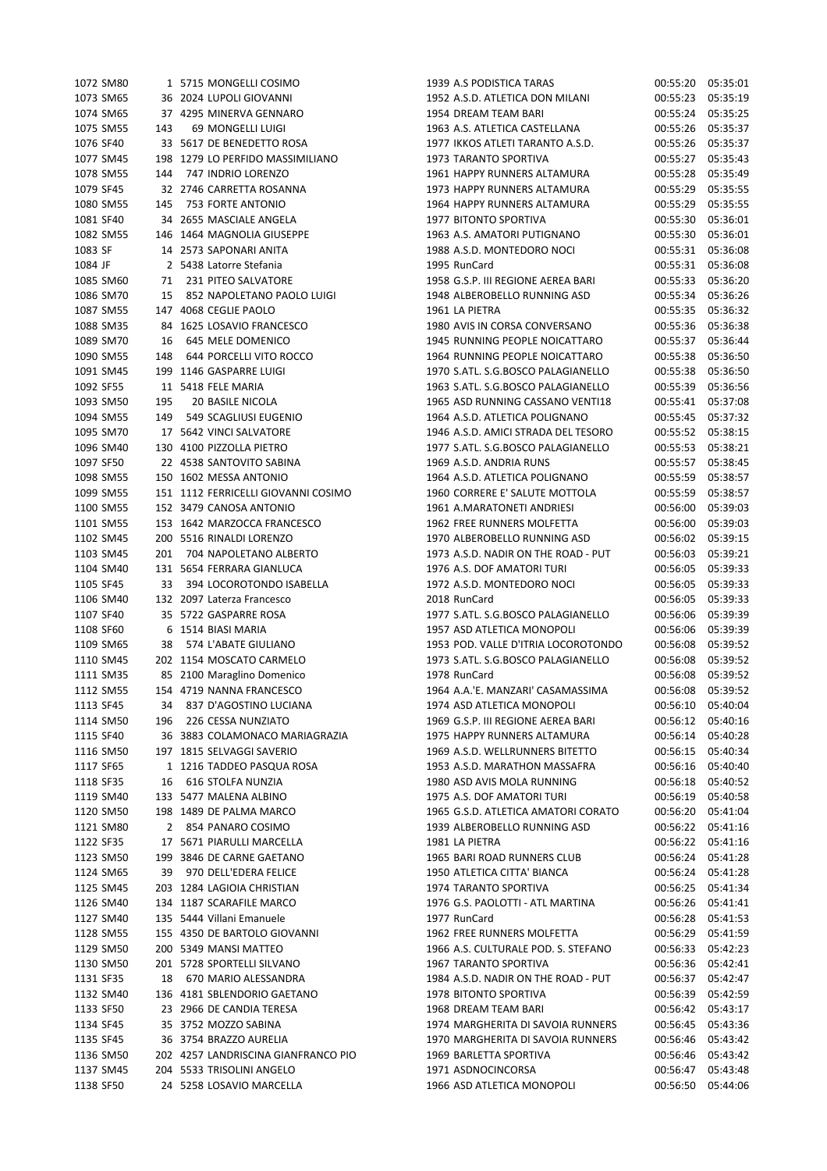|           | 1072 SM80 |     | 1 5715 MONGELLI COSIMO              | 1939 A.S PODISTICA TARAS            | 00:55:20 | 05:35:01 |
|-----------|-----------|-----|-------------------------------------|-------------------------------------|----------|----------|
|           | 1073 SM65 |     | 36 2024 LUPOLI GIOVANNI             | 1952 A.S.D. ATLETICA DON MILANI     | 00:55:23 | 05:35:19 |
|           | 1074 SM65 |     | 37 4295 MINERVA GENNARO             | 1954 DREAM TEAM BARI                | 00:55:24 | 05:35:25 |
|           | 1075 SM55 | 143 | 69 MONGELLI LUIGI                   | 1963 A.S. ATLETICA CASTELLANA       | 00:55:26 | 05:35:37 |
| 1076 SF40 |           |     | 33 5617 DE BENEDETTO ROSA           | 1977 IKKOS ATLETI TARANTO A.S.D.    | 00:55:26 | 05:35:37 |
|           | 1077 SM45 |     | 198 1279 LO PERFIDO MASSIMILIANO    | 1973 TARANTO SPORTIVA               | 00:55:27 | 05:35:43 |
|           | 1078 SM55 | 144 | 747 INDRIO LORENZO                  | 1961 HAPPY RUNNERS ALTAMURA         | 00:55:28 | 05:35:49 |
| 1079 SF45 |           |     | 32 2746 CARRETTA ROSANNA            | 1973 HAPPY RUNNERS ALTAMURA         | 00:55:29 | 05:35:55 |
|           | 1080 SM55 | 145 | 753 FORTE ANTONIO                   | 1964 HAPPY RUNNERS ALTAMURA         | 00:55:29 | 05:35:55 |
| 1081 SF40 |           |     | 34 2655 MASCIALE ANGELA             | 1977 BITONTO SPORTIVA               | 00:55:30 | 05:36:01 |
|           | 1082 SM55 |     | 146 1464 MAGNOLIA GIUSEPPE          | 1963 A.S. AMATORI PUTIGNANO         | 00:55:30 | 05:36:01 |
| 1083 SF   |           |     | 14 2573 SAPONARI ANITA              | 1988 A.S.D. MONTEDORO NOCI          | 00:55:31 | 05:36:08 |
| 1084 JF   |           |     | 2 5438 Latorre Stefania             | 1995 RunCard                        | 00:55:31 | 05:36:08 |
|           | 1085 SM60 | 71  | 231 PITEO SALVATORE                 | 1958 G.S.P. III REGIONE AEREA BARI  | 00:55:33 | 05:36:20 |
|           | 1086 SM70 | 15  | 852 NAPOLETANO PAOLO LUIGI          | 1948 ALBEROBELLO RUNNING ASD        | 00:55:34 | 05:36:26 |
|           | 1087 SM55 |     | 147 4068 CEGLIE PAOLO               | 1961 LA PIETRA                      | 00:55:35 | 05:36:32 |
|           | 1088 SM35 |     | 84 1625 LOSAVIO FRANCESCO           | 1980 AVIS IN CORSA CONVERSANO       | 00:55:36 | 05:36:38 |
|           | 1089 SM70 | 16  | 645 MELE DOMENICO                   | 1945 RUNNING PEOPLE NOICATTARO      | 00:55:37 | 05:36:44 |
|           | 1090 SM55 | 148 | 644 PORCELLI VITO ROCCO             | 1964 RUNNING PEOPLE NOICATTARO      | 00:55:38 | 05:36:50 |
|           | 1091 SM45 |     | 199 1146 GASPARRE LUIGI             | 1970 S.ATL. S.G.BOSCO PALAGIANELLO  | 00:55:38 | 05:36:50 |
| 1092 SF55 |           |     | 11 5418 FELE MARIA                  | 1963 S.ATL. S.G.BOSCO PALAGIANELLO  | 00:55:39 | 05:36:56 |
|           | 1093 SM50 | 195 | 20 BASILE NICOLA                    | 1965 ASD RUNNING CASSANO VENTI18    | 00:55:41 | 05:37:08 |
|           | 1094 SM55 | 149 | 549 SCAGLIUSI EUGENIO               | 1964 A.S.D. ATLETICA POLIGNANO      | 00:55:45 | 05:37:32 |
|           | 1095 SM70 |     | 17 5642 VINCI SALVATORE             | 1946 A.S.D. AMICI STRADA DEL TESORO | 00:55:52 | 05:38:15 |
|           | 1096 SM40 |     | 130 4100 PIZZOLLA PIETRO            | 1977 S.ATL. S.G.BOSCO PALAGIANELLO  | 00:55:53 | 05:38:21 |
| 1097 SF50 |           |     | 22 4538 SANTOVITO SABINA            | 1969 A.S.D. ANDRIA RUNS             | 00:55:57 | 05:38:45 |
|           | 1098 SM55 |     | 150 1602 MESSA ANTONIO              | 1964 A.S.D. ATLETICA POLIGNANO      | 00:55:59 | 05:38:57 |
|           | 1099 SM55 |     | 151 1112 FERRICELLI GIOVANNI COSIMO | 1960 CORRERE E' SALUTE MOTTOLA      | 00:55:59 | 05:38:57 |
|           | 1100 SM55 |     | 152 3479 CANOSA ANTONIO             | 1961 A.MARATONETI ANDRIESI          | 00:56:00 | 05:39:03 |
|           | 1101 SM55 |     | 153 1642 MARZOCCA FRANCESCO         | 1962 FREE RUNNERS MOLFETTA          | 00:56:00 | 05:39:03 |
|           | 1102 SM45 |     | 200 5516 RINALDI LORENZO            | 1970 ALBEROBELLO RUNNING ASD        | 00:56:02 | 05:39:15 |
|           | 1103 SM45 | 201 | 704 NAPOLETANO ALBERTO              | 1973 A.S.D. NADIR ON THE ROAD - PUT | 00:56:03 | 05:39:21 |
|           | 1104 SM40 |     | 131 5654 FERRARA GIANLUCA           | 1976 A.S. DOF AMATORI TURI          | 00:56:05 | 05:39:33 |
| 1105 SF45 |           | 33  | 394 LOCOROTONDO ISABELLA            | 1972 A.S.D. MONTEDORO NOCI          | 00:56:05 | 05:39:33 |
|           | 1106 SM40 |     | 132 2097 Laterza Francesco          | 2018 RunCard                        | 00:56:05 | 05:39:33 |
| 1107 SF40 |           |     | 35 5722 GASPARRE ROSA               | 1977 S.ATL. S.G.BOSCO PALAGIANELLO  | 00:56:06 | 05:39:39 |
| 1108 SF60 |           |     | 6 1514 BIASI MARIA                  | 1957 ASD ATLETICA MONOPOLI          | 00:56:06 | 05:39:39 |
|           | 1109 SM65 | 38  | 574 L'ABATE GIULIANO                | 1953 POD. VALLE D'ITRIA LOCOROTONDO | 00:56:08 | 05:39:52 |
|           | 1110 SM45 |     | 202 1154 MOSCATO CARMELO            | 1973 S.ATL. S.G.BOSCO PALAGIANELLO  | 00:56:08 | 05:39:52 |
|           | 1111 SM35 |     | 85 2100 Maraglino Domenico          | 1978 RunCard                        | 00:56:08 | 05:39:52 |
|           | 1112 SM55 |     | 154 4719 NANNA FRANCESCO            | 1964 A.A.'E. MANZARI' CASAMASSIMA   | 00:56:08 | 05:39:52 |
| 1113 SF45 |           | 34  | 837 D'AGOSTINO LUCIANA              | 1974 ASD ATLETICA MONOPOLI          | 00:56:10 | 05:40:04 |
|           | 1114 SM50 | 196 | 226 CESSA NUNZIATO                  | 1969 G.S.P. III REGIONE AEREA BARI  | 00:56:12 | 05:40:16 |
| 1115 SF40 |           |     | 36 3883 COLAMONACO MARIAGRAZIA      | 1975 HAPPY RUNNERS ALTAMURA         | 00:56:14 | 05:40:28 |
|           | 1116 SM50 |     | 197 1815 SELVAGGI SAVERIO           | 1969 A.S.D. WELLRUNNERS BITETTO     | 00:56:15 | 05:40:34 |
| 1117 SF65 |           |     | 1 1216 TADDEO PASQUA ROSA           | 1953 A.S.D. MARATHON MASSAFRA       | 00:56:16 | 05:40:40 |
| 1118 SF35 |           | 16  | 616 STOLFA NUNZIA                   | 1980 ASD AVIS MOLA RUNNING          | 00:56:18 | 05:40:52 |
|           | 1119 SM40 |     | 133 5477 MALENA ALBINO              | 1975 A.S. DOF AMATORI TURI          | 00:56:19 | 05:40:58 |
|           | 1120 SM50 |     | 198 1489 DE PALMA MARCO             | 1965 G.S.D. ATLETICA AMATORI CORATO | 00:56:20 | 05:41:04 |
|           | 1121 SM80 |     | 2 854 PANARO COSIMO                 | 1939 ALBEROBELLO RUNNING ASD        | 00:56:22 | 05:41:16 |
| 1122 SF35 |           |     | 17 5671 PIARULLI MARCELLA           | 1981 LA PIETRA                      | 00:56:22 | 05:41:16 |
|           | 1123 SM50 |     | 199 3846 DE CARNE GAETANO           | 1965 BARI ROAD RUNNERS CLUB         | 00:56:24 | 05:41:28 |
|           | 1124 SM65 | 39  | 970 DELL'EDERA FELICE               | 1950 ATLETICA CITTA' BIANCA         | 00:56:24 | 05:41:28 |
|           | 1125 SM45 |     | 203 1284 LAGIOIA CHRISTIAN          | 1974 TARANTO SPORTIVA               | 00:56:25 | 05:41:34 |
|           | 1126 SM40 |     | 134 1187 SCARAFILE MARCO            | 1976 G.S. PAOLOTTI - ATL MARTINA    | 00:56:26 | 05:41:41 |
|           | 1127 SM40 |     | 135 5444 Villani Emanuele           | 1977 RunCard                        | 00:56:28 | 05:41:53 |
|           | 1128 SM55 |     | 155 4350 DE BARTOLO GIOVANNI        | 1962 FREE RUNNERS MOLFETTA          | 00:56:29 | 05:41:59 |
|           | 1129 SM50 |     | 200 5349 MANSI MATTEO               | 1966 A.S. CULTURALE POD. S. STEFANO | 00:56:33 | 05:42:23 |
|           | 1130 SM50 |     | 201 5728 SPORTELLI SILVANO          | 1967 TARANTO SPORTIVA               | 00:56:36 | 05:42:41 |
| 1131 SF35 |           | 18  | 670 MARIO ALESSANDRA                | 1984 A.S.D. NADIR ON THE ROAD - PUT | 00:56:37 | 05:42:47 |
|           | 1132 SM40 |     | 136 4181 SBLENDORIO GAETANO         | 1978 BITONTO SPORTIVA               | 00:56:39 | 05:42:59 |
| 1133 SF50 |           |     | 23 2966 DE CANDIA TERESA            | 1968 DREAM TEAM BARI                | 00:56:42 | 05:43:17 |
| 1134 SF45 |           |     | 35 3752 MOZZO SABINA                | 1974 MARGHERITA DI SAVOIA RUNNERS   | 00:56:45 | 05:43:36 |
| 1135 SF45 |           |     | 36 3754 BRAZZO AURELIA              | 1970 MARGHERITA DI SAVOIA RUNNERS   | 00:56:46 | 05:43:42 |
|           | 1136 SM50 |     | 202 4257 LANDRISCINA GIANFRANCO PIO | 1969 BARLETTA SPORTIVA              | 00:56:46 | 05:43:42 |
|           | 1137 SM45 |     | 204 5533 TRISOLINI ANGELO           | 1971 ASDNOCINCORSA                  | 00:56:47 | 05:43:48 |
|           | 1138 SF50 |     | 24 5258 LOSAVIO MARCELLA            | 1966 ASD ATLETICA MONOPOLI          | 00:56:50 | 05:44:06 |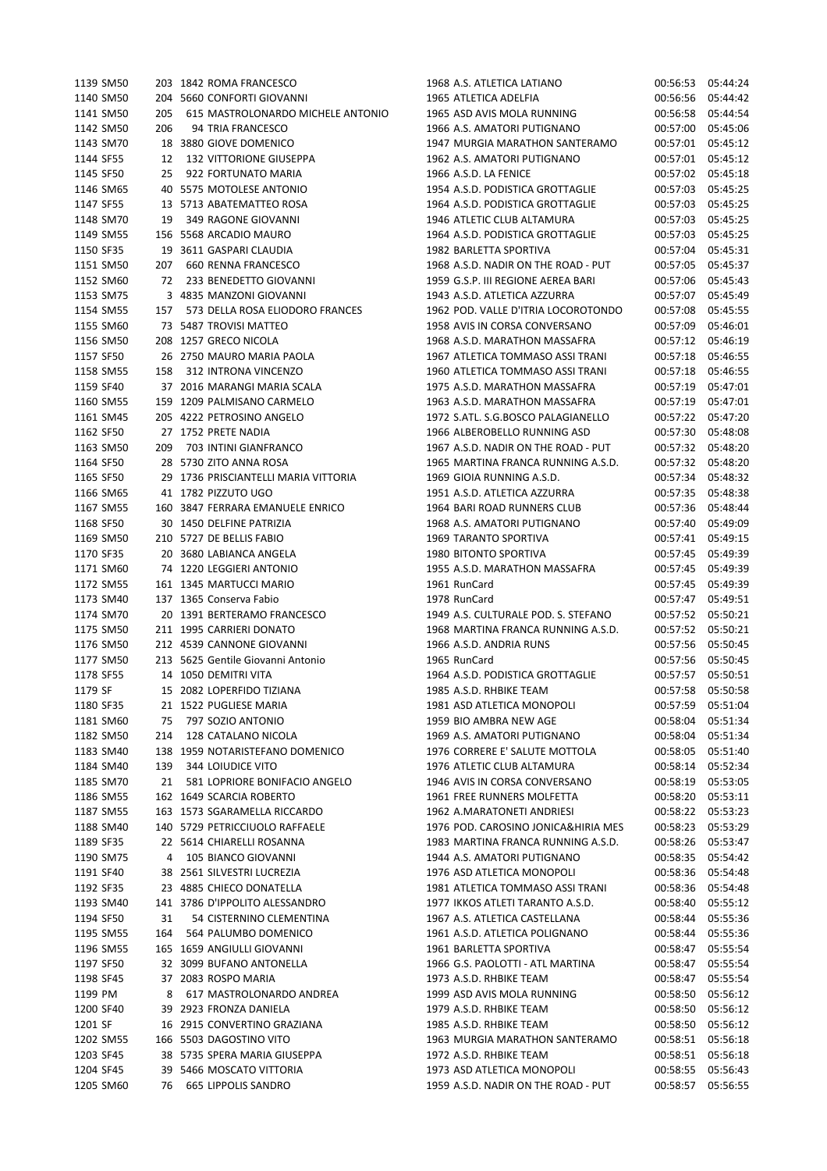| 1139 SM50 |     | 203 1842 ROMA FRANCESCO              |  | 1968 A.S. ATLETICA LATIANO          | 00:56:53 | 05:44:24          |
|-----------|-----|--------------------------------------|--|-------------------------------------|----------|-------------------|
| 1140 SM50 |     | 204 5660 CONFORTI GIOVANNI           |  | 1965 ATLETICA ADELFIA               | 00:56:56 | 05:44:42          |
| 1141 SM50 | 205 | 615 MASTROLONARDO MICHELE ANTONIO    |  | 1965 ASD AVIS MOLA RUNNING          | 00:56:58 | 05:44:54          |
| 1142 SM50 | 206 | 94 TRIA FRANCESCO                    |  | 1966 A.S. AMATORI PUTIGNANO         | 00:57:00 | 05:45:06          |
| 1143 SM70 |     | 18 3880 GIOVE DOMENICO               |  | 1947 MURGIA MARATHON SANTERAMO      | 00:57:01 | 05:45:12          |
| 1144 SF55 | 12  | <b>132 VITTORIONE GIUSEPPA</b>       |  | 1962 A.S. AMATORI PUTIGNANO         | 00:57:01 | 05:45:12          |
| 1145 SF50 | 25  | 922 FORTUNATO MARIA                  |  | 1966 A.S.D. LA FENICE               | 00:57:02 | 05:45:18          |
| 1146 SM65 |     | 40 5575 MOTOLESE ANTONIO             |  | 1954 A.S.D. PODISTICA GROTTAGLIE    | 00:57:03 | 05:45:25          |
|           |     |                                      |  | 1964 A.S.D. PODISTICA GROTTAGLIE    |          |                   |
| 1147 SF55 |     | 13 5713 ABATEMATTEO ROSA             |  |                                     | 00:57:03 | 05:45:25          |
| 1148 SM70 | 19  | 349 RAGONE GIOVANNI                  |  | 1946 ATLETIC CLUB ALTAMURA          | 00:57:03 | 05:45:25          |
| 1149 SM55 |     | 156 5568 ARCADIO MAURO               |  | 1964 A.S.D. PODISTICA GROTTAGLIE    | 00:57:03 | 05:45:25          |
| 1150 SF35 |     | 19 3611 GASPARI CLAUDIA              |  | 1982 BARLETTA SPORTIVA              | 00:57:04 | 05:45:31          |
| 1151 SM50 | 207 | 660 RENNA FRANCESCO                  |  | 1968 A.S.D. NADIR ON THE ROAD - PUT | 00:57:05 | 05:45:37          |
| 1152 SM60 | 72  | 233 BENEDETTO GIOVANNI               |  | 1959 G.S.P. III REGIONE AEREA BARI  | 00:57:06 | 05:45:43          |
| 1153 SM75 |     | 3 4835 MANZONI GIOVANNI              |  | 1943 A.S.D. ATLETICA AZZURRA        | 00:57:07 | 05:45:49          |
| 1154 SM55 | 157 | 573 DELLA ROSA ELIODORO FRANCES      |  | 1962 POD. VALLE D'ITRIA LOCOROTONDO | 00:57:08 | 05:45:55          |
| 1155 SM60 |     | 73 5487 TROVISI MATTEO               |  | 1958 AVIS IN CORSA CONVERSANO       | 00:57:09 | 05:46:01          |
| 1156 SM50 |     | 208 1257 GRECO NICOLA                |  | 1968 A.S.D. MARATHON MASSAFRA       | 00:57:12 | 05:46:19          |
| 1157 SF50 |     | 26 2750 MAURO MARIA PAOLA            |  | 1967 ATLETICA TOMMASO ASSI TRANI    | 00:57:18 | 05:46:55          |
| 1158 SM55 | 158 | 312 INTRONA VINCENZO                 |  | 1960 ATLETICA TOMMASO ASSI TRANI    | 00:57:18 | 05:46:55          |
| 1159 SF40 |     | 37 2016 MARANGI MARIA SCALA          |  | 1975 A.S.D. MARATHON MASSAFRA       | 00:57:19 | 05:47:01          |
|           |     | 159 1209 PALMISANO CARMELO           |  | 1963 A.S.D. MARATHON MASSAFRA       |          |                   |
| 1160 SM55 |     |                                      |  |                                     | 00:57:19 | 05:47:01          |
| 1161 SM45 |     | 205 4222 PETROSINO ANGELO            |  | 1972 S.ATL, S.G.BOSCO PALAGIANELLO  | 00:57:22 | 05:47:20          |
| 1162 SF50 |     | 27 1752 PRETE NADIA                  |  | 1966 ALBEROBELLO RUNNING ASD        | 00:57:30 | 05:48:08          |
| 1163 SM50 | 209 | 703 INTINI GIANFRANCO                |  | 1967 A.S.D. NADIR ON THE ROAD - PUT | 00:57:32 | 05:48:20          |
| 1164 SF50 |     | 28 5730 ZITO ANNA ROSA               |  | 1965 MARTINA FRANCA RUNNING A.S.D.  | 00:57:32 | 05:48:20          |
| 1165 SF50 |     | 29 1736 PRISCIANTELLI MARIA VITTORIA |  | 1969 GIOIA RUNNING A.S.D.           | 00:57:34 | 05:48:32          |
| 1166 SM65 |     | 41 1782 PIZZUTO UGO                  |  | 1951 A.S.D. ATLETICA AZZURRA        | 00:57:35 | 05:48:38          |
| 1167 SM55 |     | 160 3847 FERRARA EMANUELE ENRICO     |  | 1964 BARI ROAD RUNNERS CLUB         | 00:57:36 | 05:48:44          |
| 1168 SF50 |     | 30 1450 DELFINE PATRIZIA             |  | 1968 A.S. AMATORI PUTIGNANO         | 00:57:40 | 05:49:09          |
| 1169 SM50 |     | 210 5727 DE BELLIS FABIO             |  | 1969 TARANTO SPORTIVA               | 00:57:41 | 05:49:15          |
| 1170 SF35 |     | 20 3680 LABIANCA ANGELA              |  | 1980 BITONTO SPORTIVA               | 00:57:45 | 05:49:39          |
| 1171 SM60 |     | 74 1220 LEGGIERI ANTONIO             |  | 1955 A.S.D. MARATHON MASSAFRA       | 00:57:45 | 05:49:39          |
|           |     |                                      |  |                                     |          |                   |
| 1172 SM55 |     | 161 1345 MARTUCCI MARIO              |  | 1961 RunCard                        | 00:57:45 | 05:49:39          |
| 1173 SM40 |     | 137 1365 Conserva Fabio              |  | 1978 RunCard                        | 00:57:47 | 05:49:51          |
| 1174 SM70 |     | 20 1391 BERTERAMO FRANCESCO          |  | 1949 A.S. CULTURALE POD. S. STEFANO | 00:57:52 | 05:50:21          |
| 1175 SM50 |     | 211 1995 CARRIERI DONATO             |  | 1968 MARTINA FRANCA RUNNING A.S.D.  | 00:57:52 | 05:50:21          |
| 1176 SM50 |     | 212 4539 CANNONE GIOVANNI            |  | 1966 A.S.D. ANDRIA RUNS             | 00:57:56 | 05:50:45          |
| 1177 SM50 |     | 213 5625 Gentile Giovanni Antonio    |  | 1965 RunCard                        | 00:57:56 | 05:50:45          |
| 1178 SF55 |     | 14 1050 DEMITRI VITA                 |  | 1964 A.S.D. PODISTICA GROTTAGLIE    | 00:57:57 | 05:50:51          |
| 1179 SF   |     | 15 2082 LOPERFIDO TIZIANA            |  | 1985 A.S.D. RHBIKE TEAM             |          | 00:57:58 05:50:58 |
| 1180 SF35 |     | 21 1522 PUGLIESE MARIA               |  | 1981 ASD ATLETICA MONOPOLI          |          | 00:57:59 05:51:04 |
| 1181 SM60 |     | 75 797 SOZIO ANTONIO                 |  | 1959 BIO AMBRA NEW AGE              | 00:58:04 | 05:51:34          |
| 1182 SM50 | 214 | 128 CATALANO NICOLA                  |  | 1969 A.S. AMATORI PUTIGNANO         | 00:58:04 | 05:51:34          |
| 1183 SM40 |     | 138 1959 NOTARISTEFANO DOMENICO      |  | 1976 CORRERE E' SALUTE MOTTOLA      | 00:58:05 | 05:51:40          |
| 1184 SM40 | 139 | <b>344 LOIUDICE VITO</b>             |  | 1976 ATLETIC CLUB ALTAMURA          | 00:58:14 | 05:52:34          |
|           |     |                                      |  | 1946 AVIS IN CORSA CONVERSANO       |          |                   |
| 1185 SM70 |     | 21 581 LOPRIORE BONIFACIO ANGELO     |  |                                     | 00:58:19 | 05:53:05          |
| 1186 SM55 |     | 162 1649 SCARCIA ROBERTO             |  | 1961 FREE RUNNERS MOLFETTA          | 00:58:20 | 05:53:11          |
| 1187 SM55 |     | 163 1573 SGARAMELLA RICCARDO         |  | 1962 A.MARATONETI ANDRIESI          | 00:58:22 | 05:53:23          |
| 1188 SM40 |     | 140 5729 PETRICCIUOLO RAFFAELE       |  | 1976 POD. CAROSINO JONICA&HIRIA MES | 00:58:23 | 05:53:29          |
| 1189 SF35 |     | 22 5614 CHIARELLI ROSANNA            |  | 1983 MARTINA FRANCA RUNNING A.S.D.  | 00:58:26 | 05:53:47          |
| 1190 SM75 |     | 4 105 BIANCO GIOVANNI                |  | 1944 A.S. AMATORI PUTIGNANO         | 00:58:35 | 05:54:42          |
| 1191 SF40 |     | 38 2561 SILVESTRI LUCREZIA           |  | 1976 ASD ATLETICA MONOPOLI          | 00:58:36 | 05:54:48          |
| 1192 SF35 |     | 23 4885 CHIECO DONATELLA             |  | 1981 ATLETICA TOMMASO ASSI TRANI    | 00:58:36 | 05:54:48          |
| 1193 SM40 |     | 141 3786 D'IPPOLITO ALESSANDRO       |  | 1977 IKKOS ATLETI TARANTO A.S.D.    | 00:58:40 | 05:55:12          |
| 1194 SF50 | 31  | 54 CISTERNINO CLEMENTINA             |  | 1967 A.S. ATLETICA CASTELLANA       | 00:58:44 | 05:55:36          |
| 1195 SM55 | 164 | 564 PALUMBO DOMENICO                 |  | 1961 A.S.D. ATLETICA POLIGNANO      | 00:58:44 | 05:55:36          |
| 1196 SM55 |     | 165 1659 ANGIULLI GIOVANNI           |  | 1961 BARLETTA SPORTIVA              | 00:58:47 | 05:55:54          |
|           |     |                                      |  |                                     |          |                   |
| 1197 SF50 |     | 32 3099 BUFANO ANTONELLA             |  | 1966 G.S. PAOLOTTI - ATL MARTINA    | 00:58:47 | 05:55:54          |
| 1198 SF45 |     | 37 2083 ROSPO MARIA                  |  | 1973 A.S.D. RHBIKE TEAM             | 00:58:47 | 05:55:54          |
| 1199 PM   | 8   | 617 MASTROLONARDO ANDREA             |  | 1999 ASD AVIS MOLA RUNNING          | 00:58:50 | 05:56:12          |
| 1200 SF40 |     | 39 2923 FRONZA DANIELA               |  | 1979 A.S.D. RHBIKE TEAM             | 00:58:50 | 05:56:12          |
| 1201 SF   |     | 16 2915 CONVERTINO GRAZIANA          |  | 1985 A.S.D. RHBIKE TEAM             | 00:58:50 | 05:56:12          |
| 1202 SM55 |     | 166 5503 DAGOSTINO VITO              |  | 1963 MURGIA MARATHON SANTERAMO      | 00:58:51 | 05:56:18          |
| 1203 SF45 |     | 38 5735 SPERA MARIA GIUSEPPA         |  | 1972 A.S.D. RHBIKE TEAM             | 00:58:51 | 05:56:18          |
| 1204 SF45 |     | 39 5466 MOSCATO VITTORIA             |  | 1973 ASD ATLETICA MONOPOLI          | 00:58:55 | 05:56:43          |
| 1205 SM60 |     | 76 665 LIPPOLIS SANDRO               |  | 1959 A.S.D. NADIR ON THE ROAD - PUT | 00:58:57 | 05:56:55          |
|           |     |                                      |  |                                     |          |                   |

|           | 1139 SM50 |     | 203 1842 ROMA FRANCESCO              | 1968 A.S. ATLETICA LATIANO          | 00:56:53          | 05:44:24 |
|-----------|-----------|-----|--------------------------------------|-------------------------------------|-------------------|----------|
|           | 1140 SM50 |     | 204 5660 CONFORTI GIOVANNI           | 1965 ATLETICA ADELFIA               | 00:56:56          | 05:44:42 |
|           | 1141 SM50 | 205 | 615 MASTROLONARDO MICHELE ANTONIO    | 1965 ASD AVIS MOLA RUNNING          | 00:56:58          | 05:44:54 |
|           | 1142 SM50 | 206 | 94 TRIA FRANCESCO                    | 1966 A.S. AMATORI PUTIGNANO         | 00:57:00          | 05:45:06 |
|           | 1143 SM70 |     | 18 3880 GIOVE DOMENICO               | 1947 MURGIA MARATHON SANTERAMO      | 00:57:01          | 05:45:12 |
| 1144 SF55 |           | 12  | <b>132 VITTORIONE GIUSEPPA</b>       | 1962 A.S. AMATORI PUTIGNANO         | 00:57:01          | 05:45:12 |
| 1145 SF50 |           | 25  | 922 FORTUNATO MARIA                  | 1966 A.S.D. LA FENICE               | 00:57:02          | 05:45:18 |
|           | 1146 SM65 |     | 40 5575 MOTOLESE ANTONIO             | 1954 A.S.D. PODISTICA GROTTAGLIE    | 00:57:03          | 05:45:25 |
| 1147 SF55 |           |     | 13 5713 ABATEMATTEO ROSA             | 1964 A.S.D. PODISTICA GROTTAGLIE    | 00:57:03          | 05:45:25 |
|           |           |     | 349 RAGONE GIOVANNI                  |                                     |                   |          |
|           | 1148 SM70 | 19  |                                      | 1946 ATLETIC CLUB ALTAMURA          | 00:57:03          | 05:45:25 |
|           | 1149 SM55 |     | 156 5568 ARCADIO MAURO               | 1964 A.S.D. PODISTICA GROTTAGLIE    | 00:57:03          | 05:45:25 |
| 1150 SF35 |           |     | 19 3611 GASPARI CLAUDIA              | 1982 BARLETTA SPORTIVA              | 00:57:04          | 05:45:31 |
|           | 1151 SM50 | 207 | 660 RENNA FRANCESCO                  | 1968 A.S.D. NADIR ON THE ROAD - PUT | 00:57:05          | 05:45:37 |
|           | 1152 SM60 | 72  | 233 BENEDETTO GIOVANNI               | 1959 G.S.P. III REGIONE AEREA BARI  | 00:57:06          | 05:45:43 |
|           | 1153 SM75 |     | 3 4835 MANZONI GIOVANNI              | 1943 A.S.D. ATLETICA AZZURRA        | 00:57:07          | 05:45:49 |
|           | 1154 SM55 | 157 | 573 DELLA ROSA ELIODORO FRANCES      | 1962 POD. VALLE D'ITRIA LOCOROTONDO | 00:57:08          | 05:45:55 |
|           | 1155 SM60 |     | 73 5487 TROVISI MATTEO               | 1958 AVIS IN CORSA CONVERSANO       | 00:57:09          | 05:46:01 |
|           | 1156 SM50 |     | 208 1257 GRECO NICOLA                | 1968 A.S.D. MARATHON MASSAFRA       | 00:57:12          | 05:46:19 |
| 1157 SF50 |           |     | 26 2750 MAURO MARIA PAOLA            | 1967 ATLETICA TOMMASO ASSI TRANI    | 00:57:18          | 05:46:55 |
|           | 1158 SM55 | 158 | 312 INTRONA VINCENZO                 | 1960 ATLETICA TOMMASO ASSI TRANI    | 00:57:18          | 05:46:55 |
| 1159 SF40 |           |     | 37 2016 MARANGI MARIA SCALA          | 1975 A.S.D. MARATHON MASSAFRA       | 00:57:19          | 05:47:01 |
|           | 1160 SM55 |     | 159 1209 PALMISANO CARMELO           | 1963 A.S.D. MARATHON MASSAFRA       | 00:57:19          | 05:47:01 |
|           | 1161 SM45 |     | 205 4222 PETROSINO ANGELO            | 1972 S.ATL. S.G.BOSCO PALAGIANELLO  | 00:57:22          | 05:47:20 |
| 1162 SF50 |           |     | 27 1752 PRETE NADIA                  | 1966 ALBEROBELLO RUNNING ASD        | 00:57:30          | 05:48:08 |
|           | 1163 SM50 | 209 | 703 INTINI GIANFRANCO                | 1967 A.S.D. NADIR ON THE ROAD - PUT | 00:57:32          | 05:48:20 |
| 1164 SF50 |           |     | 28 5730 ZITO ANNA ROSA               | 1965 MARTINA FRANCA RUNNING A.S.D.  | 00:57:32          | 05:48:20 |
| 1165 SF50 |           |     | 29 1736 PRISCIANTELLI MARIA VITTORIA | 1969 GIOIA RUNNING A.S.D.           | 00:57:34          | 05:48:32 |
|           | 1166 SM65 |     | 41 1782 PIZZUTO UGO                  | 1951 A.S.D. ATLETICA AZZURRA        | 00:57:35          | 05:48:38 |
|           | 1167 SM55 |     | 160 3847 FERRARA EMANUELE ENRICO     | 1964 BARI ROAD RUNNERS CLUB         | 00:57:36          | 05:48:44 |
| 1168 SF50 |           |     | 30 1450 DELFINE PATRIZIA             | 1968 A.S. AMATORI PUTIGNANO         | 00:57:40          | 05:49:09 |
|           | 1169 SM50 |     | 210 5727 DE BELLIS FABIO             | 1969 TARANTO SPORTIVA               | 00:57:41          | 05:49:15 |
| 1170 SF35 |           |     | 20 3680 LABIANCA ANGELA              | 1980 BITONTO SPORTIVA               | 00:57:45          | 05:49:39 |
|           | 1171 SM60 |     | 74 1220 LEGGIERI ANTONIO             | 1955 A.S.D. MARATHON MASSAFRA       |                   | 05:49:39 |
|           |           |     |                                      |                                     | 00:57:45          |          |
|           | 1172 SM55 |     | 161 1345 MARTUCCI MARIO              | 1961 RunCard                        | 00:57:45          | 05:49:39 |
|           | 1173 SM40 |     | 137 1365 Conserva Fabio              | 1978 RunCard                        | 00:57:47          | 05:49:51 |
|           | 1174 SM70 |     | 20 1391 BERTERAMO FRANCESCO          | 1949 A.S. CULTURALE POD. S. STEFANO | 00:57:52          | 05:50:21 |
|           | 1175 SM50 |     | 211 1995 CARRIERI DONATO             | 1968 MARTINA FRANCA RUNNING A.S.D.  | 00:57:52          | 05:50:21 |
|           | 1176 SM50 |     | 212 4539 CANNONE GIOVANNI            | 1966 A.S.D. ANDRIA RUNS             | 00:57:56          | 05:50:45 |
|           | 1177 SM50 |     | 213 5625 Gentile Giovanni Antonio    | 1965 RunCard                        | 00:57:56          | 05:50:45 |
| 1178 SF55 |           |     | 14 1050 DEMITRI VITA                 | 1964 A.S.D. PODISTICA GROTTAGLIE    | 00:57:57          | 05:50:51 |
| 1179 SF   |           |     | 15 2082 LOPERFIDO TIZIANA            | 1985 A.S.D. RHBIKE TEAM             | 00:57:58          | 05:50:58 |
| 1180 SF35 |           |     | 21 1522 PUGLIESE MARIA               | 1981 ASD ATLETICA MONOPOLI          | 00:57:59          | 05:51:04 |
|           | 1181 SM60 | 75  | 797 SOZIO ANTONIO                    | 1959 BIO AMBRA NEW AGE              | 00:58:04          | 05:51:34 |
|           | 1182 SM50 | 214 | 128 CATALANO NICOLA                  | 1969 A.S. AMATORI PUTIGNANO         | 00:58:04          | 05:51:34 |
|           | 1183 SM40 |     | 138 1959 NOTARISTEFANO DOMENICO      | 1976 CORRERE E' SALUTE MOTTOLA      | 00:58:05          | 05:51:40 |
|           | 1184 SM40 | 139 | 344 LOIUDICE VITO                    | 1976 ATLETIC CLUB ALTAMURA          | 00:58:14          | 05:52:34 |
|           | 1185 SM70 | 21  | 581 LOPRIORE BONIFACIO ANGELO        | 1946 AVIS IN CORSA CONVERSANO       | 00:58:19          | 05:53:05 |
|           | 1186 SM55 |     | 162 1649 SCARCIA ROBERTO             | 1961 FREE RUNNERS MOLFETTA          | 00:58:20          | 05:53:11 |
|           | 1187 SM55 |     | 163 1573 SGARAMELLA RICCARDO         | 1962 A.MARATONETI ANDRIESI          | 00:58:22          | 05:53:23 |
|           | 1188 SM40 |     | 140 5729 PETRICCIUOLO RAFFAELE       | 1976 POD. CAROSINO JONICA&HIRIA MES | 00:58:23          | 05:53:29 |
| 1189 SF35 |           |     | 22 5614 CHIARELLI ROSANNA            | 1983 MARTINA FRANCA RUNNING A.S.D.  | 00:58:26          | 05:53:47 |
|           | 1190 SM75 | 4   | 105 BIANCO GIOVANNI                  | 1944 A.S. AMATORI PUTIGNANO         | 00:58:35          | 05:54:42 |
| 1191 SF40 |           |     | 38 2561 SILVESTRI LUCREZIA           | 1976 ASD ATLETICA MONOPOLI          | 00:58:36          | 05:54:48 |
| 1192 SF35 |           |     | 23 4885 CHIECO DONATELLA             | 1981 ATLETICA TOMMASO ASSI TRANI    | 00:58:36          | 05:54:48 |
|           | 1193 SM40 |     | 141 3786 D'IPPOLITO ALESSANDRO       | 1977 IKKOS ATLETI TARANTO A.S.D.    | 00:58:40          | 05:55:12 |
| 1194 SF50 |           | 31  | 54 CISTERNINO CLEMENTINA             | 1967 A.S. ATLETICA CASTELLANA       | 00:58:44          | 05:55:36 |
|           | 1195 SM55 | 164 | 564 PALUMBO DOMENICO                 | 1961 A.S.D. ATLETICA POLIGNANO      | 00:58:44          | 05:55:36 |
|           | 1196 SM55 |     | 165 1659 ANGIULLI GIOVANNI           | 1961 BARLETTA SPORTIVA              | 00:58:47          | 05:55:54 |
| 1197 SF50 |           |     | 32 3099 BUFANO ANTONELLA             | 1966 G.S. PAOLOTTI - ATL MARTINA    | 00:58:47          | 05:55:54 |
| 1198 SF45 |           |     | 37 2083 ROSPO MARIA                  | 1973 A.S.D. RHBIKE TEAM             | 00:58:47          | 05:55:54 |
| 1199 PM   |           | 8   | 617 MASTROLONARDO ANDREA             | 1999 ASD AVIS MOLA RUNNING          | 00:58:50          | 05:56:12 |
|           |           |     | 39 2923 FRONZA DANIELA               | 1979 A.S.D. RHBIKE TEAM             | 00:58:50          | 05:56:12 |
| 1200 SF40 |           |     |                                      |                                     |                   |          |
| 1201 SF   |           |     | 16 2915 CONVERTINO GRAZIANA          | 1985 A.S.D. RHBIKE TEAM             | 00:58:50          | 05:56:12 |
|           | 1202 SM55 |     | 166 5503 DAGOSTINO VITO              | 1963 MURGIA MARATHON SANTERAMO      | 00:58:51          | 05:56:18 |
| 1203 SF45 |           |     | 38 5735 SPERA MARIA GIUSEPPA         | 1972 A.S.D. RHBIKE TEAM             | 00:58:51          | 05:56:18 |
| 1204 SF45 |           |     | 39 5466 MOSCATO VITTORIA             | 1973 ASD ATLETICA MONOPOLI          | 00:58:55          | 05:56:43 |
|           | 1205 SM60 |     |                                      | 1959 A.S.D. NADIR ON THE ROAD - PUT | 00:58:57 05:56:55 |          |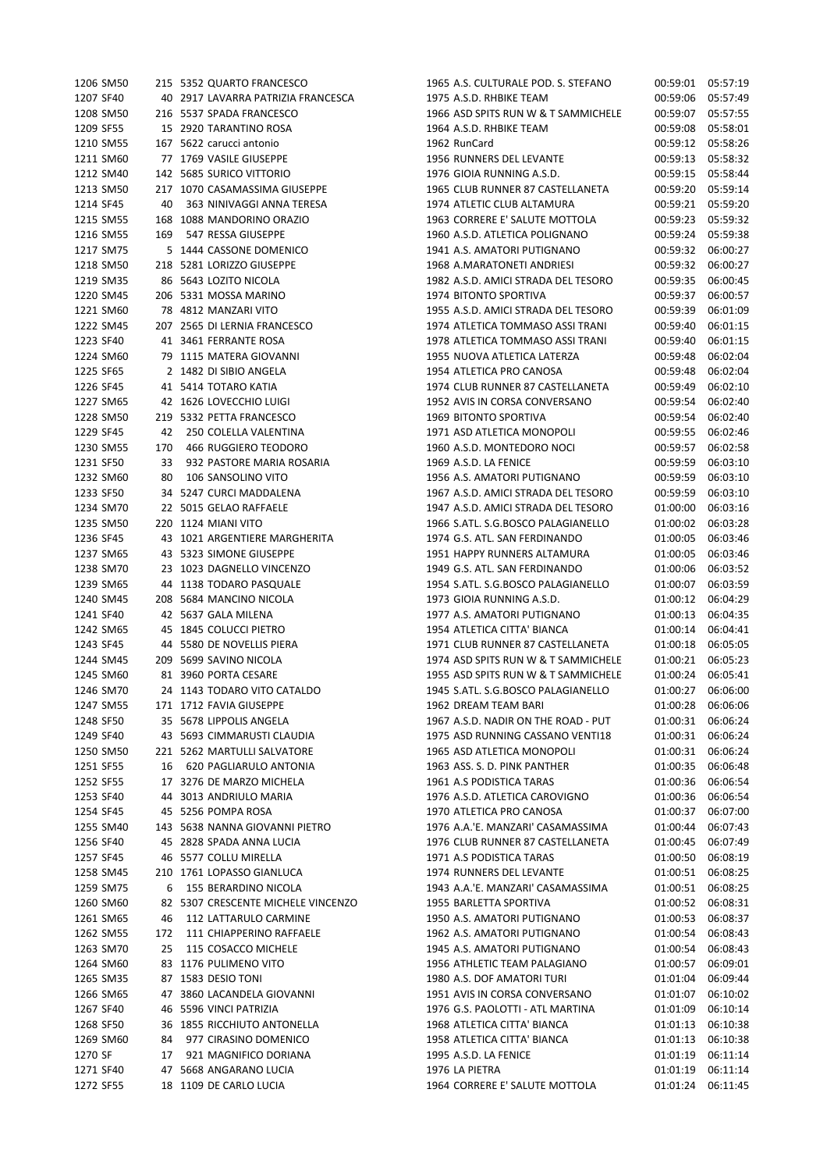| 1206 SM50 |     | 215 5352 QUARTO FRANCESCO          | 1965 A.S. CULTURALE POD. S. STEFANO | 00:59:01 | 05:57:19 |
|-----------|-----|------------------------------------|-------------------------------------|----------|----------|
| 1207 SF40 |     | 40 2917 LAVARRA PATRIZIA FRANCESCA | 1975 A.S.D. RHBIKE TEAM             | 00:59:06 | 05:57:49 |
| 1208 SM50 |     | 216 5537 SPADA FRANCESCO           | 1966 ASD SPITS RUN W & T SAMMICHELE | 00:59:07 | 05:57:55 |
| 1209 SF55 |     | 15 2920 TARANTINO ROSA             | 1964 A.S.D. RHBIKE TEAM             | 00:59:08 | 05:58:01 |
| 1210 SM55 |     | 167 5622 carucci antonio           | 1962 RunCard                        | 00:59:12 | 05:58:26 |
| 1211 SM60 |     | 77 1769 VASILE GIUSEPPE            | 1956 RUNNERS DEL LEVANTE            | 00:59:13 | 05:58:32 |
| 1212 SM40 |     | 142 5685 SURICO VITTORIO           | 1976 GIOIA RUNNING A.S.D.           | 00:59:15 | 05:58:44 |
| 1213 SM50 |     | 217 1070 CASAMASSIMA GIUSEPPE      | 1965 CLUB RUNNER 87 CASTELLANETA    | 00:59:20 | 05:59:14 |
| 1214 SF45 | 40  | 363 NINIVAGGI ANNA TERESA          | 1974 ATLETIC CLUB ALTAMURA          | 00:59:21 | 05:59:20 |
| 1215 SM55 |     | 168 1088 MANDORINO ORAZIO          | 1963 CORRERE E' SALUTE MOTTOLA      | 00:59:23 | 05:59:32 |
| 1216 SM55 | 169 | 547 RESSA GIUSEPPE                 | 1960 A.S.D. ATLETICA POLIGNANO      | 00:59:24 | 05:59:38 |
| 1217 SM75 |     | 5 1444 CASSONE DOMENICO            | 1941 A.S. AMATORI PUTIGNANO         | 00:59:32 | 06:00:27 |
| 1218 SM50 |     | 218 5281 LORIZZO GIUSEPPE          | 1968 A.MARATONETI ANDRIESI          | 00:59:32 | 06:00:27 |
| 1219 SM35 |     | 86 5643 LOZITO NICOLA              | 1982 A.S.D. AMICI STRADA DEL TESORO | 00:59:35 | 06:00:45 |
| 1220 SM45 |     | 206 5331 MOSSA MARINO              | 1974 BITONTO SPORTIVA               | 00:59:37 | 06:00:57 |
| 1221 SM60 |     | 78 4812 MANZARI VITO               | 1955 A.S.D. AMICI STRADA DEL TESORO | 00:59:39 | 06:01:09 |
| 1222 SM45 |     | 207 2565 DI LERNIA FRANCESCO       | 1974 ATLETICA TOMMASO ASSI TRANI    | 00:59:40 | 06:01:15 |
| 1223 SF40 |     | 41 3461 FERRANTE ROSA              | 1978 ATLETICA TOMMASO ASSI TRANI    | 00:59:40 | 06:01:15 |
| 1224 SM60 |     | 79 1115 MATERA GIOVANNI            | 1955 NUOVA ATLETICA LATERZA         | 00:59:48 | 06:02:04 |
| 1225 SF65 |     | 2 1482 DI SIBIO ANGELA             | 1954 ATLETICA PRO CANOSA            | 00:59:48 | 06:02:04 |
| 1226 SF45 |     | 41 5414 TOTARO KATIA               | 1974 CLUB RUNNER 87 CASTELLANETA    | 00:59:49 | 06:02:10 |
| 1227 SM65 |     | 42 1626 LOVECCHIO LUIGI            | 1952 AVIS IN CORSA CONVERSANO       | 00:59:54 | 06:02:40 |
| 1228 SM50 |     | 219 5332 PETTA FRANCESCO           | 1969 BITONTO SPORTIVA               | 00:59:54 | 06:02:40 |
| 1229 SF45 | 42  | 250 COLELLA VALENTINA              | 1971 ASD ATLETICA MONOPOLI          | 00:59:55 | 06:02:46 |
| 1230 SM55 | 170 | 466 RUGGIERO TEODORO               | 1960 A.S.D. MONTEDORO NOCI          | 00:59:57 | 06:02:58 |
|           |     |                                    | 1969 A.S.D. LA FENICE               |          |          |
| 1231 SF50 | 33  | 932 PASTORE MARIA ROSARIA          |                                     | 00:59:59 | 06:03:10 |
| 1232 SM60 | 80  | 106 SANSOLINO VITO                 | 1956 A.S. AMATORI PUTIGNANO         | 00:59:59 | 06:03:10 |
| 1233 SF50 |     | 34 5247 CURCI MADDALENA            | 1967 A.S.D. AMICI STRADA DEL TESORO | 00:59:59 | 06:03:10 |
| 1234 SM70 |     | 22 5015 GELAO RAFFAELE             | 1947 A.S.D. AMICI STRADA DEL TESORO | 01:00:00 | 06:03:16 |
| 1235 SM50 |     | 220 1124 MIANI VITO                | 1966 S.ATL. S.G.BOSCO PALAGIANELLO  | 01:00:02 | 06:03:28 |
| 1236 SF45 |     | 43 1021 ARGENTIERE MARGHERITA      | 1974 G.S. ATL. SAN FERDINANDO       | 01:00:05 | 06:03:46 |
| 1237 SM65 |     | 43 5323 SIMONE GIUSEPPE            | 1951 HAPPY RUNNERS ALTAMURA         | 01:00:05 | 06:03:46 |
| 1238 SM70 |     | 23 1023 DAGNELLO VINCENZO          | 1949 G.S. ATL. SAN FERDINANDO       | 01:00:06 | 06:03:52 |
| 1239 SM65 |     | 44 1138 TODARO PASQUALE            | 1954 S.ATL. S.G.BOSCO PALAGIANELLO  | 01:00:07 | 06:03:59 |
| 1240 SM45 |     | 208 5684 MANCINO NICOLA            | 1973 GIOIA RUNNING A.S.D.           | 01:00:12 | 06:04:29 |
| 1241 SF40 |     | 42 5637 GALA MILENA                | 1977 A.S. AMATORI PUTIGNANO         | 01:00:13 | 06:04:35 |
| 1242 SM65 |     | 45 1845 COLUCCI PIETRO             | 1954 ATLETICA CITTA' BIANCA         | 01:00:14 | 06:04:41 |
| 1243 SF45 |     | 44 5580 DE NOVELLIS PIERA          | 1971 CLUB RUNNER 87 CASTELLANETA    | 01:00:18 | 06:05:05 |
| 1244 SM45 |     | 209 5699 SAVINO NICOLA             | 1974 ASD SPITS RUN W & T SAMMICHELE | 01:00:21 | 06:05:23 |
| 1245 SM60 |     | 81 3960 PORTA CESARE               | 1955 ASD SPITS RUN W & T SAMMICHELE | 01:00:24 | 06:05:41 |
| 1246 SM70 |     | 24 1143 TODARO VITO CATALDO        | 1945 S.ATL. S.G.BOSCO PALAGIANELLO  | 01:00:27 | 06:06:00 |
| 1247 SM55 |     | 171 1712 FAVIA GIUSEPPE            | 1962 DREAM TEAM BARI                | 01:00:28 | 06:06:06 |
| 1248 SF50 |     | 35 5678 LIPPOLIS ANGELA            | 1967 A.S.D. NADIR ON THE ROAD - PUT | 01:00:31 | 06:06:24 |
| 1249 SF40 |     | 43 5693 CIMMARUSTI CLAUDIA         | 1975 ASD RUNNING CASSANO VENTI18    | 01:00:31 | 06:06:24 |
| 1250 SM50 |     | 221 5262 MARTULLI SALVATORE        | 1965 ASD ATLETICA MONOPOLI          | 01:00:31 | 06:06:24 |
| 1251 SF55 | 16  | 620 PAGLIARULO ANTONIA             | 1963 ASS. S. D. PINK PANTHER        | 01:00:35 | 06:06:48 |
| 1252 SF55 |     | 17 3276 DE MARZO MICHELA           | 1961 A.S PODISTICA TARAS            | 01:00:36 | 06:06:54 |
| 1253 SF40 |     | 44 3013 ANDRIULO MARIA             | 1976 A.S.D. ATLETICA CAROVIGNO      | 01:00:36 | 06:06:54 |
| 1254 SF45 |     | 45 5256 POMPA ROSA                 | 1970 ATLETICA PRO CANOSA            | 01:00:37 | 06:07:00 |
| 1255 SM40 |     | 143 5638 NANNA GIOVANNI PIETRO     | 1976 A.A.'E. MANZARI' CASAMASSIMA   | 01:00:44 | 06:07:43 |
| 1256 SF40 |     | 45 2828 SPADA ANNA LUCIA           | 1976 CLUB RUNNER 87 CASTELLANETA    | 01:00:45 | 06:07:49 |
| 1257 SF45 |     | 46 5577 COLLU MIRELLA              | 1971 A.S PODISTICA TARAS            | 01:00:50 | 06:08:19 |
| 1258 SM45 |     | 210 1761 LOPASSO GIANLUCA          | 1974 RUNNERS DEL LEVANTE            | 01:00:51 | 06:08:25 |
| 1259 SM75 | 6   | 155 BERARDINO NICOLA               | 1943 A.A.'E. MANZARI' CASAMASSIMA   | 01:00:51 | 06:08:25 |
| 1260 SM60 |     | 82 5307 CRESCENTE MICHELE VINCENZO | 1955 BARLETTA SPORTIVA              | 01:00:52 | 06:08:31 |
| 1261 SM65 | 46  | 112 LATTARULO CARMINE              | 1950 A.S. AMATORI PUTIGNANO         | 01:00:53 | 06:08:37 |
| 1262 SM55 | 172 | 111 CHIAPPERINO RAFFAELE           | 1962 A.S. AMATORI PUTIGNANO         | 01:00:54 | 06:08:43 |
| 1263 SM70 | 25  | 115 COSACCO MICHELE                | 1945 A.S. AMATORI PUTIGNANO         | 01:00:54 | 06:08:43 |
| 1264 SM60 |     | 83 1176 PULIMENO VITO              | 1956 ATHLETIC TEAM PALAGIANO        | 01:00:57 | 06:09:01 |
| 1265 SM35 |     | 87 1583 DESIO TONI                 | 1980 A.S. DOF AMATORI TURI          | 01:01:04 | 06:09:44 |
| 1266 SM65 |     | 47 3860 LACANDELA GIOVANNI         | 1951 AVIS IN CORSA CONVERSANO       | 01:01:07 | 06:10:02 |
| 1267 SF40 |     | 46 5596 VINCI PATRIZIA             | 1976 G.S. PAOLOTTI - ATL MARTINA    | 01:01:09 | 06:10:14 |
| 1268 SF50 |     | 36 1855 RICCHIUTO ANTONELLA        | 1968 ATLETICA CITTA' BIANCA         | 01:01:13 | 06:10:38 |
| 1269 SM60 | 84  | 977 CIRASINO DOMENICO              | 1958 ATLETICA CITTA' BIANCA         | 01:01:13 | 06:10:38 |
| 1270 SF   | 17  | 921 MAGNIFICO DORIANA              | 1995 A.S.D. LA FENICE               | 01:01:19 | 06:11:14 |
| 1271 SF40 |     | 47 5668 ANGARANO LUCIA             | 1976 LA PIETRA                      | 01:01:19 | 06:11:14 |
| 1272 SF55 |     | 18 1109 DE CARLO LUCIA             | 1964 CORRERE E' SALUTE MOTTOLA      | 01:01:24 | 06:11:45 |
|           |     |                                    |                                     |          |          |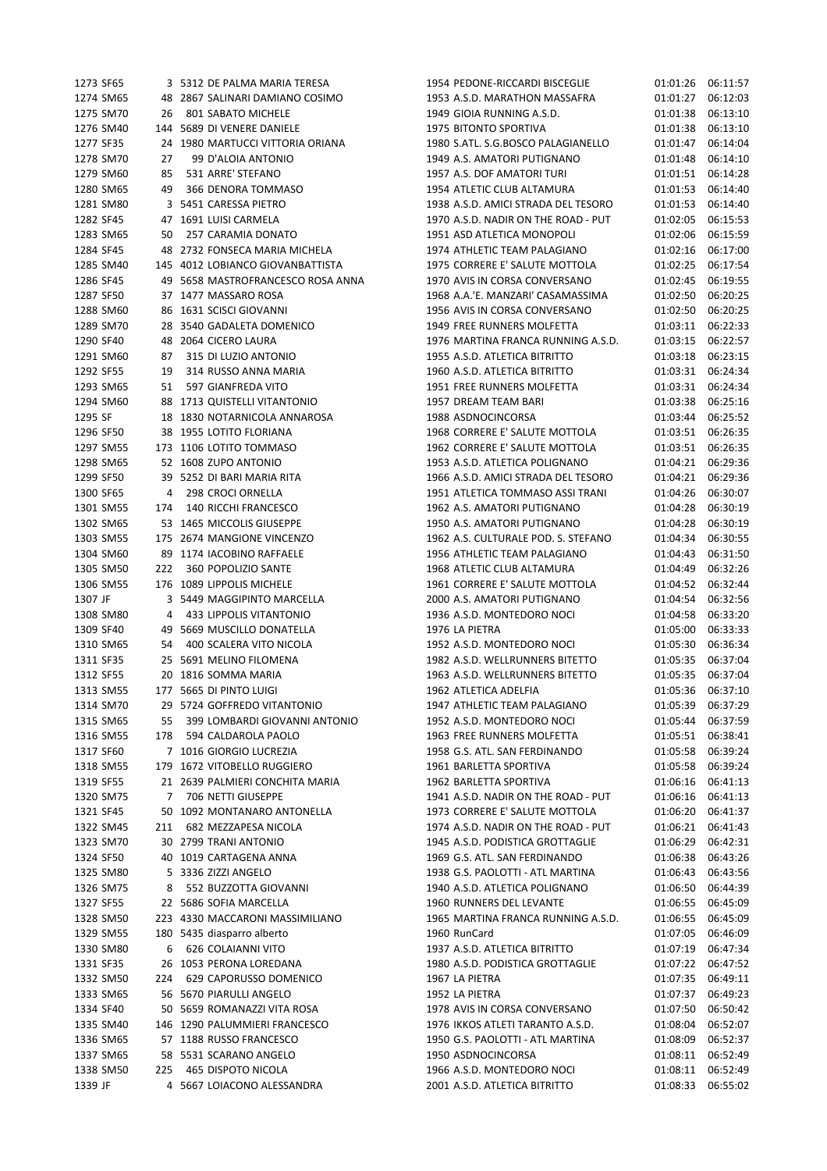| 1273 SF65              |    | 3   5312  DE PALMA MARIA TERESA                         | 1954 PEDON                    |
|------------------------|----|---------------------------------------------------------|-------------------------------|
| 1274 SM65              |    | 48 2867 SALINARI DAMIANO COSIMO                         | 1953 A.S.D. N                 |
| 1275 SM70              |    | 26 801 SABATO MICHELE                                   | 1949 GIOIA R                  |
| 1276 SM40              |    | 144 5689 DI VENERE DANIELE                              | 1975 BITONT                   |
| 1277 SF35              |    | 24 1980 MARTUCCI VITTORIA ORIANA                        | 1980 S.ATL. S                 |
| 1278 SM70              | 27 | 99 D'ALOIA ANTONIO                                      | 1949 A.S. AM                  |
| 1279 SM60              |    | 85 531 ARRE' STEFANO                                    | 1957 A.S. DO                  |
| 1280 SM65              |    | 49 366 DENORA TOMMASO                                   | 1954 ATLETIO                  |
| 1281 SM80              |    | 3 5451 CARESSA PIETRO                                   | 1938 A.S.D. A                 |
| 1282 SF45              |    | 47 1691 LUISI CARMELA                                   | 1970 A.S.D. N                 |
| 1283 SM65              |    | 50 257 CARAMIA DONATO                                   | 1951 ASD AT                   |
| 1284 SF45              |    | 48 2732 FONSECA MARIA MICHELA                           | 1974 ATHLET                   |
| 1285 SM40              |    | 145 4012 LOBIANCO GIOVANBATTISTA                        | 1975 CORREF                   |
| 1286 SF45              |    | 49 5658 MASTROFRANCESCO ROSA ANNA                       | <b>1970 AVIS IN</b>           |
| 1287 SF50              |    | 37 1477 MASSARO ROSA                                    | 1968 A.A.'E. I                |
| 1288 SM60              |    | 86 1631 SCISCI GIOVANNI                                 | <b>1956 AVIS IN</b>           |
| 1289 SM70              |    | 28 3540 GADALETA DOMENICO                               | <b>1949 FREE RL</b>           |
|                        |    |                                                         |                               |
| 1290 SF40              |    | 48 2064 CICERO LAURA                                    | 1976 MARTIN                   |
| 1291 SM60              |    | 87 315 DI LUZIO ANTONIO                                 | 1955 A.S.D. A                 |
| 1292 SF55              |    | 19 314 RUSSO ANNA MARIA                                 | 1960 A.S.D. A                 |
| 1293 SM65              |    | 51 597 GIANFREDA VITO                                   | <b>1951 FREE RU</b>           |
| 1294 SM60              |    | 88 1713 QUISTELLI VITANTONIO                            | 1957 DREAM                    |
| 1295 SF                |    | 18 1830 NOTARNICOLA ANNAROSA                            | 1988 ASDNO                    |
| 1296 SF50              |    | 38 1955 LOTITO FLORIANA                                 | 1968 CORREF                   |
| 1297 SM55              |    | 173 1106 LOTITO TOMMASO                                 | 1962 CORRER                   |
| 1298 SM65              |    | 52 1608 ZUPO ANTONIO                                    | 1953 A.S.D. A                 |
| 1299 SF50              |    | 39 5252 DI BARI MARIA RITA                              | 1966 A.S.D. A                 |
| 1300 SF65              |    | 4 298 CROCI ORNELLA                                     | 1951 ATLETIO                  |
|                        |    | 1301 SM55 174 140 RICCHI FRANCESCO                      | 1962 A.S. AM                  |
| 1302 SM65              |    | 53 1465 MICCOLIS GIUSEPPE                               | 1950 A.S. AM                  |
| 1303 SM55              |    | 175 2674 MANGIONE VINCENZO                              | 1962 A.S. CU                  |
| 1304 SM60              |    | 89 1174 IACOBINO RAFFAELE                               | 1956 ATHLET                   |
| 1305 SM50              |    | 222 360 POPOLIZIO SANTE                                 | 1968 ATLETIO                  |
| 1306 SM55              |    | 176 1089 LIPPOLIS MICHELE                               | 1961 CORRER                   |
| 1307 JF                |    | 3 5449 MAGGIPINTO MARCELLA                              | 2000 A.S. AM                  |
| 1308 SM80              |    | 4 433 LIPPOLIS VITANTONIO                               | 1936 A.S.D. N                 |
| 1309 SF40              |    | 49 5669 MUSCILLO DONATELLA                              | <b>1976 LA PIET</b>           |
| 1310 SM65              |    | 54 400 SCALERA VITO NICOLA                              | 1952 A.S.D. N                 |
| 1311 SF35              |    | 25 5691 MELINO FILOMENA                                 | 1982 A.S.D. V                 |
|                        |    | 1312 SF55 20 1816 SOMMA MARIA                           | 1963 A.S.D. V                 |
|                        |    | 1313 SM55 177 5665 DI PINTO LUIGI                       | 1962 ATLETIO                  |
| 1314 SM70              |    | 29 5724 GOFFREDO VITANTONIO                             | 1947 ATHLET                   |
| 1315 SM65              |    | 55 399 LOMBARDI GIOVANNI ANTONIO                        | 1952 A.S.D. N                 |
| 1316 SM55              |    | 178 594 CALDAROLA PAOLO                                 | <b>1963 FREE RU</b>           |
| 1317 SF60              |    | 7 1016 GIORGIO LUCREZIA                                 | 1958 G.S. ATI                 |
| 1318 SM55              |    | 179 1672 VITOBELLO RUGGIERO                             | 1961 BARLET                   |
| 1319 SF55              |    | 21 2639 PALMIERI CONCHITA MARIA                         | 1962 BARLET<br>1941 A.S.D. N  |
| 1320 SM75              |    | 7 706 NETTI GIUSEPPE                                    |                               |
| 1321 SF45              |    | 50 1092 MONTANARO ANTONELLA<br>211 682 MEZZAPESA NICOLA | 1973 CORREF                   |
| 1322 SM45              |    |                                                         | 1974 A.S.D. N                 |
| 1323 SM70              |    | 30 2799 TRANI ANTONIO                                   | 1945 A.S.D. P                 |
| 1324 SF50              |    | 40 1019 CARTAGENA ANNA                                  | 1969 G.S. ATI                 |
| 1325 SM80              |    | 5 3336 ZIZZI ANGELO                                     | 1938 G.S. PA<br>1940 A.S.D. A |
| 1326 SM75              |    | 8 552 BUZZOTTA GIOVANNI<br>22 5686 SOFIA MARCELLA       |                               |
| 1327 SF55              |    |                                                         | <b>1960 RUNNE</b>             |
| 1328 SM50              |    | 223 4330 MACCARONI MASSIMILIANO                         | 1965 MARTIN                   |
| 1329 SM55              |    | 180 5435 diasparro alberto                              | 1960 RunCar                   |
| 1330 SM80              |    | 6 626 COLAIANNI VITO                                    | 1937 A.S.D. A                 |
| 1331 SF35<br>1332 SM50 |    | 26 1053 PERONA LOREDANA<br>224 629 CAPORUSSO DOMENICO   | 1980 A.S.D. P<br>1967 LA PIET |
| 1333 SM65              |    | 56 5670 PIARULLI ANGELO                                 | 1952 LA PIET                  |
| 1334 SF40              |    | 50 5659 ROMANAZZI VITA ROSA                             | <b>1978 AVIS IN</b>           |
| 1335 SM40              |    | 146 1290 PALUMMIERI FRANCESCO                           | 1976 IKKOS A                  |
| 1336 SM65              |    | 57 1188 RUSSO FRANCESCO                                 | 1950 G.S. PA                  |
| 1337 SM65              |    | 58 5531 SCARANO ANGELO                                  | 1950 ASDNO                    |
| 1338 SM50              |    | 225 465 DISPOTO NICOLA                                  | 1966 A.S.D. N                 |
| 1339 JF                |    | 4 5667 LOIACONO ALESSANDRA                              | 2001 A.S.D. A                 |
|                        |    |                                                         |                               |

E-RICCARDI BISCEGLIE 01:01:26 06:11:57 1205:34 MARATHON MASSAFRA 201:01:27 06:12:03 1275 801:01:38 06:13:10 1276 TO SPORTIVA 61:01:38 06:13:10 1277 SF35 24 1980 MARTUCCI VITTORIA ORIANA 1980 S.ATL. S.G.BOSCO PALAGIANELLO 01:01:47 06:14:04 1278 SM70 27 99 D'ALOIA ANTONIO 1949 A.S. AMATORI PUTIGNANO 01:01:48 06:14:10 1279 BF AMATORI TURI 1957 COMES 1957 1961 1958 AMATORI TURI 1280 SM65 49 366 DENORA TOMMASO 1954 ATLETIC CLUB ALTAMURA 01:01:53 06:14:40 1281 AMICI STRADA DEL TESORO 11:01:53 06:14:40 1282 VADIR ON THE ROAD - PUT 01:02:05 06:15:53 1283 SM65 50 257 CARAMIA DONATO 1951 ASD ATLETICA MONOPOLI 01:02:06 06:15:59 FIC TEAM PALAGIANO 01:02:16 06:17:00 1285 SM40 145 4012 LOBIANCO GIOVANBATTISTA 1975 CORRERE E' SALUTE MOTTOLA 01:02:25 06:17:54 1286 SF45 49 5658 MASTROFRANCESCO ROSA ANNA 1970 AVIS IN CORSA CONVERSANO 01:02:45 06:19:55 1287 SF50 37 1477 MASSARO ROSA 1968 A.A.'E. MANZARI' CASAMASSIMA 01:02:50 06:20:25 1288 SM60 86 1631 SCISCI GIOVANNI 1956 AVIS IN CORSA CONVERSANO 01:02:50 06:20:25 1289 SM70 28 3540 GADALETA DOMENICO 1949 FREE RUNNERS MOLFETTA 01:03:11 06:22:33 NA FRANCA RUNNING A.S.D. 01:03:15 06:22:57 1291 ATLETICA BITRITTO 01:03:18 06:23:15 1292 SF55 19 314 RUSSO ANNA MARIA 1960 A.S.D. ATLETICA BITRITTO 01:03:31 06:24:34 1293 SM65 51 597 GIANFREDA VITO 1951 FREE RUNNERS MOLFETTA 01:03:31 06:24:34 1294 SM60 88 1713 QUISTELLI VITANTONIO 1957 DREAM TEAM BARI 01:03:38 06:25:16 1295:52 CINCORSA 01:03:44 06:25:52 RE E' SALUTE MOTTOLA  $01:03:51$  06:26:35 RE E' SALUTE MOTTOLA 01:03:51 06:26:35 12999 ATLETICA POLIGNANO 01:04:21 06:29:36 1299:36 AMICI STRADA DEL TESORO 31:04:21 06:29:36 1300 SF65 4 298 CROCI ORNELLA 1951 ATLETICA TOMMASO ASSI TRANI 01:04:26 06:30:07 141 13001 1410 MATORI PUTIGNANO 01:04:28 06:30:19 14102 1303 14708 14708 MATORI PUTIGNANO 1LTURALE POD. S. STEFANO 01:04:34 06:30:55 TIC TEAM PALAGIANO 01:04:43 06:31:50 1305 SM50 222 360 POPOLIZIO SANTE 1968 ATLETIC CLUB ALTAMURA 01:04:49 06:32:26 RE E' SALUTE MOTTOLA 01:04:52 06:32:44 1307 JF 3 5449 MAGGIPINTO MARCELLA 2000 A.S. AMATORI PUTIGNANO 01:04:54 06:32:56 1308 MONTEDORO NOCI 01:04:58 06:33:20  $R_A$   $01:05:00$   $06:33:33$ 1310 MONTEDORO NOCI 01:05:30 06:36:34 1311 SF35 25 5691 MELINO FILOMENA 1982 A.S.D. WELLRUNNERS BITETTO 01:05:35 06:37:04 1312 SF55 20 1816 SOMMA MARIA 1963 A.S.D. WELLRUNNERS BITETTO 01:05:35 06:37:04 1313 SM55 177 5665 DI PINTO LUIGI 1962 ATLETICA ADELFIA 01:05:36 06:37:10 1314 SM70 29 5724 GOFFREDO VITANTONIO 1947 ATHLETIC TEAM PALAGIANO 01:05:39 06:37:29 1315 MONTEDORO NOCI 01:05:44 06:37:59 1316 SM55 178 594 CALDAROLA PAOLO 1963 FREE RUNNERS MOLFETTA 01:05:51 06:38:41 1. SAN FERDINANDO 01:05:58 06:39:24 1318 TTA SPORTIVA 179 1672 1673 1674 1672 1673 1681 1672 1681 1672 1681 1682 169 TTA SPORTIVA 01:06:16 06:41:13 VADIR ON THE ROAD - PUT 01:06:16 06:41:13 1321 SF45 50 1092 MONTANARO ANTONELLA 1973 CORRERE E' SALUTE MOTTOLA 01:06:20 06:41:37 1322 VADIR ON THE ROAD - PUT 01:06:21 06:41:43 1323 SM70 30 2799 TRANI ANTONIO 1945 A.S.D. PODISTICA GROTTAGLIE 01:06:29 06:42:31 L. SAN FERDINANDO 01:06:38 06:43:26 1325 SM80 5 3336 ZIZZI ANGELO 1938 G.S. PAOLOTTI - ATL MARTINA 01:06:43 06:43:56 1326 ATLETICA POLIGNANO 01:06:50 06:44:39 1327 SF55 22 5686 SOFIA MARCELLA 1960 RUNNERS DEL LEVANTE 01:06:55 06:45:09 1328 NA FRANCA RUNNING A.S.D. 01:06:55 06:45:09 1329 SM55 180 5435 diasparro alberto 1960 RunCard 01:07:05 06:46:09 1330 ATLETICA BITRITTO 01:07:19 06:47:34 1331 SF35 26 1053 PERONA LOREDANA 1980 A.S.D. PODISTICA GROTTAGLIE 01:07:22 06:47:52 Pressure that the contract of the contract of the contract of the contract of the contract of the contract of the contract of the contract of the contract of the contract of the contract of the contract of the contract of TRA 01:07:37 06:49:23 1334 SF40 50 5659 ROMANAZZI VITA ROSA 1978 AVIS IN CORSA CONVERSANO 01:07:50 06:50:42 1335 ATLETI TARANTO A.S.D. 01:08:04 06:52:07 1336 SM65 57 1188 RUSSO FRANCESCO 1950 G.S. PAOLOTTI - ATL MARTINA 01:08:09 06:52:37 1337 SM65 58 5531 SCARANO ANGELO 1950 ASDNOCINCORSA 01:08:11 06:52:49 133811 06:52:49 MONTEDORO NOCI 01:08:11 1339 1339 1346 1347 14 566.57 1346 1347 14 567 14 567 14 567 14 568